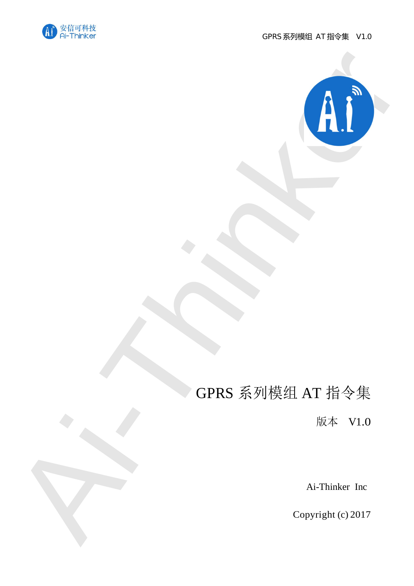



# GPRS 系列模组 AT 指令集

版本 V1.0

Ai-Thinker Inc

Copyright (c) 2017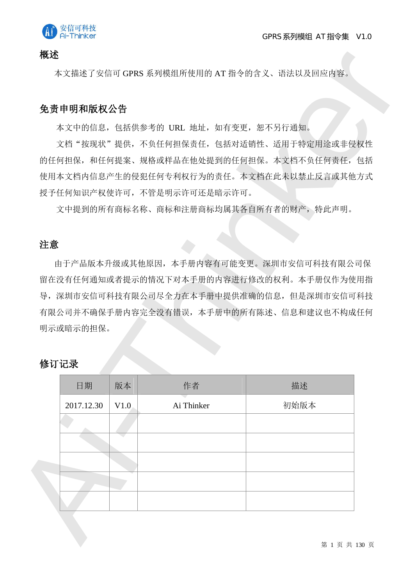

#### 概述

### 免责申明和版权公告

### 注意

### 修订记录

| 免责申明和版权公告  |      |                                     |                                            |  |
|------------|------|-------------------------------------|--------------------------------------------|--|
|            |      | 本文中的信息,包括供参考的 URL 地址, 如有变更, 恕不另行通知。 |                                            |  |
|            |      |                                     | 文档"按现状"提供,不负任何担保责任,包括对适销性、适用于特定用途或非侵权性     |  |
|            |      |                                     | 的任何担保, 和任何提案、规格或样品在他处提到的任何担保。本文档不负任何责任, 包括 |  |
|            |      |                                     | 使用本文档内信息产生的侵犯任何专利权行为的责任。本文档在此未以禁止反言或其他方式   |  |
|            |      | 授予任何知识产权使许可,不管是明示许可还是暗示许可。          |                                            |  |
|            |      |                                     | 文中提到的所有商标名称、商标和注册商标均属其各自所有者的财产,特此声明。       |  |
|            |      |                                     |                                            |  |
| 注意         |      |                                     |                                            |  |
|            |      |                                     |                                            |  |
|            |      |                                     | 由于产品版本升级或其他原因,本手册内容有可能变更。深圳市安信可科技有限公司保     |  |
|            |      |                                     | 留在没有任何通知或者提示的情况下对本手册的内容进行修改的权利。本手册仅作为使用指   |  |
|            |      |                                     | 导, 深圳市安信可科技有限公司尽全力在本手册中提供准确的信息, 但是深圳市安信可科技 |  |
|            |      |                                     | 有限公司并不确保手册内容完全没有错误,本手册中的所有陈述、信息和建议也不构成任何   |  |
| 明示或暗示的担保。  |      |                                     |                                            |  |
|            |      |                                     |                                            |  |
| 修订记录       |      |                                     |                                            |  |
| 日期         | 版本   | 作者                                  | 描述                                         |  |
| 2017.12.30 | V1.0 | Ai Thinker                          | 初始版本                                       |  |
|            |      |                                     |                                            |  |
|            |      |                                     |                                            |  |
|            |      |                                     |                                            |  |
|            |      |                                     |                                            |  |
|            |      |                                     |                                            |  |

第 1 页 共 130 页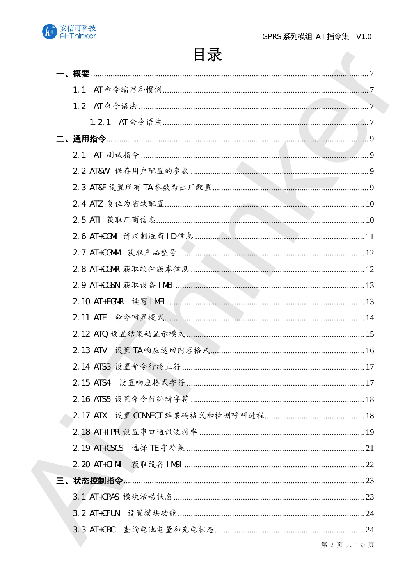| -、概要 |               |
|------|---------------|
| 1.1  |               |
| 1.2  |               |
|      | . 7           |
|      | . 9           |
| 2.1  |               |
|      |               |
|      |               |
|      |               |
|      |               |
|      |               |
|      |               |
|      |               |
|      |               |
|      |               |
|      |               |
|      |               |
|      |               |
|      |               |
|      |               |
|      |               |
|      |               |
|      |               |
|      |               |
|      |               |
|      |               |
|      |               |
|      |               |
|      |               |
|      | 第 2 页 共 130 页 |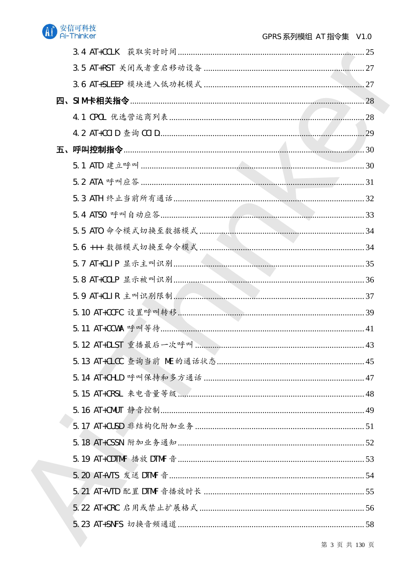

| 五、 |  |
|----|--|
|    |  |
|    |  |
|    |  |
|    |  |
|    |  |
|    |  |
|    |  |
|    |  |
|    |  |
|    |  |
|    |  |
|    |  |
|    |  |
|    |  |
|    |  |
|    |  |
|    |  |
|    |  |
|    |  |
|    |  |
|    |  |
|    |  |
|    |  |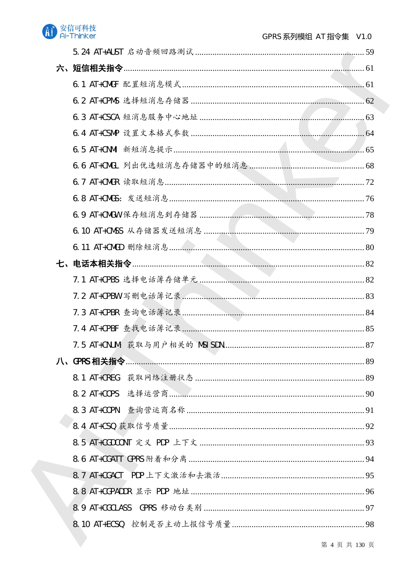

| 8.1 AT+CREG |  |
|-------------|--|
|             |  |
|             |  |
|             |  |
|             |  |
|             |  |
|             |  |
|             |  |
|             |  |
|             |  |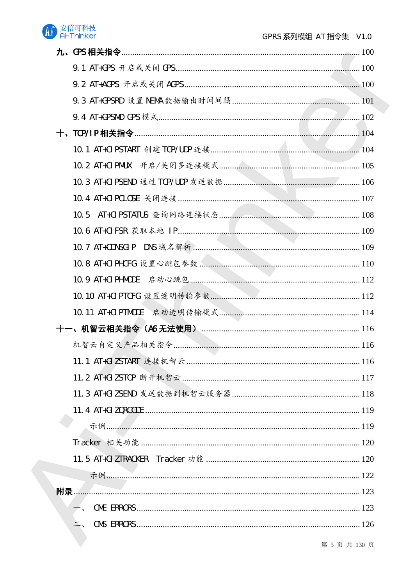| <b>附录….</b> |  |
|-------------|--|
|             |  |
|             |  |
|             |  |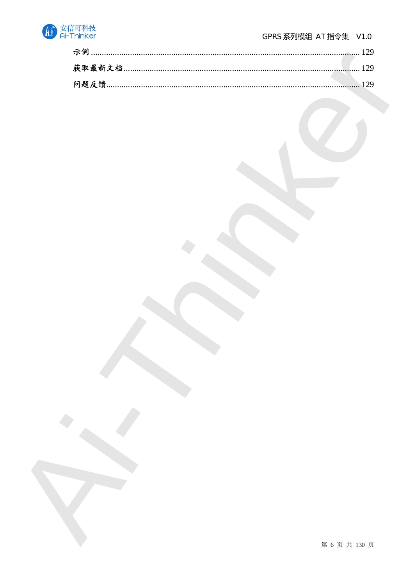

| 问题反馈 |  |
|------|--|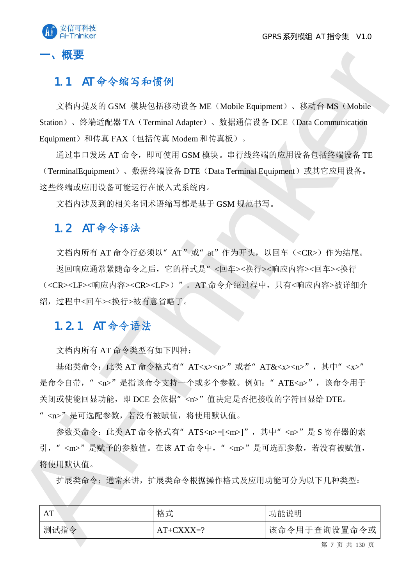

## $1.1$  AT 命令缩写和惯例

文档内提及的 GSM 模块包括移动设备 ME (Mobile Equipment)、移动台 MS (Mobile Station)、终端适配器 TA (Terminal Adapter)、数据通信设备 DCE (Data Communication Equipment)和传真 FAX (包括传真 Modem 和传真板)。

通过串口发送 AT 命令,即可使用 GSM 模块。串行线终端的应用设备包括终端设备 TE (TerminalEquipment)、数据终端设备 DTE (Data Terminal Equipment)或其它应用设备。 这些终端或应用设备可能运行在嵌入式系统内。

文档内涉及到的相关名词术语缩写都是基于 GSM 规范书写。

## $1.2$  AT 命令语法

- 、概要<br>
1.1 AT 今今館写参順例<br>
※打向度度TGM 標志組形移列機系MC (Mobile Equipment)、移列分MS (Mobile<br>
Satistic Air African Market Air African Market Air African Market Air African Market Air African Market Air African Distribution<br>
Equipment Air 文档内所有 AT 命令行必须以" AT"或" at"作为开头, 以回车(<CR>)作为结尾。 返回响应通常紧随命令之后,它的样式是"<回车><换行><>响应内容><回车><换行 (<CR><LF><响应内容><CR><LF>)"。AT 命令介绍过程中, 只有<响应内容>被详细介 绍, 过程中<回车><换行>被有意省略了。

## $1.2.1$  AT 命令语法

文档内所有 AT 命令类型有如下四种:

基础类命令: 此类 AT 命令格式有" AT<x><n>"或者" AT&<x><n>", 其中" <x>" 是命令自带, "<n>"是指该命令支持一个或多个参数。例如: "ATE<n>",该命令用于 关闭或使能回显功能, 即 DCE 会依据"<n>"值决定是否把接收的字符回显给 DTE。 "<n>"是可选配参数,若没有被赋值,将使用默认值。

参数类命令: 此类 AT 命令格式有" ATS<n>=[<m>]", 其中" <n>"是 S 寄存器的索 引, "<m>"是赋予的参数值。在该AT 命令中, "<m>"是可选配参数, 若没有被赋值, 将使用默认值。

扩展类命令根据操作格式及应用功能可分为以下几种类型:

| AT   | 格式          | 功能说明         |
|------|-------------|--------------|
| 测试指令 | $AT+CXXX=?$ | 该命令用于查询设置命令或 |

第 7 页 共 130 页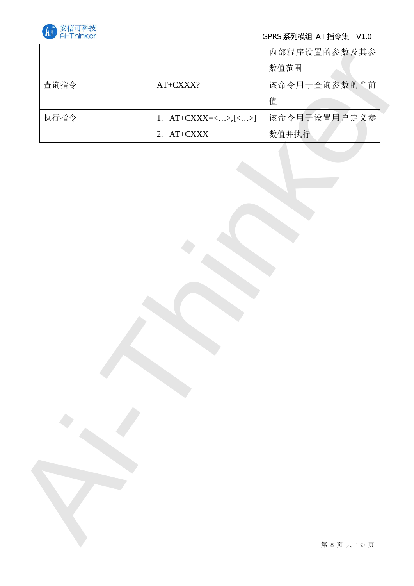

## GPRS 系列模组 AT 指令集 V1.0

| 内部程序设置的参数及其参<br>数值范围<br>该命令用于查询参数的当前<br>AT+CXXX?<br>值<br>该命令用于设置用户定义参<br>1. $AT+CXXX = \langle  \rangle, [\langle  \rangle]$<br>数值并执行<br>2. $AT+CXXX$ | 查询指令<br>执行指令 |  |  |
|-------------------------------------------------------------------------------------------------------------------------------------------------------|--------------|--|--|
|                                                                                                                                                       |              |  |  |
|                                                                                                                                                       |              |  |  |
|                                                                                                                                                       |              |  |  |
|                                                                                                                                                       |              |  |  |
|                                                                                                                                                       |              |  |  |
|                                                                                                                                                       |              |  |  |
|                                                                                                                                                       |              |  |  |
|                                                                                                                                                       |              |  |  |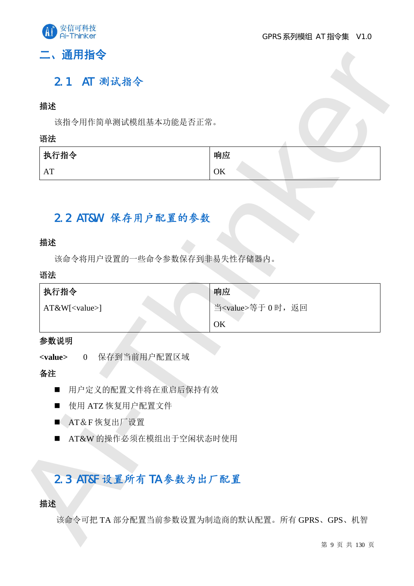

## 二、通用指令

## $2.1$  AT 测试指令

#### 揣述

#### 语法

| 执行指令           | 响应       |
|----------------|----------|
| $\Lambda$ T    | $\cap V$ |
| A <sub>1</sub> | UN       |

## 2.2 AT&W 保存用户配置的参数

### 描述

#### 语法

| 描述                             |                             |
|--------------------------------|-----------------------------|
| 该指令用作简单测试模组基本功能是否正常。           |                             |
| 语法                             |                             |
| 执行指令                           | 响应                          |
| AT                             | OK                          |
|                                |                             |
|                                |                             |
| 2.2 AT&W 保存用户配置的参数             |                             |
| 描述                             |                             |
| 该命令将用户设置的一些命令参数保存到非易失性存储器内。    |                             |
| 语法                             |                             |
| 执行指令                           | 响应                          |
| AT&W[ <value>]</value>         | 当 <value>等于 0 时, 返回</value> |
|                                | OK                          |
|                                |                             |
|                                |                             |
| 保存到当前用户配置区域<br>$\overline{0}$  |                             |
|                                |                             |
| 用户定义的配置文件将在重启后保持有效<br>п        |                             |
| 使用 ATZ 恢复用户配置文件<br>■           |                             |
| AT&F恢复出厂设置                     |                             |
| AT&W 的操作必须在模组出于空闲状态时使用<br>■    |                             |
|                                |                             |
|                                |                             |
| 参数说明<br><value><br/>备注</value> |                             |
| 2.3 AT&F 设置所有 TA 参数为出厂配置<br>描述 |                             |

#### 参数说明

- 用户定义的配置文件将在重启后保持有效
- 使用 ATZ 恢复用户配置文件
- $\blacksquare$  AT&F 恢复出厂设置
- AT&W 的操作必须在模组出于空闲状态时使用

## 2.3 AT&F 设置所有 TA 参数为出厂配置

#### 描述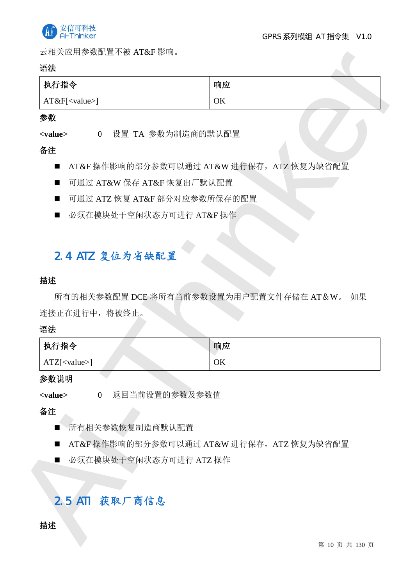

云相关应用参数配置不被 AT&F 影响。

#### 语法

| 执行指令             | 响应 |  |
|------------------|----|--|
| $AT&F[<$ value>] | OK |  |

#### 参数

#### 备注

- AT&F 操作影响的部分参数可以通过 AT&W 进行保存, ATZ 恢复为缺省配置
- 可通过 AT&W 保存 AT&F 恢复出厂默认配置
- 可通过 ATZ 恢复 AT&F 部分对应参数所保存的配置
- 必须在模块处于空闲状态方可进行 AT&F 操作

## 2.4 ATZ 复位为省缺配置

#### 描述

| 执行指令                                                   | 响应                                            |
|--------------------------------------------------------|-----------------------------------------------|
| AT&F[ <value>]</value>                                 | OK                                            |
| 参数                                                     |                                               |
| <value><br/><math>\overline{0}</math></value>          | 设置 TA 参数为制造商的默认配置                             |
| 备注                                                     |                                               |
| ■                                                      | AT&F 操作影响的部分参数可以通过 AT&W 进行保存, ATZ 恢复为缺省配置     |
| 可通过 AT&W 保存 AT&F 恢复出厂默认配置<br>■                         |                                               |
| ■                                                      | 可通过 ATZ 恢复 AT&F 部分对应参数所保存的配置                  |
| 必须在模块处于空闲状态方可进行 AT&F 操作<br>■                           |                                               |
|                                                        |                                               |
| 2.4 ATZ 复位为省缺配置                                        |                                               |
| 描述                                                     |                                               |
|                                                        |                                               |
|                                                        | 所有的相关参数配置 DCE 将所有当前参数设置为用户配置文件存储在 AT&W。<br>如果 |
|                                                        |                                               |
|                                                        |                                               |
| 执行指令                                                   | 响应                                            |
| $ATZ[<$ value>]                                        | OK                                            |
|                                                        |                                               |
| $\overline{0}$                                         | 返回当前设置的参数及参数值                                 |
|                                                        |                                               |
| 所有相关参数恢复制造商默认配置<br>$\blacksquare$                      |                                               |
| ■                                                      | AT&F 操作影响的部分参数可以通过 AT&W 进行保存, ATZ 恢复为缺省配置     |
| 必须在模块处于空闲状态方可进行 ATZ 操作<br>■                            |                                               |
|                                                        |                                               |
| 连接正在进行中, 将被终止。<br>语法<br>参数说明<br><value><br/>备注</value> |                                               |
| 2.5 ATI 获取厂商信息                                         |                                               |
| 描述                                                     |                                               |

#### 参数说明

- 所有相关参数恢复制造商默认配置
- AT&F 操作影响的部分参数可以通过 AT&W 进行保存, ATZ 恢复为缺省配置
- 必须在模块处于空闲状态方可进行 ATZ 操作

## 2.5 ATI 获取厂商信息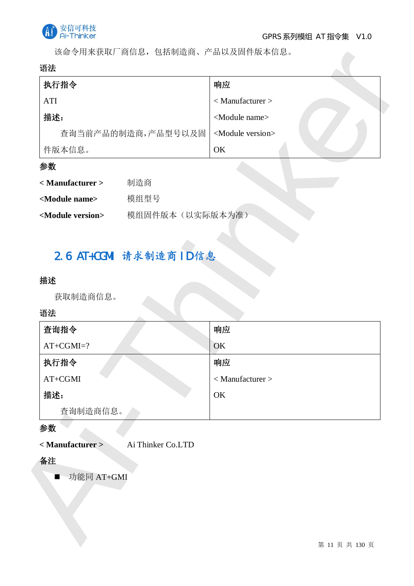

该命令用来获取厂商信息,包括制造商、产品以及固件版本信息。

#### 语法

| 执行指令               | 响应                           |
|--------------------|------------------------------|
| <b>ATI</b>         | $<$ Manufacturer $>$         |
| 描述:                | <module name=""></module>    |
| 查询当前产品的制造商,产品型号以及固 | <module version=""></module> |
| 件版本信息。             | OK                           |

### 参数

| < Manufacturer >             | 制造商             |
|------------------------------|-----------------|
| <module name=""></module>    | 模组型号            |
| <module version=""></module> | 模组固件版本(以实际版本为准) |

## 2.6 AT+CGMI 请求制造商 ID 信息

#### 描述

## 语法

| 执行指令                               | 响应                           |
|------------------------------------|------------------------------|
| <b>ATI</b>                         | $<$ Manufacturer $>$         |
| 描述:                                | <module name=""></module>    |
| 查询当前产品的制造商,产品型号以及固                 | <module version=""></module> |
| 件版本信息。                             | OK                           |
| 参数                                 |                              |
| 制造商<br>< Manufacturer >            |                              |
| <module name=""><br/>模组型号</module> |                              |
| <module version=""></module>       | 模组固件版本(以实际版本为准)              |
| 语法                                 |                              |
| 查询指令                               | 响应                           |
| $AT+CGMI=?$                        | OK                           |
| 执行指令                               | 响应                           |
| $AT+CGMI$                          | $<$ Manufacturer $>$         |
| 描述:                                | OK                           |
| 查询制造商信息。                           |                              |
| 参数                                 |                              |
| < Manufacturer >                   | Ai Thinker Co.LTD            |
| 备注                                 |                              |
| 功能同 AT+GMI<br>$\blacksquare$       |                              |
|                                    |                              |
|                                    |                              |
|                                    |                              |
|                                    |                              |

#### 参数

### 备注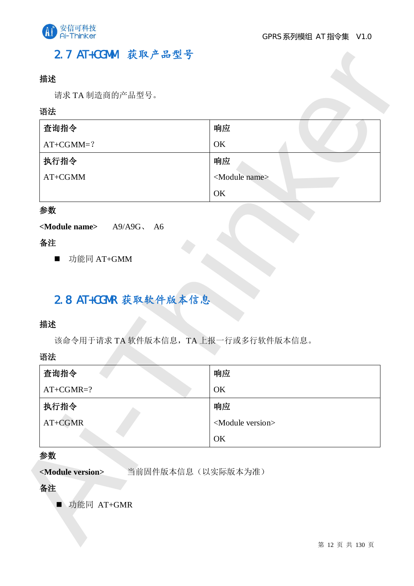

## 2.7 AT+CGMM 获取产品型号

### 描述

#### 语法

| 语法<br>查询指令                                                         | 响应                                   |
|--------------------------------------------------------------------|--------------------------------------|
| $AT+CGMM=?$                                                        | OK                                   |
| 执行指令                                                               | 响应                                   |
| $AT{+}CGMM$                                                        | <module name=""></module>            |
|                                                                    | OK                                   |
| 参数                                                                 |                                      |
| <module name=""><br/><math>A9/A9G</math>, <math>A6</math></module> |                                      |
| 备注                                                                 |                                      |
| 功能同 AT+GMM<br>п<br>2.8 AT+CGMR 获取软件版本信息<br>描述                      |                                      |
| 语法                                                                 | 该命令用于请求 TA 软件版本信息, TA 上报一行或多行软件版本信息。 |
| 查询指令                                                               | 响应                                   |
| $AT+CGMR=?$                                                        | OK                                   |
| 执行指令                                                               | 响应                                   |
| AT+CGMR                                                            | <module version=""></module>         |
|                                                                    | OK                                   |
| 参数                                                                 |                                      |

### 参数

## 备注

## 2.8 AT+CGMR 获取软件版本信息

#### 揣述

#### 语法

| 查询指令        | 响应                           |
|-------------|------------------------------|
| $AT+CGMR=?$ | OK                           |
| 执行指令        | 响应                           |
| AT+CGMR     | <module version=""></module> |
|             | OK                           |

### 参数

#### 备注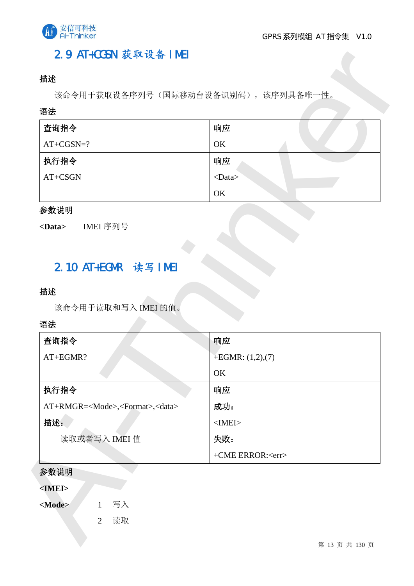

## 2.9 AT+CGSN 获取设备 IMEI

### 描述

#### 语法

| 查询指令        | 响应           |
|-------------|--------------|
| $AT+CGSN=?$ | OK           |
| 执行指令        | 响应           |
| AT+CSGN     | $<$ Data $>$ |
|             | OK           |

### 参数说明

## 2.10 AT+EGMR 读写 IMEI

#### 描述

#### 语法

| 语法                                                     |                         |
|--------------------------------------------------------|-------------------------|
| 查询指令                                                   | 响应                      |
| $AT+CGSN=?$                                            | OK                      |
| 执行指令                                                   | 响应                      |
| $AT+CSGN$                                              | $<$ Data $>$            |
|                                                        | OK                      |
| 参数说明                                                   |                         |
| IMEI 序列号<br>$<$ Data>                                  |                         |
|                                                        |                         |
|                                                        |                         |
| 2.10 AT+EGMR 读写 IMEI                                   |                         |
|                                                        |                         |
| 该命令用于读取和写入 IMEI 的值。                                    |                         |
|                                                        |                         |
| 查询指令                                                   | 响应                      |
| AT+EGMR?                                               | $+EGMR: (1,2),(7)$      |
| 描述<br>语法                                               | OK                      |
| 执行指令                                                   | 响应                      |
| AT+RMGR= <mode>,<format>,<data></data></format></mode> | 成功:                     |
| 描述:                                                    | $<$ IMEI $>$            |
| 读取或者写入 IMEI 值                                          | 失败:                     |
|                                                        | +CME ERROR: <err></err> |
| 参数说明                                                   |                         |

#### 参数说明

#### **<IMEI>**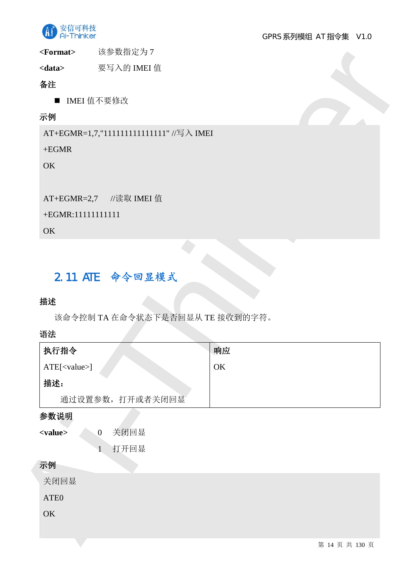

<Format> **b** 该参数指定为7

## 备注

## 示例

### $+EGMR$

#### +EGMR:11111111111

#### **OK**

## 2.11 ATE 命令回显模式

### 描述

### 语法

| $<$ Format $>$        | 该参数指定为 7                                |    |                |
|-----------------------|-----------------------------------------|----|----------------|
| <data></data>         | 要写入的 IMEI 值                             |    |                |
| 备注                    |                                         |    |                |
|                       | ■ IMEI 值不要修改                            |    |                |
| 示例                    |                                         |    |                |
|                       | AT+EGMR=1,7,"111111111111111" //写入 IMEI |    |                |
| $+EGMR$               |                                         |    |                |
| <b>OK</b>             |                                         |    |                |
|                       |                                         |    |                |
|                       | AT+EGMR=2,7 //读取 IMEI 值                 |    |                |
| +EGMR:11111111111     |                                         |    |                |
| OK                    |                                         |    |                |
|                       |                                         |    |                |
| 描述<br>语法              | 该命令控制 TA 在命令状态下是否回显从 TE 接收到的字符。         |    |                |
| 执行指令                  |                                         | 响应 |                |
| ATE[ <value>]</value> |                                         | OK |                |
| 描述:                   |                                         |    |                |
|                       | 通过设置参数, 打开或者关闭回显                        |    |                |
| 参数说明                  |                                         |    |                |
| <value></value>       | 关闭回显<br>$\overline{0}$                  |    |                |
|                       | 打开回显<br>$\mathbf{1}$                    |    |                |
| 示例                    |                                         |    |                |
| 关闭回显                  |                                         |    |                |
| ATE <sub>0</sub>      |                                         |    |                |
| OK                    |                                         |    |                |
|                       |                                         |    |                |
|                       |                                         |    | 第 14 页 共 130 页 |

### 示例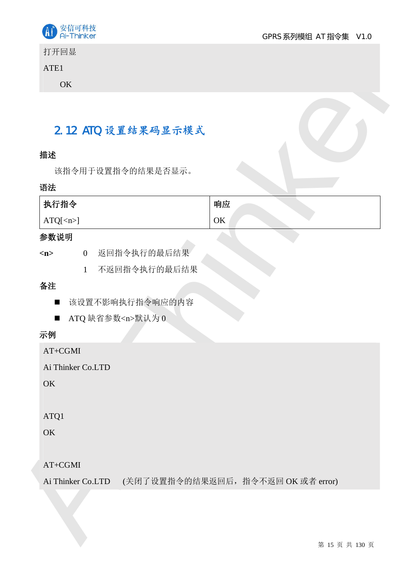

打开回显

### ATE1

## 2.12 ATO 设置结果码显示模式

### 描述

### 语法

|                                  |   |                      | 2.12 ATO 设置结果码显示模式                 |    |  |  |
|----------------------------------|---|----------------------|------------------------------------|----|--|--|
| 描述                               |   |                      |                                    |    |  |  |
|                                  |   |                      | 该指令用于设置指令的结果是否显示。                  |    |  |  |
| 语法                               |   |                      |                                    |    |  |  |
| 执行指令                             |   |                      |                                    | 响应 |  |  |
| $ATQ[\langle n \rangle]$         |   |                      |                                    | OK |  |  |
| 参数说明                             |   |                      |                                    |    |  |  |
| m                                |   |                      | 0 返回指令执行的最后结果                      |    |  |  |
|                                  | 1 |                      | 不返回指令执行的最后结果                       |    |  |  |
|                                  |   |                      |                                    |    |  |  |
|                                  |   |                      |                                    |    |  |  |
| 备注<br>$\blacksquare$             |   |                      | 该设置不影响执行指令响应的内容                    |    |  |  |
| $\blacksquare$                   |   | ATQ 缺省参数 <n>默认为0</n> |                                    |    |  |  |
| 示例                               |   |                      |                                    |    |  |  |
| AT+CGMI                          |   |                      |                                    |    |  |  |
| Ai Thinker Co.LTD                |   |                      |                                    |    |  |  |
| OK                               |   |                      |                                    |    |  |  |
|                                  |   |                      |                                    |    |  |  |
| ATQ1                             |   |                      |                                    |    |  |  |
| OK                               |   |                      |                                    |    |  |  |
|                                  |   |                      |                                    |    |  |  |
| $AT{+}CGMI$<br>Ai Thinker Co.LTD |   |                      | (关闭了设置指令的结果返回后, 指令不返回 OK 或者 error) |    |  |  |

## 备注

- 该设置不影响执行指令响应的内容
- ATQ 缺省参数<n>默认为 0

## 示例

### AT+CGMI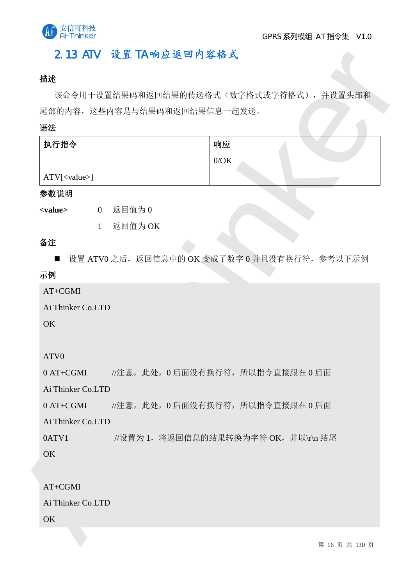

## 2.13 ATV 设置 TA 响应返回内容格式

### 描述

该命令用于设置结果码和返回结果的传送格式(数字格式或字符格式),并设置头部和 尾部的内容, 这些内容是与结果码和返回结果信息一起发送。

#### 语法

| 执行指令            | 响应   |
|-----------------|------|
|                 | 0/OK |
| $ATV[<$ value>] |      |

#### 参数说明

<value> 0 返回值为 0

1 返回值为OK

### 备注

■ 设置 ATV0 之后, 返回信息中的 OK 变成了数字 0 并且没有换行符, 参考以下示例

### 示例

AT+CGMI

Ai Thinker Co.LTD

**OK** 

ATV0

2.13 ATV 後置 TA 物意返 型内容格式<br>- 議論全用子皮工結果資料通过規律的規律法(執行格式宣行格式)、指揮者文本<br>- 解除<br>- 解除的場は、通知型電車研磨費和適相需需要一点減過。<br>- 解除<br>- 特性<br>- 数値の<br>- 電子を通知型には、相応について、<br>- 電子の<br>- 電子の<br>- 電子の<br>- 電子の<br>- 電子の<br>- 電子の<br>- 電子の<br>- 電子の<br>- 電子の<br>- 電子の<br>- 電子の<br>- 電子の - 超過程<br>- 電子の - 超過  $0$  AT+CGMI //注意, 此处,  $0$ 后面没有换行符, 所以指令直接跟在 $0$ 后面 Ai Thinker Co.LTD  $0$  AT+CGMI //注意, 此处,  $0$ 后面没有换行符, 所以指令直接跟在 $0$ 后面 Ai Thinker Co.LTD  $0$ ATV1 //设置为 1, 将返回信息的结果转换为字符 OK, 并以\r\n 结尾 **OK** 

AT+CGMI Ai Thinker Co.LTD OK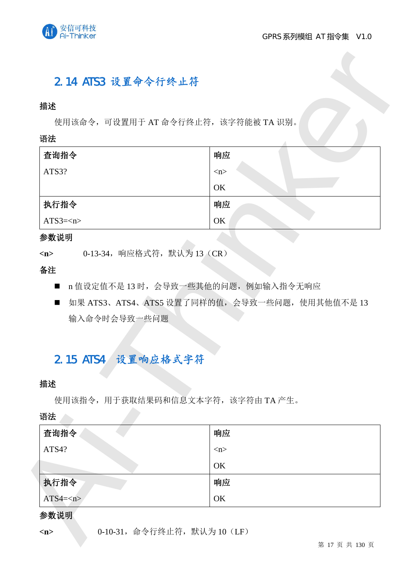

## 2.14 ATS3 设置命令行终止符

#### 描述

#### 语法

| 查询指令    | 响应                  |
|---------|---------------------|
| ATS3?   | $\langle n \rangle$ |
|         | OK                  |
| 执行指令    | 响应                  |
| $ATS3=$ | OK                  |

#### 参数说明

- n 值设定值不是 13 时, 会导致一些其他的问题, 例如输入指令无响应
- 如果 ATS3、ATS4、ATS5 设置了同样的值, 会导致一些问题, 使用其他值不是 13 输入命令时会导致一些问题

## 2.15 ATS4 设置响应格式字符

#### 描述

| 描述                 |                                                |
|--------------------|------------------------------------------------|
|                    | 使用该命令, 可设置用于 AT 命令行终止符, 该字符能被 TA 识别。           |
| 语法                 |                                                |
| 查询指令               | 响应                                             |
| ATS3?              | m                                              |
|                    | OK                                             |
| 执行指令               | 响应                                             |
| $ATS3=$            | OK                                             |
| 参数说明               |                                                |
| m                  | 0-13-34, 响应格式符, 默认为 13 (CR)                    |
| 备注                 |                                                |
| $\blacksquare$     | n 值设定值不是 13 时, 会导致一些其他的问题, 例如输入指令无响应           |
|                    |                                                |
| $\blacksquare$     | 如果 ATS3、ATS4、ATS5 设置了同样的值, 会导致一些问题, 使用其他值不是 13 |
| 输入命令时会导致一些问题       |                                                |
|                    |                                                |
|                    |                                                |
| 2.15 ATS4 设置响应格式字符 |                                                |
|                    |                                                |
|                    | 使用该指令, 用于获取结果码和信息文本字符, 该字符由 TA 产生。             |
|                    |                                                |
| 查询指令               | 响应                                             |
| ATS4?              | $\langle n \rangle$                            |
|                    | OK                                             |
| 描述<br>语法<br>执行指令   | 响应                                             |

#### 参数说明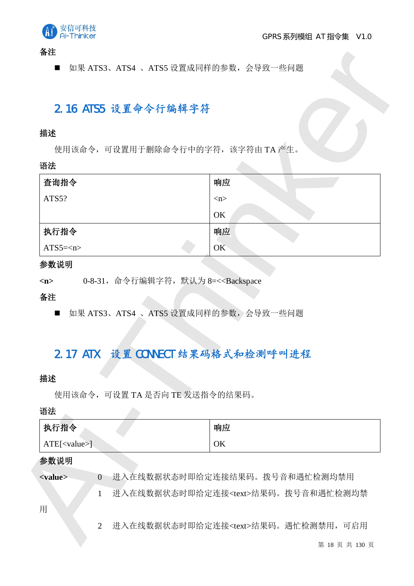

备注

## 2.16 ATS5 设置命令行编辑字符

#### 描述

#### 语法

|                                         | 2.16 ATS5 设置命令行编辑字符                                                                                   |                                      |
|-----------------------------------------|-------------------------------------------------------------------------------------------------------|--------------------------------------|
| 描述                                      |                                                                                                       |                                      |
|                                         |                                                                                                       | 使用该命令,可设置用于删除命令行中的字符,该字符由TA产生。       |
| 语法                                      |                                                                                                       |                                      |
| 查询指令                                    |                                                                                                       | 响应                                   |
| ATS5?                                   |                                                                                                       | m                                    |
|                                         |                                                                                                       | OK                                   |
| 执行指令                                    |                                                                                                       | 响应                                   |
| $ATS5=$                                 |                                                                                                       | OK-                                  |
| П                                       | 0-8-31, 命令行编辑字符, 默认为 8=< <backspace< th=""><th>如果 ATS3、ATS4 、ATS5 设置成同样的参数, 会导致一些问题</th></backspace<> | 如果 ATS3、ATS4 、ATS5 设置成同样的参数, 会导致一些问题 |
| 参数说明<br>$\langle n \rangle$<br>备注<br>描述 | 使用该命令,可设置 TA 是否向 TE 发送指令的结果码。                                                                         | 2.17 ATX 设置 CONNECT 结果码格式和检测呼叫进程     |
|                                         |                                                                                                       |                                      |
| 执行指令                                    |                                                                                                       | 响应                                   |
| ATE[ <value>]</value>                   |                                                                                                       | OK                                   |
| 语法<br>参数说明                              |                                                                                                       |                                      |
| <value></value>                         | $\overline{0}$                                                                                        | - 进入在线数据状态时即给定连接结果码。拨号音和遇忙检测均禁用      |

#### 参数说明

## 2.17 ATX 设置 CONNECT 结果码格式和检测呼叫进程

#### 揣述

## 语法

| 执行指令                      | 响应                            |
|---------------------------|-------------------------------|
| $ATE[<$ value>]           | OK                            |
| 参数说明                      |                               |
| $\langle$ value $\rangle$ | 进入在线数据状态时即给定连接结果码。拨号音和遇忙检测均禁用 |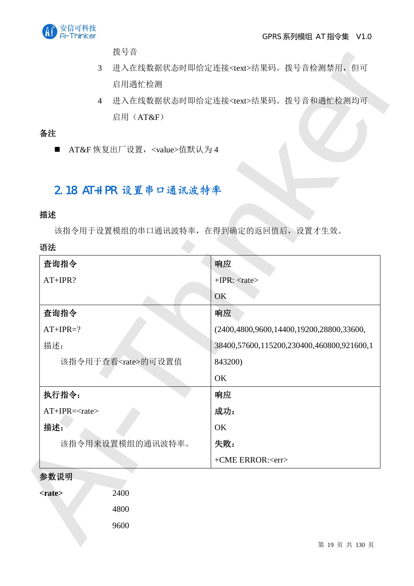

拨号音

- 3 进入在线数据状态时即给定连接<text>结果码。拨号音检测禁用, 但可 启用遇忙检测
- 4 进入在线数据状态时即给定连接<text>结果码。拨号音和遇忙检测均可 启用 (AT&F)

### 备注

## 2.18 AT+IPR 设置串口通讯波特率

#### 描述

#### 语法

| 拨号音                                                                              |                                             |
|----------------------------------------------------------------------------------|---------------------------------------------|
| 3                                                                                | 进入在线数据状态时即给定连接 <text>结果码。拨号音检测禁用, 但可</text> |
| 启用遇忙检测                                                                           |                                             |
| $\overline{4}$                                                                   | 进入在线数据状态时即给定连接 <text>结果码。拨号音和遇忙检测均可</text>  |
| 启用 (AT&F)                                                                        |                                             |
| 备注                                                                               |                                             |
| AT&F 恢复出厂设置, <value>值默认为4<br/><math display="inline">\blacksquare</math></value> |                                             |
|                                                                                  |                                             |
| 2.18 AT+IPR 设置串口通讯波特率                                                            |                                             |
|                                                                                  |                                             |
| 描述                                                                               |                                             |
| 该指令用于设置模组的串口通讯波特率,在得到确定的返回值后,设置才生效。                                              |                                             |
| 语法                                                                               |                                             |
| 查询指令                                                                             | 响应                                          |
| $AT+IPR?$                                                                        | $+IPR$ : <rate></rate>                      |
|                                                                                  | OK                                          |
| 查询指令                                                                             | 响应                                          |
| $AT+IPR=?$                                                                       | (2400,4800,9600,14400,19200,28800,33600,    |
| 描述:                                                                              | 38400,57600,115200,230400,460800,921600,1   |
| 该指令用于查看 <rate>的可设置值</rate>                                                       | 843200)                                     |
|                                                                                  | OK                                          |
| 执行指令:                                                                            | 响应                                          |
| $AT+IPR=$                                                                        | 成功:                                         |
| 描述:                                                                              | OK                                          |
| 该指令用来设置模组的通讯波特率。                                                                 | 失败:                                         |
|                                                                                  | +CME ERROR: <err></err>                     |
| 参数说明                                                                             |                                             |
| 2400<br><rate></rate>                                                            |                                             |
| 4800                                                                             |                                             |
| 9600                                                                             |                                             |
|                                                                                  | 第 19 页 共 130 页                              |

#### 参数说明

| <i><b><rate></rate></b></i> | 2400 |
|-----------------------------|------|
|                             | 4800 |
|                             | 9600 |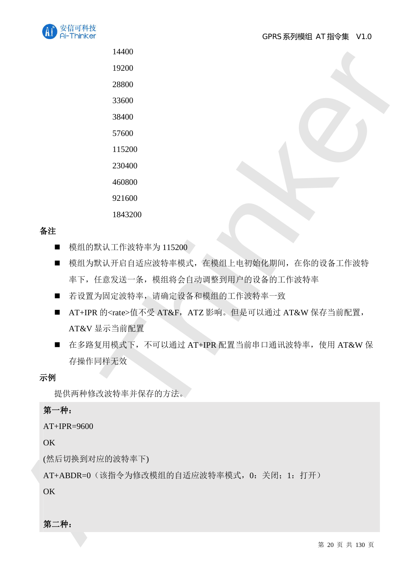

1843200

### 备注

- 模组的默认工作波特率为 115200
- 模组为默认开启自适应波特率模式, 在模组上电初始化期间, 在你的设备工作波特 率下, 任意发送一条, 模组将会自动调整到用户的设备的工作波特率
- 若设置为固定波特率,请确定设备和模组的工作波特率一致
- AT+IPR 的<rate>值不受 AT&F, ATZ 影响。但是可以通过 AT&W 保存当前配置, AT&V 显示当前配置
- 1460<br>
1920<br>
2860<br>
2860<br>
28760<br>
28760<br>
28760<br>
28760<br>
28760<br>
28760<br>
28760<br>
28760<br>
28760<br>
28760<br>
28760<br>
28760<br>
287760<br>
28760<br>
28760<br>
28760<br>
28760<br>
28760<br>
28760<br>
28760<br>
28760<br>
28760<br>
28760<br>
28760<br>
28760<br>
28760<br>
28760<br>
28760<br> ■ 在多路复用模式下, 不可以通过 AT+IPR 配置当前串口通讯波特率, 使用 AT&W 保 存操作同样无效

#### 示例

提供两种修改波特率并保存的方法。

#### 第一种:

AT+IPR=9600

OK

(然后切换到对应的波特率下)

AT+ABDR=0 (该指令为修改模组的自适应波特率模式, 0: 关闭; 1: 打开)

OK

第二种:

第 20 页 共 130 页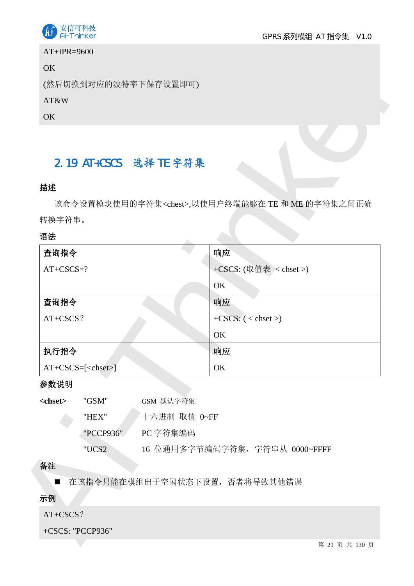

#### AT+IPR=9600

### OK

#### AT&W

## 2.19 AT+CSCS 选择 TE 字符集

### 描述

#### 语法

| (然后切换到对应的波特率下保存设置即可)                    |                                                          |
|-----------------------------------------|----------------------------------------------------------|
| AT&W                                    |                                                          |
| OK                                      |                                                          |
| 2.19 AT+CSCS 选择 TE 字符集                  |                                                          |
| 描述                                      |                                                          |
|                                         | 该命令设置模块使用的字符集 <chest>,以使用户终端能够在 TE 和 ME 的字符集之间正确</chest> |
| 转换字符串。                                  |                                                          |
| 语法                                      |                                                          |
| 查询指令                                    | 响应                                                       |
| $AT+CSCS=?$                             | +CSCS: (取值表 < chset >)                                   |
|                                         | OK                                                       |
| 查询指令                                    | 响应                                                       |
| AT+CSCS?                                | $+CSCS$ : $(<$ chset >)                                  |
|                                         | OK                                                       |
| 执行指令                                    | 响应                                                       |
| $AT+CSCS=[$                             | OK                                                       |
| 参数说明                                    |                                                          |
| <chset><br/>"GSM"<br/>GSM 默认字符集</chset> |                                                          |
| "HEX"                                   | 十六进制 取值 0~FF                                             |
| PC 字符集编码<br>"PCCP936"                   |                                                          |
| "UCS2                                   | 16 位通用多字节编码字符集, 字符串从 0000~FFFF                           |
| 备注                                      |                                                          |
| $\blacksquare$                          | 在该指令只能在模组出于空闲状态下设置, 否者将导致其他错误                            |
| 示例                                      |                                                          |
| AT+CSCS?                                |                                                          |
| +CSCS: "PCCP936"                        |                                                          |
|                                         | 第 21 页 共 130 页                                           |

#### 参数说明

| <chset></chset> | "GSM"     | GSM 默认字符集                      |
|-----------------|-----------|--------------------------------|
|                 | "HEX"     | 十六进制 取值 0~FF                   |
|                 | "PCCP936" | PC 字符集编码                       |
|                 | "HICS2    | 16 位通用多字节编码字符集, 字符串从 0000~FFFF |

### 备注

## 示例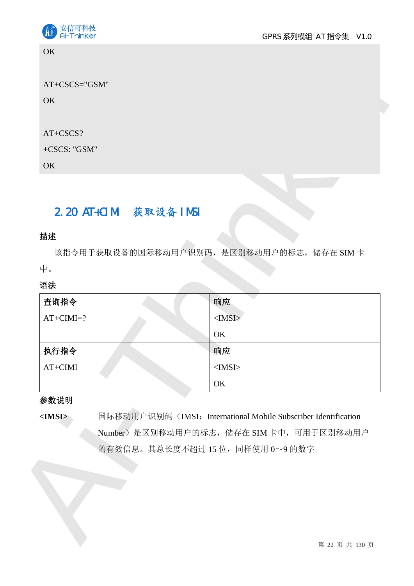

**OK** 

## 2.20 AT+CIMI 获取设备 IMSI

#### 描述

| ×<br>a s<br>H. |  |
|----------------|--|

| AT+CSCS="GSM"          |                                                                 |
|------------------------|-----------------------------------------------------------------|
| <b>OK</b>              |                                                                 |
|                        |                                                                 |
| AT+CSCS?               |                                                                 |
| +CSCS: "GSM"           |                                                                 |
| OK                     |                                                                 |
|                        |                                                                 |
| 2.20 AT+CIMI 获取设备 IMSI |                                                                 |
|                        |                                                                 |
| 描述                     |                                                                 |
|                        | 该指令用于获取设备的国际移动用户识别码,是区别移动用户的标志,储存在 SIM卡                         |
| 中。                     |                                                                 |
| 语法                     |                                                                 |
| 查询指令                   | 响应                                                              |
| $AT+CIMI=?$            | $<$ IMSI $>$                                                    |
|                        | OK                                                              |
|                        |                                                                 |
| 执行指令                   | 响应                                                              |
| $AT+CIMI$              | $<$ IMSI $>$                                                    |
|                        | OK                                                              |
|                        |                                                                 |
|                        | 国际移动用户识别码 (IMSI: International Mobile Subscriber Identification |
|                        | Number) 是区别移动用户的标志, 储存在 SIM 卡中, 可用于区别移动用户                       |
|                        | 的有效信息。其总长度不超过15位,同样使用0~9的数字                                     |
|                        |                                                                 |
|                        |                                                                 |
| 参数说明<br>$<$ IMSI $>$   |                                                                 |
|                        |                                                                 |

#### 参数说明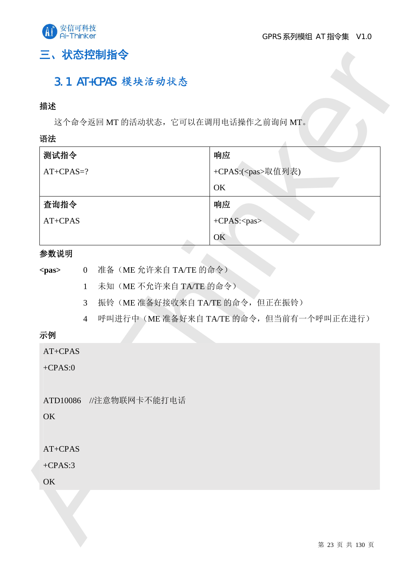

## 三、状态控制指令

## 3.1 AT+CPAS 模块活动状态

#### 描述

#### 语法

|                                        | 这个命令返回 MT 的活动状态, 它可以在调用电话操作之前询问 MT。 |                                     |  |
|----------------------------------------|-------------------------------------|-------------------------------------|--|
| 语法                                     |                                     |                                     |  |
| 测试指令                                   |                                     | 响应                                  |  |
| $AT+CPAS=?$                            |                                     | +CPAS:( <pas>取值列表)</pas>            |  |
|                                        |                                     | OK                                  |  |
| 查询指令                                   |                                     | 响应                                  |  |
| AT+CPAS                                |                                     | +CPAS: <pas></pas>                  |  |
|                                        |                                     | OK                                  |  |
| 参数说明                                   |                                     |                                     |  |
| 0 准备(ME 允许来自 TA/TE 的命令)<br><pas></pas> |                                     |                                     |  |
|                                        | 未知(ME 不允许来自 TA/TE 的命令)<br>1         |                                     |  |
| 3 <sup>7</sup>                         |                                     | 振铃(ME准备好接收来自TA/TE 的命令,但正在振铃)        |  |
|                                        | $\overline{4}$                      | 呼叫进行中(ME准备好来自TA/TE的命令,但当前有一个呼叫正在进行) |  |
| 示例                                     |                                     |                                     |  |
| $AT+CPAS$                              |                                     |                                     |  |
| $+CPAS:0$                              |                                     |                                     |  |
|                                        | ATD10086 //注意物联网卡不能打电话              |                                     |  |
| <b>OK</b>                              |                                     |                                     |  |
| AT+CPAS                                |                                     |                                     |  |
| $+CPAS:3$                              |                                     |                                     |  |
| OK                                     |                                     |                                     |  |
|                                        |                                     |                                     |  |

#### 参数说明

| $<$ pas $>$ |  |  | 准备(ME 允许来自 TA/TE 的命令) |
|-------------|--|--|-----------------------|
|-------------|--|--|-----------------------|

- 1 未知(ME 不允许来自 TA/TE 的命令)
- 3 振铃(ME 准备好接收来自 TA/TE 的命令,但正在振铃)
- 4 呼叫进行中 (ME 准备好来自 TA/TE 的命令, 但当前有一个呼叫正在进行)

### 示例

第 23 页 共 130 页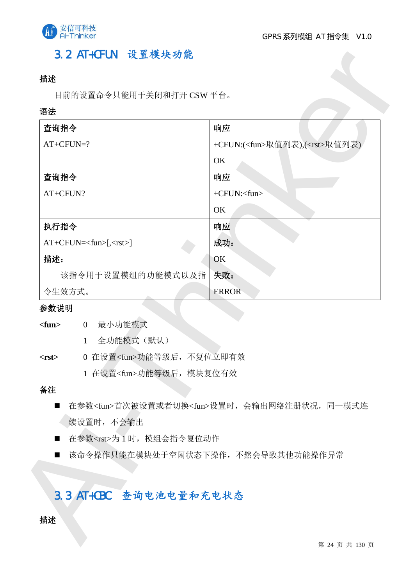

## 3.2 AT+CFUN 设置模块功能

### 描述

#### 语法

|                                                                                                             | 响应                                                       |
|-------------------------------------------------------------------------------------------------------------|----------------------------------------------------------|
| $AT+CFUN=?$                                                                                                 | +CFUN:( <fun>取值列表),(<rst>取值列表)</rst></fun>               |
|                                                                                                             | OK                                                       |
| 查询指令                                                                                                        | 响应                                                       |
| AT+CFUN?                                                                                                    | +CFUN: <fun></fun>                                       |
|                                                                                                             | OK                                                       |
| 执行指令                                                                                                        | 响应                                                       |
| $AT+CFUN=[,]$                                                                                               | 成功:                                                      |
| 描述:                                                                                                         | OK                                                       |
| 该指令用于设置模组的功能模式以及指                                                                                           | 失败:                                                      |
| 令生效方式。                                                                                                      | <b>ERROR</b>                                             |
| 参数说明                                                                                                        |                                                          |
| 最小功能模式<br>$<$ fun $>$<br>$\overline{0}$                                                                     |                                                          |
| 全功能模式(默认)<br>$\mathbf{1}$                                                                                   |                                                          |
| 0 在设置 <fun>功能等级后, 不复位立即有效<br/><math>&lt;</math>rst<math>&gt;</math><br/>1 在设置<fun>功能等级后, 模块复位有效</fun></fun> |                                                          |
| 备注                                                                                                          |                                                          |
| $\blacksquare$                                                                                              | 在参数 <fun>首次被设置或者切换<fun>设置时, 会输出网络注册状况, 同一模式连</fun></fun> |
| 续设置时,不会输出                                                                                                   |                                                          |
| ■ 在参数 <rst>为1时, 模组会指令复位动作</rst>                                                                             |                                                          |
| - 该命令操作只能在模块处于空闲状态下操作,不然会导致其他功能操作异常<br>$\blacksquare$                                                       |                                                          |
|                                                                                                             |                                                          |
| 3.3 AT+CBC 查询电池电量和充电状态                                                                                      |                                                          |

#### 参数说明

### 备注

- 在参数<fun>首次被设置或者切换<fun>设置时, 会输出网络注册状况, 同一模式连 续设置时,不会输出
- 在参数<rst>为1时, 模组会指令复位动作
- 该命令操作只能在模块处于空闲状态下操作, 不然会导致其他功能操作异常

## 3.3 AT+CBC 查询电池电量和充电状态

#### 描述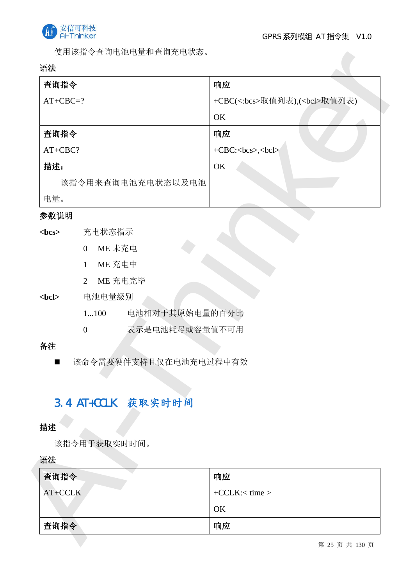

使用该指令查询电池电量和查询充电状态。

#### 语法

| 查询指令            |                                    | 响应                                  |
|-----------------|------------------------------------|-------------------------------------|
| $AT+CBC=?$      |                                    | +CBC(<:bcs>取值列表),( <bcl>取值列表)</bcl> |
|                 |                                    | OK                                  |
| 查询指令            |                                    | 响应<br>$+CBC:bcs,bcl$                |
| AT+CBC?         |                                    |                                     |
| 描述:             |                                    | OK                                  |
|                 | 该指令用来查询电池充电状态以及电池                  |                                     |
| 电量。             |                                    |                                     |
| 参数说明            |                                    |                                     |
|                 | 充电状态指示                             |                                     |
|                 | ME 未充电<br>$\overline{0}$           |                                     |
|                 | ME 充电中<br>1                        |                                     |
|                 | ME 充电完毕<br>$\overline{2}$          |                                     |
| <br><b>chcl</b> | 电池电量级别                             |                                     |
|                 | 电池相对于其原始电量的百分比<br>1100             |                                     |
|                 | 表示是电池耗尽或容量值不可用<br>$\boldsymbol{0}$ |                                     |
| 备注              |                                    |                                     |
|                 | 该命令需要硬件支持且仅在电池充电过程中有效              |                                     |
|                 |                                    |                                     |
|                 | 3.4 AT+CCLK 获取实时时间                 |                                     |
|                 |                                    |                                     |
| 描述              |                                    |                                     |
|                 | 该指令用于获取实时时间。                       |                                     |
| 语法              |                                    |                                     |
|                 |                                    | 响应                                  |
| 查询指令            |                                    | $+CCLK: < time$                     |
| AT+CCLK         |                                    |                                     |
|                 |                                    | OK                                  |

### 参数说明

- <bcs> 充电状态指示
	- $0$  ME 未充电
	- $1$  ME 充电中
	- 2 ME 充电完毕

### <bcl> 电池电量级别

- 1...100 电池相对于其原始电量的百分比
- 0 表示是电池耗尽或容量值不可用

### 备注

## 3.4 AT+CCLK 获取实时时间

#### 描述

| 查询指令    | 响应               |
|---------|------------------|
| AT+CCLK | $+CCLK: < time>$ |
|         | OK               |
| 查询指令    | 响应               |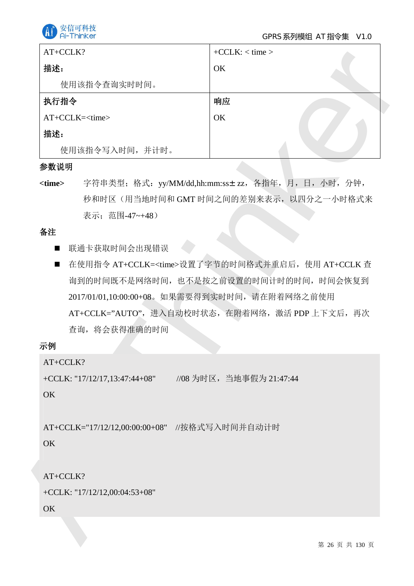

| AT+CCLK?                                                             | $+CCLK:$ < time >                                                                             |
|----------------------------------------------------------------------|-----------------------------------------------------------------------------------------------|
| 描述:                                                                  | OK                                                                                            |
| 使用该指令查询实时时间。                                                         |                                                                                               |
| 执行指令                                                                 | 响应                                                                                            |
| AT+CCLK= <time></time>                                               | OK                                                                                            |
| 描述:                                                                  |                                                                                               |
| 使用该指令写入时间, 并计时。                                                      |                                                                                               |
| 参数说明                                                                 |                                                                                               |
| <time><br/>表示;范围-47~+48)</time>                                      | 字符串类型; 格式: yy/MM/dd,hh:mm:ss±zz, 各指年, 月, 日, 小时, 分钟,<br>秒和时区(用当地时间和 GMT 时间之间的差别来表示, 以四分之一小时格式来 |
| 备注                                                                   |                                                                                               |
| 2017/01/01,10:00:00+08。如果需要得到实时时间, 请在附着网络之前使用<br>查询, 将会获得准确的时间<br>示例 | 询到的时间既不是网络时间, 也不是按之前设置的时间计时的时间, 时间会恢复到<br>AT+CCLK="AUTO", 进入自动校时状态, 在附着网络, 激活 PDP 上下文后, 再次    |
| AT+CCLK?                                                             |                                                                                               |
| +CCLK: " $17/12/17$ , $13:47:44+08$ "<br><b>OK</b>                   | //08 为时区, 当地事假为 21:47:44                                                                      |
| AT+CCLK="17/12/12,00:00:00+08" //按格式写入时间并自动计时<br><b>OK</b>           |                                                                                               |
| AT+CCLK?                                                             |                                                                                               |
| +CCLK: " $17/12/12,00:04:53+08"$                                     |                                                                                               |
| OK                                                                   |                                                                                               |
|                                                                      | 第 26 页 共 130 页                                                                                |

#### 参数说明

#### 备注

- 联通卡获取时间会出现错误
- 在使用指令 AT+CCLK=<time>设置了字节的时间格式并重启后, 使用 AT+CCLK 查 询到的时间既不是网络时间, 也不是按之前设置的时间计时的时间, 时间会恢复到 2017/01/01,10:00:00+08。如果需要得到实时时间,请在附着网络之前使用 AT+CCLK="AUTO", 进入自动校时状态, 在附着网络, 激活 PDP 上下文后, 再次 杳询, 将会获得准确的时间

### 示例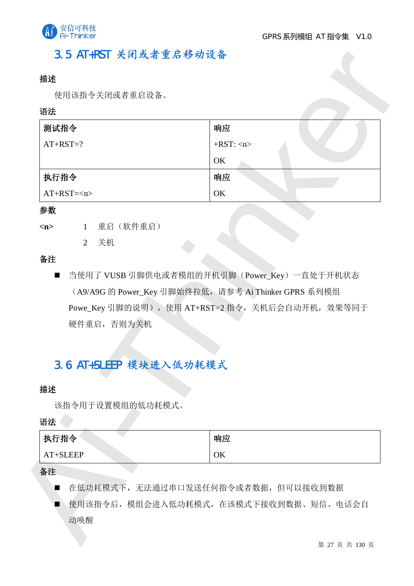

## 3.5 AT+RST 关闭或者重启移动设备

#### 描述

#### 语法

| 测试指令                               | 响应                                                   |
|------------------------------------|------------------------------------------------------|
| $AT+RST=?$                         | $+RST:$ <n></n>                                      |
|                                    | OK                                                   |
| 执行指令                               | 响应                                                   |
| $AT+RST=$                          | OK                                                   |
| 参数                                 |                                                      |
| 1 重启 (软件重启)<br>$\langle n \rangle$ |                                                      |
| 关机<br>$\overline{2}$               |                                                      |
| 备注                                 |                                                      |
|                                    |                                                      |
| $\blacksquare$                     | 当使用了 VUSB 引脚供电或者模组的开机引脚(Power_Key)一直处于开机状态           |
|                                    | (A9/A9G 的 Power_Key 引脚始终拉低, 请参考 Ai Thinker GPRS 系列模组 |
|                                    | Powe_Key 引脚的说明), 使用 AT+RST=2 指令, 关机后会自动开机, 效果等同于     |
| 硬件重启,否则为关机                         |                                                      |
|                                    |                                                      |
|                                    |                                                      |
| 3.6 AT+SLEEP 模块进入低功耗模式             |                                                      |
|                                    |                                                      |
| 描述<br>该指令用于设置模组的低功耗模式。             |                                                      |
| 语法                                 |                                                      |
| 执行指令                               | 响应                                                   |
| AT+SLEEP                           | OK                                                   |

#### 参数

| 重启 (软件重启) |
|-----------|
|           |

#### 备注

## 3.6 AT+SLEEP 模块进入低功耗模式

#### 描述

#### 语法

| 执行指令     | 响应 |
|----------|----|
| AT+SLEEP | OK |

#### 备注

- 在低功耗模式下, 无法通过串口发送任何指令或者数据, 但可以接收到数据
- 使用该指令后, 模组会进入低功耗模式, 在该模式下接收到数据、短信、电话会自 动唤醒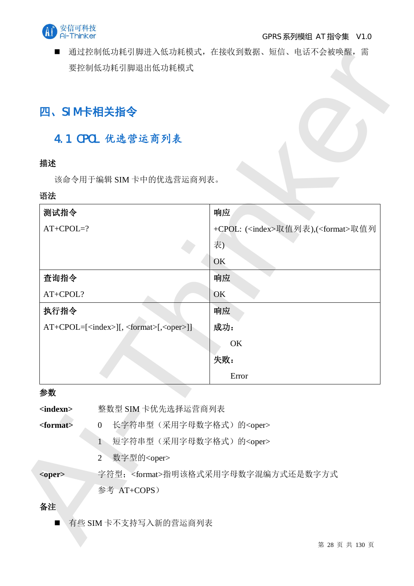

■ 通过控制低功耗引脚进入低功耗模式, 在接收到数据、短信、电话不会被唤醒, 需 要控制低功耗引脚退出低功耗模式

## **四、SIM 卡相关指令**

## 4.1 CPOL 优选营运商列表

### 描述

#### 语法

| 四、SIM卡相关指令        |                                                                 |                                                     |
|-------------------|-----------------------------------------------------------------|-----------------------------------------------------|
|                   | 4.1 CPOL 优选营运商列表                                                |                                                     |
| 描述                |                                                                 |                                                     |
|                   | 该命令用于编辑 SIM 卡中的优选营运商列表。                                         |                                                     |
| 语法                |                                                                 |                                                     |
| 测试指令              |                                                                 | 响应                                                  |
| $AT+CPOL=?$       |                                                                 | +CPOL: ( <index>取值列表),(<format>取值列</format></index> |
|                   |                                                                 | 表)                                                  |
|                   |                                                                 | OK                                                  |
| 查询指令              |                                                                 | 响应                                                  |
| AT+CPOL?          |                                                                 | OK                                                  |
| 执行指令              |                                                                 | 响应                                                  |
|                   | AT+CPOL=[ <index>][, <format>[,<oper>]]</oper></format></index> | 成功:                                                 |
|                   |                                                                 | OK                                                  |
|                   |                                                                 | 失败:                                                 |
|                   |                                                                 | Error                                               |
| 参数                |                                                                 |                                                     |
| <indexn></indexn> | 整数型 SIM 卡优先选择运营商列表                                              |                                                     |
| <format></format> | 长字符串型(采用字母数字格式)的 <oper><br/><math>\overline{0}</math></oper>    |                                                     |
|                   | 短字符串型(采用字母数字格式)的 <oper><br/><math>\mathbf{1}</math></oper>      |                                                     |
|                   | $\overline{2}$<br>数字型的 <oper></oper>                            |                                                     |
| <oper></oper>     |                                                                 | 字符型; <format>指明该格式采用字母数字混编方式还是数字方式</format>         |
|                   | 参考 AT+COPS)                                                     |                                                     |
| 备注                |                                                                 |                                                     |
| ■                 | 有些 SIM 卡不支持写入新的营运商列表                                            |                                                     |
|                   |                                                                 | 第 28 页 共 130 页                                      |

### 参数

## 备注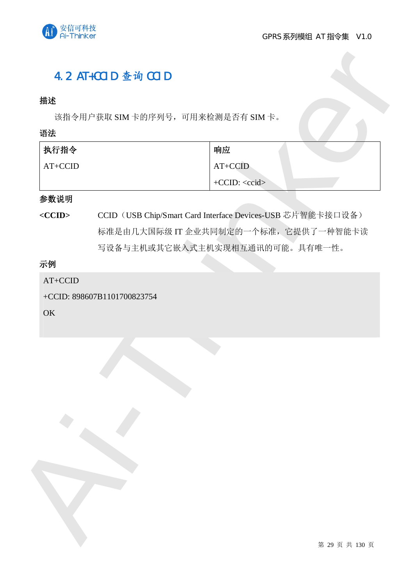

## 4.2 AT+CCID 查询 CCID

### 描述

该指令用户获取 SIM 卡的序列号,可用来检测是否有 SIM 卡。

语法

| 执行指令      | 响应        |
|-----------|-----------|
| $AT+CCID$ | $AT+CCID$ |
|           | $+CCID: $ |

#### 参数说明

<CCID> CCID (USB Chip/Smart Card Interface Devices-USB 芯片智能卡接口设备) 标准是由几大国际级 IT 企业共同制定的一个标准, 它提供了一种智能卡读 写设备与主机或其它嵌入式主机实现相互通讯的可能。具有唯一性。

## 示例

AT+CCID

+CCID: 898607B1101700823754

OK

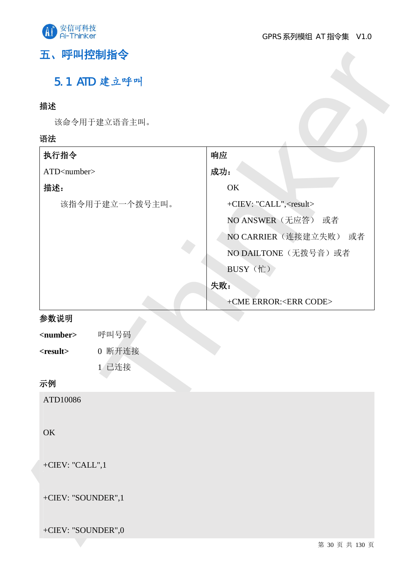

## 五、呼叫控制指令

## 5.1 ATD 建立呼叫

## 描述

| 描述                                                                                |                                  |
|-----------------------------------------------------------------------------------|----------------------------------|
| 该命令用于建立语音主叫。                                                                      |                                  |
| 语法                                                                                |                                  |
| 执行指令                                                                              | 响应                               |
| ATD <number></number>                                                             | 成功:                              |
| 描述:                                                                               | OK                               |
| 该指令用于建立一个拨号主叫。                                                                    | +CIEV: "CALL", <result></result> |
|                                                                                   | NO ANSWER (无应答) 或者               |
|                                                                                   | NO CARRIER (连接建立失败) 或者           |
|                                                                                   | NO DAILTONE (无拨号音)或者             |
|                                                                                   | BUSY (忙)                         |
|                                                                                   | 失败:                              |
|                                                                                   | +CME ERROR: <err code=""></err>  |
| 参数说明                                                                              |                                  |
| 呼叫号码<br><number><br/>0 断开连接<br/><math>&lt;</math>result<math>&gt;</math></number> |                                  |
| 1 已连接                                                                             |                                  |
| 示例                                                                                |                                  |
| ATD10086                                                                          |                                  |
|                                                                                   |                                  |
| OK                                                                                |                                  |
|                                                                                   |                                  |
| +CIEV: "CALL",1                                                                   |                                  |
|                                                                                   |                                  |
| +CIEV: "SOUNDER",1                                                                |                                  |
|                                                                                   |                                  |
| +CIEV: "SOUNDER",0                                                                |                                  |
|                                                                                   | 第 30 页 共 130 页                   |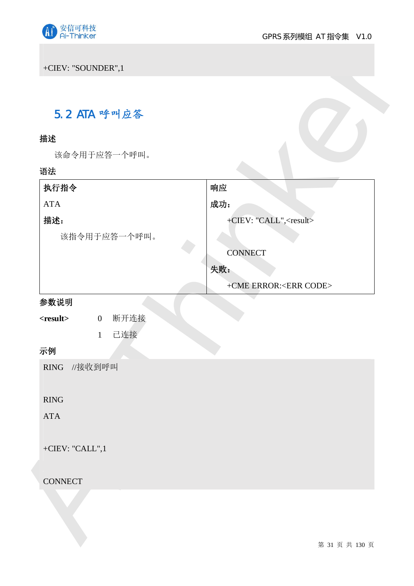

## 5.2 ATA 呼叫应答

### 描述

| 5.2 ATA 呼叫应答                             |                                  |
|------------------------------------------|----------------------------------|
| 描述                                       |                                  |
| 该命令用于应答一个呼叫。                             |                                  |
| 语法                                       |                                  |
| 执行指令                                     | 响应                               |
| ATA                                      | 成功:                              |
| 描述:                                      | +CIEV: "CALL", <result></result> |
| 该指令用于应答一个呼叫。                             |                                  |
|                                          | <b>CONNECT</b>                   |
|                                          | 失败:                              |
|                                          | +CME ERROR: <err code=""></err>  |
| 参数说明                                     |                                  |
| 断开连接<br>$<$ result $>$<br>$\overline{0}$ |                                  |
| 已连接<br>$\mathbf{1}$                      |                                  |
| 示例                                       |                                  |
| RING //接收到呼叫                             |                                  |
|                                          |                                  |
| RING                                     |                                  |
| ${\rm ATA}$                              |                                  |
|                                          |                                  |
| +CIEV: "CALL", $1$                       |                                  |
| <b>CONNECT</b>                           |                                  |
|                                          |                                  |
|                                          |                                  |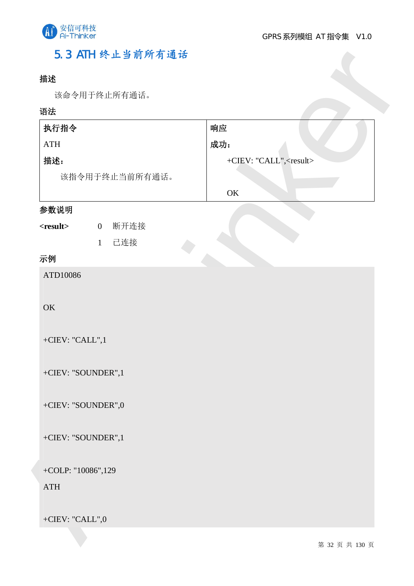

## 5.3 ATH 终止当前所有通话

### 描述

| 语法<br>执行指令                               | 响应                               |
|------------------------------------------|----------------------------------|
| <b>ATH</b>                               | 成功:                              |
| 描述:                                      | +CIEV: "CALL", <result></result> |
| 该指令用于终止当前所有通话。                           |                                  |
|                                          | $\mathrm{OK}$                    |
| 参数说明                                     |                                  |
| 断开连接<br>$<$ result $>$<br>$\overline{0}$ |                                  |
| 已连接<br>$\mathbf{1}$                      |                                  |
| 示例                                       |                                  |
| ATD10086                                 |                                  |
|                                          |                                  |
| OK                                       |                                  |
|                                          |                                  |
| +CIEV: "CALL", $1$                       |                                  |
| +CIEV: "SOUNDER",1                       |                                  |
|                                          |                                  |
| +CIEV: "SOUNDER",0                       |                                  |
|                                          |                                  |
| +CIEV: "SOUNDER",1                       |                                  |
|                                          |                                  |
| +COLP: " $10086$ ", $129$                |                                  |
| <b>ATH</b>                               |                                  |
|                                          |                                  |
|                                          |                                  |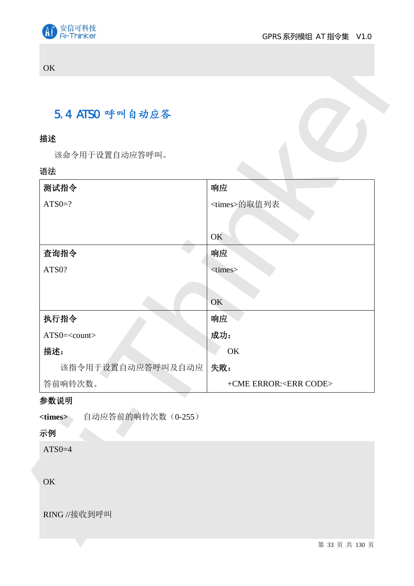

#### **OK**

## 5.4 ATSO 呼叫自动应答

## 描述

#### 语法

| 5.4 ATSO 呼叫自动应答                       |                                 |
|---------------------------------------|---------------------------------|
| 描述                                    |                                 |
| 该命令用于设置自动应答呼叫。                        |                                 |
| 语法                                    |                                 |
| 测试指令                                  | 响应                              |
| $ATS0=?$                              | <times>的取值列表</times>            |
|                                       |                                 |
|                                       | OK                              |
| 查询指令                                  | 响应                              |
| ATS0?                                 | <times></times>                 |
|                                       |                                 |
|                                       | OK                              |
| 执行指令                                  | 响应                              |
| ATS0= <count></count>                 | 成功:                             |
| 描述:                                   | OK                              |
| 该指令用于设置自动应答呼叫及自动应                     | 失败:                             |
| 答前响铃次数。                               | +CME ERROR: <err code=""></err> |
| 参数说明                                  |                                 |
| 自动应答前的响铃次数 (0-255)<br><times></times> |                                 |
| 示例                                    |                                 |
| $ATS0=4$                              |                                 |
| OK                                    |                                 |

### 参数说明

## 示例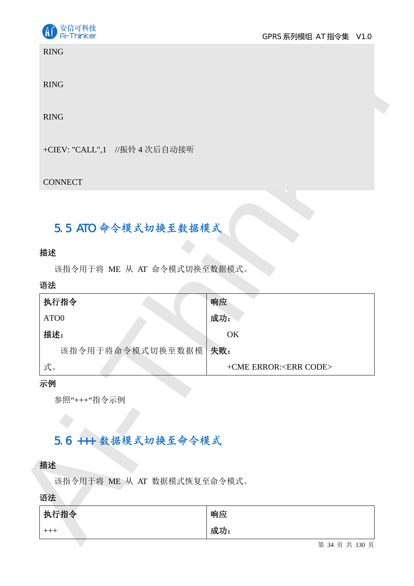

RING

## 5.5 ATO 命令模式切换至数据模式

#### 描述

#### 语法

| <b>RING</b>                   |                                 |
|-------------------------------|---------------------------------|
| <b>RING</b>                   |                                 |
| <b>RING</b>                   |                                 |
| +CIEV: "CALL",1 //振铃 4 次后自动接听 |                                 |
| <b>CONNECT</b>                |                                 |
|                               |                                 |
| 5.5 ATO 命令模式切换至数据模式           |                                 |
| 描述                            |                                 |
| 该指令用于将 ME 从 AT 命令模式切换至数据模式。   |                                 |
| 语法                            |                                 |
| 执行指令                          | 响应                              |
| ATO0                          | 成功:                             |
| 描述:                           | OK                              |
|                               |                                 |
| 该指令用于将命令模式切换至数据模              | 失败:                             |
| 式。                            | +CME ERROR: <err code=""></err> |
|                               |                                 |
| 参照"+++"指令示例                   |                                 |
|                               |                                 |
|                               |                                 |
| 5.6 +++ 数据模式切换至命令模式           |                                 |
|                               |                                 |
| 该指令用于将 ME 从 AT 数据模式恢复至命令模式。   |                                 |
|                               |                                 |
| 示例<br>描述<br>语法<br>执行指令        | 响应                              |

#### 示例

## 5.6 +++ 数据模式切换至命令模式

#### 描述

| 执行指令  | 响应  |
|-------|-----|
| $+++$ | 成功: |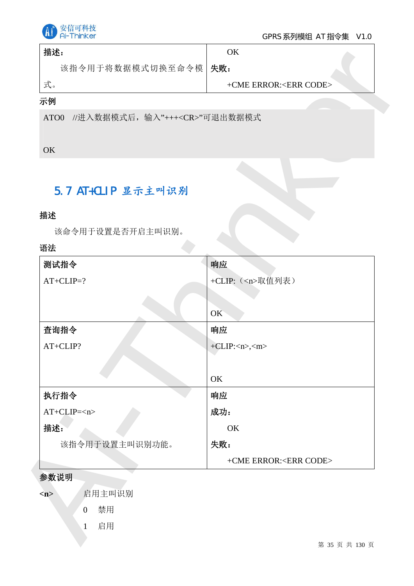

#### GPRS 系列模组 AT 指令集 V1.0

| 描述:                    | ЭK                          |  |
|------------------------|-----------------------------|--|
| 该指令用于将数据模式切换至命令模   失败: |                             |  |
| 式。                     | $+CME$ ERROR: $<$ ERR CODE> |  |

## 示例

## 5.7 AT+CLIP 显示主叫识别

### 描述

### 语法

| 描述:                                          | OK                              |
|----------------------------------------------|---------------------------------|
| 该指令用于将数据模式切换至命令模 失败:                         |                                 |
| 式。                                           | +CME ERROR: <err code=""></err> |
| 示例                                           |                                 |
| //进入数据模式后, 输入"+++ <cr>"可退出数据模式<br/>ATO0</cr> |                                 |
|                                              |                                 |
| OK                                           |                                 |
|                                              |                                 |
| 5.7 AT+CLIP 显示主叫识别                           |                                 |
|                                              |                                 |
| 描述                                           |                                 |
| 该命令用于设置是否开启主叫识别。<br>语法                       |                                 |
| 测试指令                                         | 响应                              |
| $AT+CLIP=?$                                  | +CLIP: ( <n>取值列表)</n>           |
|                                              |                                 |
|                                              | OK                              |
| 查询指令                                         | 响应                              |
| AT+CLIP?                                     | $+CLIP: , $                     |
|                                              |                                 |
|                                              | OK                              |
| 执行指令                                         | 响应                              |
| $AT+CLIP=$                                   | 成功:                             |
| 描述:                                          | OK                              |
| 该指令用于设置主叫识别功能。                               | 失败:                             |
|                                              | +CME ERROR: <err code=""></err> |
| 参数说明                                         |                                 |
| 启用主叫识别<br>m                                  |                                 |
| 禁用<br>$\overline{0}$                         |                                 |
| 启用<br>$\mathbf{1}$                           |                                 |
|                                              | 第 35 页 共 130 页                  |

#### 参数说明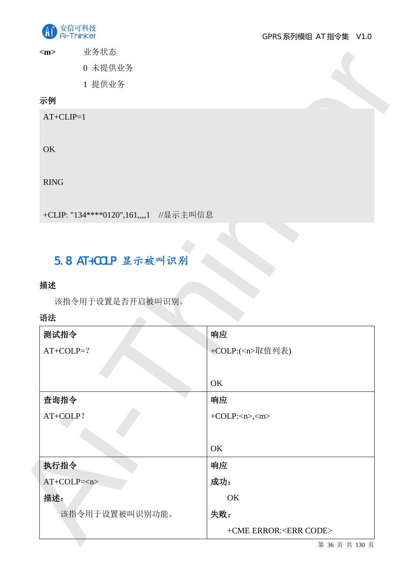

<m>
业务状态

## 示例

## 5.8 AT+COLP 显示被叫识别

## 描述

## 语法

| $<$ m $>$<br>业务状态                       |                      |
|-----------------------------------------|----------------------|
| 0 未提供业务                                 |                      |
| 1 提供业务                                  |                      |
| 示例                                      |                      |
| $AT+CLIP=1$                             |                      |
|                                         |                      |
| OK                                      |                      |
|                                         |                      |
| <b>RING</b>                             |                      |
|                                         |                      |
| +CLIP: "134****0120",161,,,,1 //显示主叫信息  |                      |
|                                         |                      |
|                                         |                      |
| 5.8 AT+COLP 显示被叫识别                      |                      |
|                                         |                      |
|                                         |                      |
| 该指令用于设置是否开启被叫识别。                        |                      |
|                                         |                      |
|                                         | 响应                   |
|                                         | +COLP:( <n>取值列表)</n> |
|                                         |                      |
|                                         | OK                   |
| 描述<br>语法<br>测试指令<br>$AT+COLP=?$<br>查询指令 | 响应                   |
| AT+COLP?                                | $+COLP:,$            |
|                                         |                      |
|                                         | OK                   |
|                                         | 响应                   |
| 执行指令<br>$AT+COLP=$                      | 成功:                  |
|                                         | OK                   |
| 描述:<br>该指令用于设置被叫识别功能。                   | 失败:                  |

第 36 页 共 130 页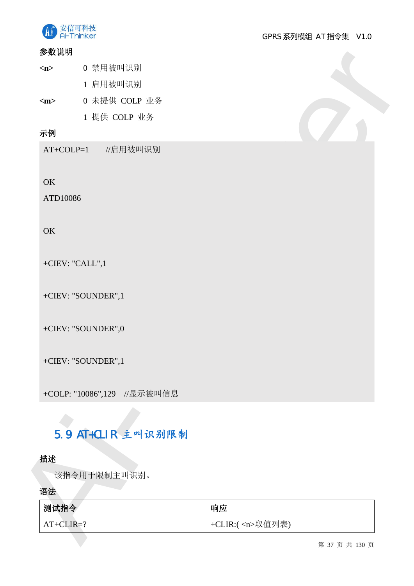

#### 参数说明

- <n> 0 禁用被叫识别 1 启用被叫识别
- <m>
0 未提供 COLP 业务 1 提供 COLP 业务

# 5.9 AT+CLIR 主叫识别限制

## 描述

| 参数说明                      |                             |                            |
|---------------------------|-----------------------------|----------------------------|
| $\langle n \rangle$       | 0 禁用被叫识别                    |                            |
|                           | 1 启用被叫识别                    |                            |
| $\rm <$ m $>$             | 0 未提供 COLP 业务               |                            |
|                           | 1 提供 COLP 业务                |                            |
| 示例                        |                             |                            |
| $AT+COLP=1$               | //启用被叫识别                    |                            |
|                           |                             |                            |
| OK                        |                             |                            |
| ATD10086                  |                             |                            |
|                           |                             |                            |
| OK                        |                             |                            |
|                           |                             |                            |
|                           | +CIEV: "CALL", $1$          |                            |
|                           | +CIEV: "SOUNDER",1          |                            |
|                           |                             |                            |
|                           | +CIEV: "SOUNDER",0          |                            |
|                           |                             |                            |
|                           | +CIEV: "SOUNDER",1          |                            |
|                           |                             |                            |
|                           | +COLP: "10086",129 //显示被叫信息 |                            |
|                           |                             |                            |
|                           | 5.9 AT+CLIR 主叫识别限制          |                            |
|                           |                             |                            |
| 描述                        |                             |                            |
|                           | 该指令用于限制主叫识别。                |                            |
|                           |                             |                            |
|                           |                             |                            |
| 语法<br>测试指令<br>$AT+CLIR=?$ |                             | 响应<br>+CLIR:( <n>取值列表)</n> |

第 37 页 共 130 页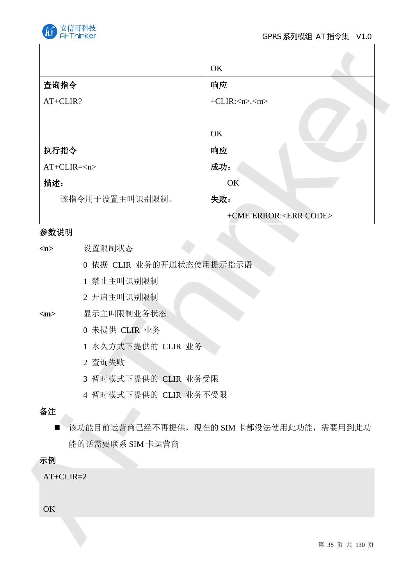

|                |                          | OK                                        |
|----------------|--------------------------|-------------------------------------------|
| 查询指令           |                          | 响应                                        |
| AT+CLIR?       |                          | $+CLIR: , $                               |
|                |                          |                                           |
|                |                          | OK                                        |
| 执行指令           |                          | 响应                                        |
|                | $AT+CLIR=$               | 成功:                                       |
| 描述:            |                          | OK                                        |
|                | 该指令用于设置主叫识别限制。           | 失败:                                       |
|                |                          | +CME ERROR: <err code=""></err>           |
| 参数说明           |                          |                                           |
| $<$ n $>$      | 设置限制状态                   |                                           |
|                | 0 依据 CLIR 业务的开通状态使用提示指示语 |                                           |
|                | 1 禁止主叫识别限制               |                                           |
|                | 2 开启主叫识别限制               |                                           |
| $<$ m $>$      | 显示主叫限制业务状态               |                                           |
|                | 0 未提供 CLIR 业务            |                                           |
|                | 1 永久方式下提供的 CLIR 业务       |                                           |
|                | 2 查询失败                   |                                           |
|                | 3 暂时模式下提供的 CLIR 业务受限     |                                           |
|                | 4 暂时模式下提供的 CLIR 业务不受限    |                                           |
| 备注             |                          |                                           |
| $\blacksquare$ |                          | 该功能目前运营商已经不再提供, 现在的 SIM 卡都没法使用此功能, 需要用到此功 |
|                | 能的话需要联系 SIM 卡运营商         |                                           |
| 示例             |                          |                                           |
| $AT+CLIR=2$    |                          |                                           |
|                |                          |                                           |
| OK             |                          |                                           |
|                |                          |                                           |
|                |                          | 第 38 页 共 130 页                            |

#### 参数说明

- 1 禁止主叫识别限制
- 2 开启主叫识别限制
- <m> 显示主叫限制业务状态
	- 0 未提供 CLIR 业务
	- 1 永久方式下提供的 CLIR 业务
	- 2 查询失败
	- 3 暂时模式下提供的 CLIR 业务受限
	- 4 暂时模式下提供的 CLIR 业务不受限

## 备注

## 示例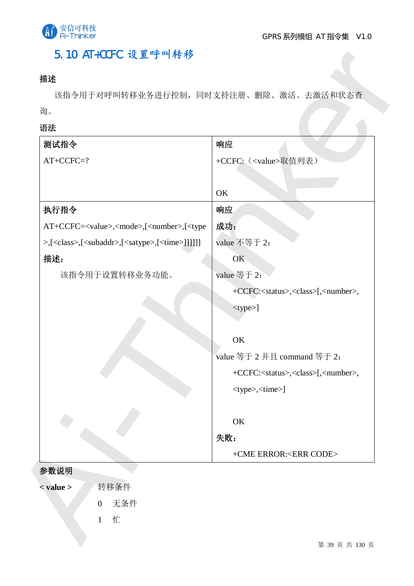

## 5.10 AT+CCFC 设置呼叫转移

## 描述

## 语法

| 询。                                                                                           |                                                              |
|----------------------------------------------------------------------------------------------|--------------------------------------------------------------|
| 语法                                                                                           |                                                              |
| 测试指令                                                                                         | 响应                                                           |
| $AT+CCFC=?$                                                                                  | +CCFC: ( <value>取值列表)</value>                                |
|                                                                                              |                                                              |
|                                                                                              | OK                                                           |
| 执行指令                                                                                         | 响应                                                           |
| AT+CCFC= <value>,<mode>,[<number>,[<type< td=""><td>成功:</td></type<></number></mode></value> | 成功:                                                          |
| >,[ <class>,[<subaddr>,[<satype>,[<time>]]]]]]</time></satype></subaddr></class>             | value 不等于 2:                                                 |
| 描述:                                                                                          | OK                                                           |
| 该指令用于设置转移业务功能。                                                                               | value 等于 2:                                                  |
|                                                                                              | +CCFC: <status>,<class>[,<number>,</number></class></status> |
|                                                                                              | <type>]</type>                                               |
|                                                                                              |                                                              |
|                                                                                              | OK                                                           |
|                                                                                              | value 等于 2 并且 command 等于 2:                                  |
|                                                                                              | +CCFC: <status>,<class>[,<number>,</number></class></status> |
|                                                                                              | <type>,<time>]</time></type>                                 |
|                                                                                              | OK                                                           |
|                                                                                              | 失败:                                                          |
|                                                                                              | +CME ERROR: <err code=""></err>                              |
| 参数说明                                                                                         |                                                              |
| 转移条件<br>$<$ value $>$                                                                        |                                                              |

- 
- 0 无条件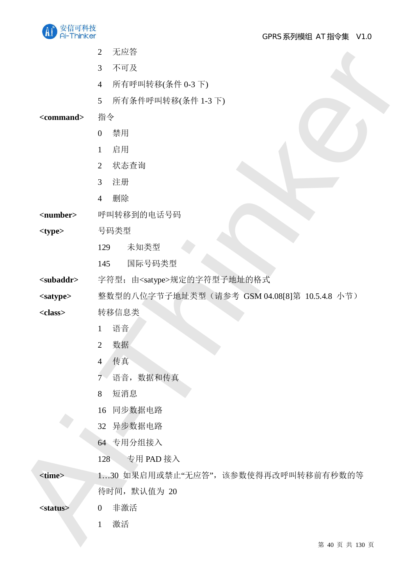

GPRS 系列模组 AT 指令集 V1.0

- 2 五級<br>
3 五阿拉里 4 所有引用等次条件 13 h)<br>
3 所有引用等次条件 13 h)<br>
3 所有作用将续条件 13 h)<br>
3 monuments<br>
2 体系有的相关<br>
4 期限<br>
4 期限<br>
4 期限<br>
4 期限<br>
4 期限<br>
4 期限<br>
4 期限<br>
4 monuments<br>
2 作用将数据<br>
6 monuments<br>
※ 数据 2 monuments<br>
※ 数据 2 monuments<br>
2 数据<br>
4 性子型 = com 2 无应答 3 不可及 4 所有呼叫转移(条件 0-3 下) 5 所有条件呼叫转移(条件 1-3 下) <command> 指令 0 禁用  $1$  启用 2 状态杳询 3 注册 4 删除 <number> 呼叫转移到的电话号码 <type> **DEPERENA 号码类型** 129 未知类型 145 国际号码类型 <subaddr> 字符型;由<satype>规定的字符型子地址的格式 <satype> 整数型的八位字节子地址类型(请参考 GSM 04.08[8]第 10.5.4.8 小节) <class> 转移信息类 1 语音 2 数据 4 传真 7 语音, 数据和传真 8 短消息 16 同步数据电路 32 异步数据电路 64 专用分组接入  $128$  专用 PAD 接入 <time> 1…30 如果启用或禁止"无应答",该参数使得再改呼叫转移前有秒数的等 待时间, 默认值为 20
	- <status> 0 非激活
		- 1 激活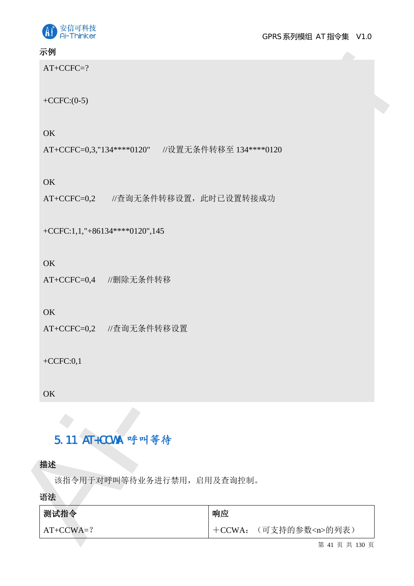

GPRS 系列模组 AT 指令集 V1.0

## 示例

## 5.11 AT+CCWA 呼叫等待

| 示例                                                    |          |                     |
|-------------------------------------------------------|----------|---------------------|
| $AT+CCFC=?$                                           |          |                     |
| +CCFC: $(0-5)$                                        |          |                     |
| OK                                                    |          |                     |
| AT+CCFC=0,3,"134 **** 0120" //设置无条件转移至 134 *** * 0120 |          |                     |
| OK                                                    |          |                     |
| AT+CCFC=0,2 //查询无条件转移设置, 此时已设置转接成功                    |          |                     |
| +CCFC:1,1,"+86134****0120",145                        |          |                     |
| OK                                                    |          |                     |
| AT+CCFC=0,4 //删除无条件转移                                 |          |                     |
| OK                                                    |          |                     |
| AT+CCFC=0,2 //查询无条件转移设置                               |          |                     |
| $+CCFC:0,1$                                           |          |                     |
|                                                       |          |                     |
| OK                                                    |          |                     |
| 5.11 AT+CCWA 呼叫等待                                     |          |                     |
|                                                       |          |                     |
| 描述<br>该指令用于对呼叫等待业务进行禁用, 启用及查询控制。                      |          |                     |
| 语法                                                    |          |                     |
| 测试指令                                                  | 响应       |                     |
| $AT+CCWA=?$                                           | $+CCWA:$ | (可支持的参数 <n>的列表)</n> |

第 41 页 共 130 页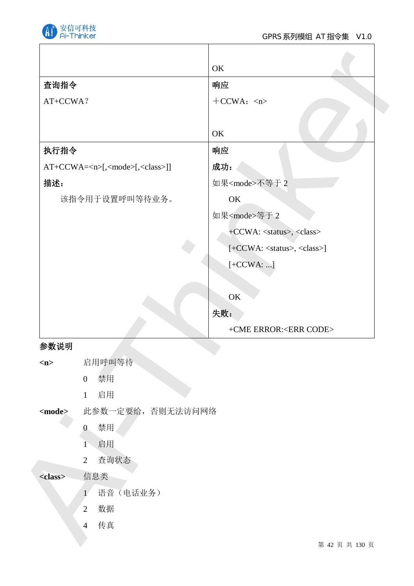

|                 |                                                    | OK                                          |
|-----------------|----------------------------------------------------|---------------------------------------------|
| 查询指令            |                                                    | 响应                                          |
| AT+CCWA?        |                                                    | $+CCWA: 1$                                  |
|                 |                                                    |                                             |
|                 |                                                    | OK                                          |
| 执行指令            |                                                    | 响应                                          |
|                 | AT+CCWA= <n>[,<mode>[,<class>]]</class></mode></n> | 成功:                                         |
| 描述:             |                                                    | 如果 <mode>不等于2</mode>                        |
|                 | 该指令用于设置呼叫等待业务。                                     | OK                                          |
|                 |                                                    | 如果 <mode>等于 2</mode>                        |
|                 |                                                    | +CCWA: <status>, <class></class></status>   |
|                 |                                                    | [+CCWA: <status>, <class>]</class></status> |
|                 |                                                    | $[+CCWA:]$                                  |
|                 |                                                    |                                             |
|                 |                                                    | OK                                          |
|                 |                                                    | 失败:                                         |
|                 |                                                    | +CME ERROR: <err code=""></err>             |
| 参数说明            |                                                    |                                             |
| m               | 启用呼叫等待                                             |                                             |
|                 | 禁用<br>$\boldsymbol{0}$                             |                                             |
|                 | 启用<br>$\mathbf{1}$                                 |                                             |
| $<$ mode $>$    | 此参数一定要给,否则无法访问网络                                   |                                             |
|                 | 禁用<br>$\overline{0}$                               |                                             |
|                 | 启用<br>$1 -$                                        |                                             |
|                 | 查询状态<br>$\overline{2}$                             |                                             |
| <class></class> | 信息类                                                |                                             |
|                 | 语音 (电话业务)<br>$\mathbf{1}$                          |                                             |
|                 | 数据<br>$\overline{2}$                               |                                             |
|                 | 传真<br>$\overline{4}$                               |                                             |
|                 |                                                    | 第 42 页 共 130 页                              |

## 参数说明

| m               |                       | 启用呼叫等待           |
|-----------------|-----------------------|------------------|
|                 | $\overline{0}$        | 禁用               |
|                 | $\mathbf{1}$          | 启用               |
| <mode></mode>   |                       | 此参数一定要给,否则无法访问网络 |
|                 | $\overline{0}$        | 禁用               |
|                 | $\overline{1}$        | 启用               |
|                 | $\overline{2}$        | 查询状态             |
| <class></class> |                       | 信息类              |
|                 | $\mathbf{1}^{\prime}$ | 语音(电话业务)         |
|                 | $\overline{2}$        | 数据               |
|                 | $\overline{4}$        | 传真               |
|                 |                       |                  |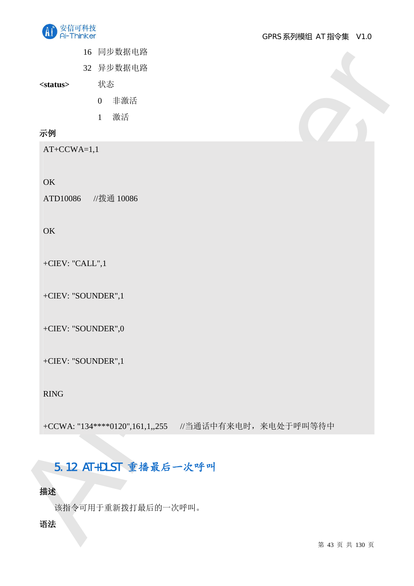

- 16 同步数据电路
- 32 异步数据电路

<status>
米态

- 0 非激活
- 1 激活

## 示例

AT+CCWA=1,1

#### OK

ATD10086 //拨通 10086

#### **OK**

+CIEV: "CALL",1

+CIEV: "SOUNDER",1

+CIEV: "SOUNDER",0

+CIEV: "SOUNDER",1

RING

And the set of the set of the set of the set of the set of the set of the set of the set of the set of the set of the set of the set of the set of the set of the set of the set of the set of the set of the set of the set +CCWA: "134 \*\*\*\* 0120", 161, 1,, 255 //当通话中有来电时, 来电处于呼叫等待中

## 5.12 AT+DLST 重播最后一次呼叫

## 描述

该指令可用于重新拨打最后的一次呼叫。

## 语法

第 43 页 共 130 页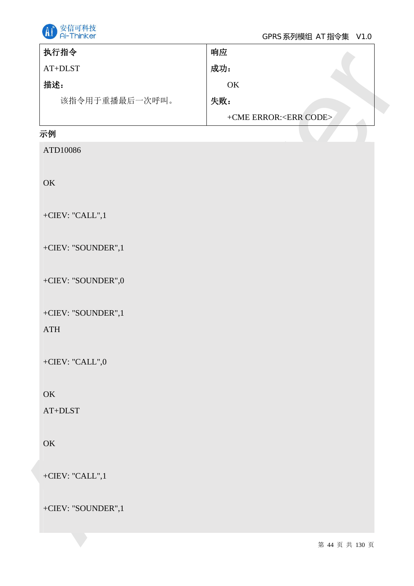

#### GPRS 系列模组 AT 指令集 V1.0

| $AT+DLST$          | 成功:                             |
|--------------------|---------------------------------|
|                    |                                 |
| 描述:                | $\mathrm{OK}$                   |
| 该指令用于重播最后一次呼叫。     | 失败:                             |
|                    | +CME ERROR: <err code=""></err> |
| 示例                 |                                 |
| ATD10086           |                                 |
|                    |                                 |
| OK                 |                                 |
|                    |                                 |
| +CIEV: "CALL",1    |                                 |
|                    |                                 |
| +CIEV: "SOUNDER",1 |                                 |
| +CIEV: "SOUNDER",0 |                                 |
|                    |                                 |
| +CIEV: "SOUNDER",1 |                                 |
| ATH                |                                 |
|                    |                                 |
| +CIEV: "CALL",0    |                                 |
|                    |                                 |
| OK                 |                                 |
| $AT+DLST$          |                                 |
|                    |                                 |
| OK                 |                                 |
|                    |                                 |
| +CIEV: "CALL", $1$ |                                 |
| +CIEV: "SOUNDER",1 |                                 |
|                    |                                 |
|                    | 第 44 页 共 130 页                  |

## 示例

## **OK**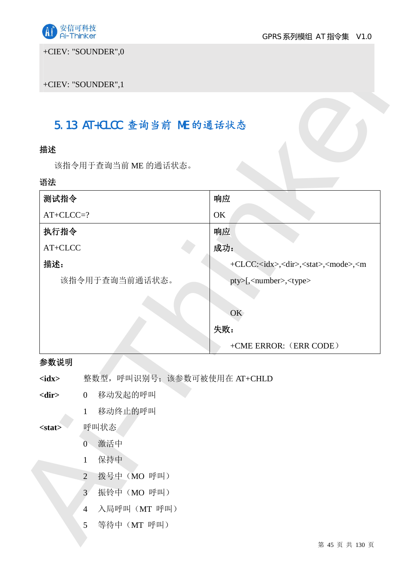

+CIEV: "SOUNDER",0

## 5.13 AT+CLCC 查询当前 ME 的通话状态

## 描述

#### 语法

| 描述<br>语法     | 该指令用于查询当前 ME 的通话状态。           |                                                                            |
|--------------|-------------------------------|----------------------------------------------------------------------------|
|              |                               |                                                                            |
|              |                               |                                                                            |
|              |                               |                                                                            |
| 测试指令         |                               | 响应                                                                         |
| $AT+CLCC=?$  |                               | OK                                                                         |
| 执行指令         |                               | 响应<br>成功:                                                                  |
| AT+CLCC      |                               |                                                                            |
| 描述:          |                               | +CLCC: <idx>,<dir>,<stat>,<mode>,<m< td=""></m<></mode></stat></dir></idx> |
|              | 该指令用于查询当前通话状态。                | pty>[, <number>,<type></type></number>                                     |
|              |                               | OK                                                                         |
|              |                               | 失败:                                                                        |
|              |                               | +CME ERROR: (ERR CODE)                                                     |
| 参数说明         |                               |                                                                            |
| $<$ idx $>$  | 整数型,呼叫识别号;该参数可被使用在 AT+CHLD    |                                                                            |
| $<$ dir $>$  | 移动发起的呼叫<br>$\overline{0}$     |                                                                            |
|              | 移动终止的呼叫<br>$\mathbf{1}$       |                                                                            |
| $<$ stat $>$ | 呼叫状态                          |                                                                            |
|              | 0 激活中                         |                                                                            |
|              | 保持中<br>$\mathbf{1}$           |                                                                            |
|              | 拨号中 (MO 呼叫)<br>$\overline{2}$ |                                                                            |
|              | 振铃中 (MO 呼叫)<br>3              |                                                                            |
|              |                               |                                                                            |
|              | 入局呼叫(MT 呼叫)<br>$\overline{4}$ |                                                                            |

## 参数说明

- <dir> 0 移动发起的呼叫
	- 1 移动终止的呼叫

#### <stat> 呼叫状态

- 0 激活中
- 1 保持中
- 2 拨号中 (MO 呼叫)
- 3 振铃中 (MO 呼叫)
- 4 入局呼叫 (MT 呼叫)
- 5 等待中 (MT 呼叫)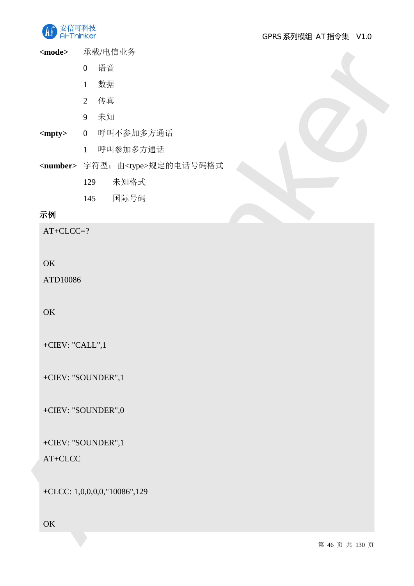

<mode> 承载/电信业务

- 0 语音
- 1 数据
- 2 传真
- 9 未知
- <mpty> 0 呼叫不参加多方通话
	- 1 呼叫参加多方通话
- Ai-Thinker <number> 字符型; 由<type>规定的电话号码格式
	- 129 未知格式
	- 145 国际号码

## 示例

AT+CLCC=?

## OK

ATD10086

#### **OK**

+CIEV: "CALL",1

+CIEV: "SOUNDER",1

+CIEV: "SOUNDER",0

+CIEV: "SOUNDER",1

AT+CLCC

+CLCC: 1,0,0,0,0,"10086",129

**OK**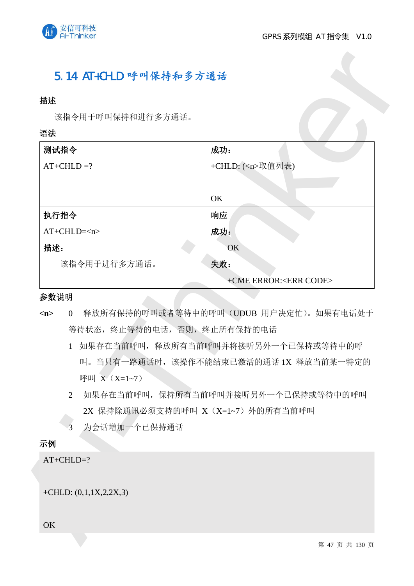

## 5.14 AT+CHLD 呼叫保持和多方通话

#### 描述

#### 语法

| 描述                           |                                        |
|------------------------------|----------------------------------------|
| 该指令用于呼叫保持和进行多方通话。<br>语法      |                                        |
|                              |                                        |
| 测试指令                         | 成功:                                    |
| $AT+CHLD=?$                  | +CHLD: ( <n>取值列表)</n>                  |
|                              |                                        |
|                              | OK                                     |
| 执行指令                         | 响应                                     |
| $AT+CHLD=$                   | 成功:                                    |
| 描述:                          | OK<br>失败:                              |
| 该指令用于进行多方通话。                 | +CME ERROR: <err code=""></err>        |
| 参数说明                         |                                        |
| $\overline{0}$<br>m          | 释放所有保持的呼叫或者等待中的呼叫(UDUB 用户决定忙)。如果有电话处于  |
| 等待状态, 终止等待的电话, 否则, 终止所有保持的电话 |                                        |
| $\mathbf{1}$                 | 如果存在当前呼叫, 释放所有当前呼叫并将接听另外一个已保持或等待中的呼    |
|                              | 叫。当只有一路通话时, 该操作不能结束已激活的通话 1X 释放当前某一特定的 |
| 呼叫 X (X=1~7)                 |                                        |
| $\overline{2}$               | 如果存在当前呼叫, 保持所有当前呼叫并接听另外一个已保持或等待中的呼叫    |
|                              | 2X 保持除通讯必须支持的呼叫 X (X=1~7) 外的所有当前呼叫     |
| 为会话增加一个已保持通话<br>3            |                                        |
| 示例                           |                                        |
| $AT+CHLD=?$                  |                                        |
|                              |                                        |
|                              |                                        |
| +CHLD: $(0,1,1X,2,2X,3)$     |                                        |
|                              |                                        |
| OK                           |                                        |
|                              |                                        |

#### 参数说明

- <n> 0 释放所有保持的呼叫或者等待中的呼叫(UDUB 用户决定忙)。如果有电话处于 等待状态, 终止等待的电话, 否则, 终止所有保持的电话
	- 1 如果存在当前呼叫,释放所有当前呼叫并将接听另外一个已保持或等待中的呼 叫。当只有一路通话时,该操作不能结束已激活的通话 1X 释放当前某一特定的 呼叫 X (X=1~7)
	- 2 如果存在当前呼叫, 保持所有当前呼叫并接听另外一个已保持或等待中的呼叫 2X 保持除通讯必须支持的呼叫 X (X=1~7) 外的所有当前呼叫
	- 3 为会话增加一个已保持通话

## 示例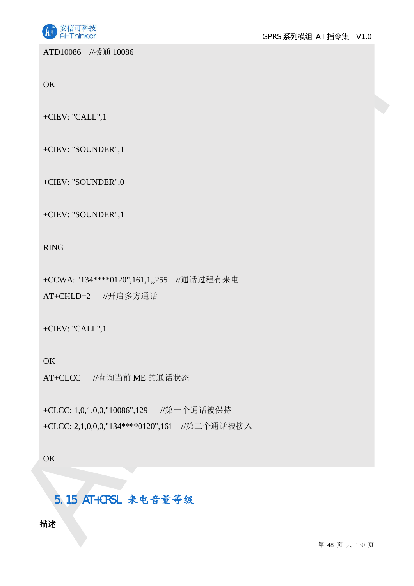

ATD10086 //拨通 10086

**OK** 

+CIEV: "CALL",1

+CIEV: "SOUNDER",1

+CIEV: "SOUNDER",0

+CIEV: "SOUNDER",1

RING

+CCWA: "134 \*\*\*\* 0120", 161, 1,, 255 //通话过程有来电

AT+CHLD=2 //开启多方通话

+CIEV: "CALL",1

**OK** 

AT+CLCC //查询当前 ME 的通话状态

ATHORSE 2224 10086<br>
OK<br>
CHEV: "SOUNDER",1<br>
CHEV: "SOUNDER",1<br>
CHEV: "SOUNDER",1<br>
<br>
CHEV: "SOUNDER",1<br>
<br>
AI-THID-2 2/F.93を分類式<br>
AT-CHED-2 2/F.93を分類式<br>
CHEV: "CALL",1<br>
OK<br>
AT-CHED-2 2/F.93を分類式<br>
CHEV: "CALL",1<br>
OK<br>
AT-CHEO-2 ( +CLCC: 1,0,1,0,0,"10086",129 //第一个通话被保持 +CLCC: 2,1,0,0,0,"134\*\*\*\*0120",161 //第二个通话被接入

**OK** 

5.15 AT+CRSL 来电音量等级

描述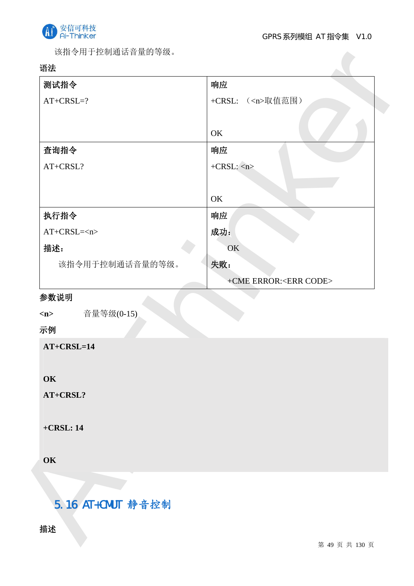

该指令用于控制通话音量的等级。

## 语法

| 测试指令                                                    | 响应                                     |
|---------------------------------------------------------|----------------------------------------|
| $AT+CRSL=?$                                             | ( <n>取值范围)<br/><math>+CRSL:</math></n> |
|                                                         |                                        |
|                                                         | OK                                     |
| 查询指令                                                    | 响应                                     |
| AT+CRSL?                                                | $+CRSL:$ <n></n>                       |
|                                                         |                                        |
|                                                         | OK                                     |
| 执行指令                                                    | 响应                                     |
| $AT+CRSL=$                                              | 成功:                                    |
| 描述:                                                     | OK                                     |
| 该指令用于控制通话音量的等级。                                         | 失败:                                    |
|                                                         | +CME ERROR: <err code=""></err>        |
|                                                         |                                        |
| 音量等级(0-15)                                              |                                        |
|                                                         |                                        |
|                                                         |                                        |
|                                                         |                                        |
|                                                         |                                        |
|                                                         |                                        |
| m<br>示例<br>$AT+CRSL=14$<br>OK<br>AT+CRSL?<br>$+CRSL:14$ |                                        |
|                                                         |                                        |
|                                                         |                                        |
|                                                         |                                        |
| OK                                                      |                                        |
| 5.16 AT+CMUT 静音控制                                       |                                        |
| 描述                                                      |                                        |

# 5.16 AT+CMUT 静音控制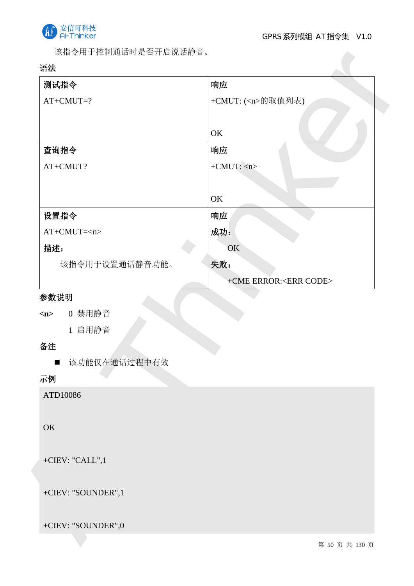

该指令用于控制通话时是否开启说话静音。

## 语法

| 测试指令                          | 响应                              |
|-------------------------------|---------------------------------|
| $AT+CMUT=?$                   | +CMUT: ( <n>的取值列表)</n>          |
|                               |                                 |
|                               | OK                              |
| 查询指令                          | 响应                              |
| AT+CMUT?                      | $+CMUT:$ $\langle n \rangle$    |
|                               |                                 |
|                               | OK                              |
| 设置指令                          | 响应                              |
| $AT+CMUT=$                    | 成功:                             |
| 描述:                           | OK                              |
| 该指令用于设置通话静音功能。                | 失败:                             |
|                               | +CME ERROR: <err code=""></err> |
| 参数说明                          |                                 |
| 0 禁用静音<br>$\langle n \rangle$ |                                 |
| 1 启用静音                        |                                 |
| 备注                            |                                 |
| ■ 该功能仅在通话过程中有效                |                                 |
| 示例                            |                                 |
| ATD10086                      |                                 |
|                               |                                 |
| OK                            |                                 |
|                               |                                 |
| +CIEV: "CALL",1               |                                 |
|                               |                                 |
| +CIEV: "SOUNDER",1            |                                 |
|                               |                                 |
| +CIEV: "SOUNDER",0            |                                 |
|                               | 第 50 页 共 130 页                  |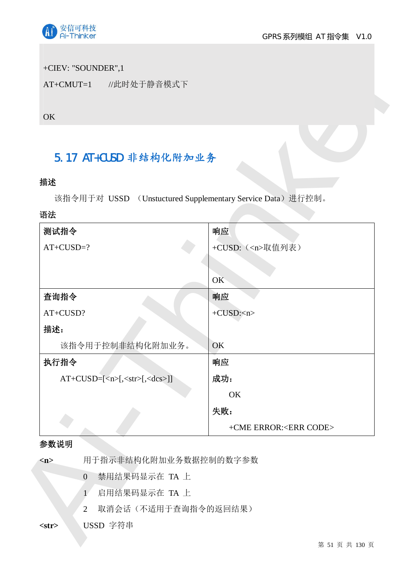

### +CIEV: "SOUNDER",1

## 5.17 AT+CUSD 非结构化附加业务

## 描述

#### 语法

| OK                                                                      |                                 |
|-------------------------------------------------------------------------|---------------------------------|
|                                                                         |                                 |
| 5.17 AT+CUSD 非结构化附加业务                                                   |                                 |
| 描述                                                                      |                                 |
| 该指令用于对 USSD (Unstuctured Supplementary Service Data) 进行控制。              |                                 |
| 语法                                                                      |                                 |
| 测试指令                                                                    | 响应                              |
| $AT+CUSD=?$                                                             | +CUSD: ( <n>取值列表)</n>           |
|                                                                         |                                 |
|                                                                         | OK                              |
| 查询指令                                                                    | 响应                              |
| AT+CUSD?                                                                | $+CUSD:n$                       |
| 描述:                                                                     |                                 |
| 该指令用于控制非结构化附加业务。                                                        | OK                              |
| 执行指令                                                                    | 响应                              |
| $AT+CUSD=[\langle n \rangle, \langle str \rangle, \langle dcs \rangle]$ | 成功:                             |
|                                                                         | OK                              |
|                                                                         | 失败:                             |
|                                                                         | +CME ERROR: <err code=""></err> |
| 参数说明                                                                    |                                 |
| 用于指示非结构化附加业务数据控制的数字参数<br>m                                              |                                 |
| 禁用结果码显示在 TA 上<br>$\overline{0}$                                         |                                 |
| 启用结果码显示在 TA 上<br>Ŧ                                                      |                                 |

#### 参数说明

- 2 取消会话(不适用于查询指令的返回结果)
- <str> USSD 字符串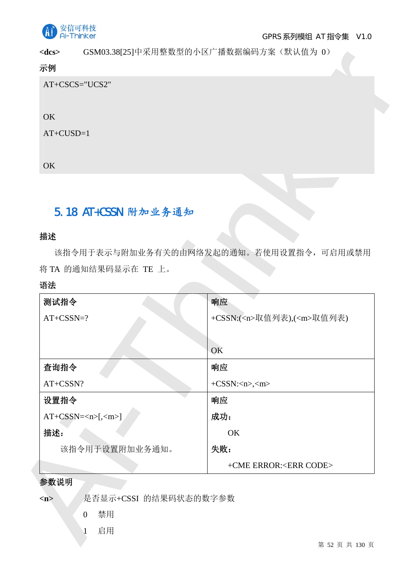

<dcs> GSM03.38[25]中采用整数型的小区广播数据编码方案(默认值为 0)

## 示例

## 5.18 AT+CSSN 附加业务通知

#### 描述

#### 语法

| $<$ dcs $>$<br>示例                            | GSM03.38[25]甲米用整数型的小区厂播数据编码万案(默认值为 0)  |
|----------------------------------------------|----------------------------------------|
| AT+CSCS="UCS2"                               |                                        |
|                                              |                                        |
| OK                                           |                                        |
| $AT+CUSD=1$                                  |                                        |
|                                              |                                        |
| OK                                           |                                        |
|                                              |                                        |
|                                              |                                        |
| 5.18 AT+CSSN 附加业务通知                          |                                        |
| 描述                                           |                                        |
|                                              | 该指令用于表示与附加业务有关的由网络发起的通知。若使用设置指令,可启用或禁用 |
| 将 TA 的通知结果码显示在 TE 上。                         |                                        |
| 语法                                           |                                        |
| 测试指令                                         | 响应                                     |
| $AT+CSSN=?$                                  | +CSSN:( <n>取值列表),(<m>取值列表)</m></n>     |
|                                              |                                        |
|                                              | OK                                     |
| 查询指令                                         | 响应                                     |
| AT+CSSN?                                     | $+CSSN:msinm$                          |
| 设置指令                                         | 响应                                     |
| $AT+CSSN=[,[]$                               | 成功:                                    |
| 描述:                                          | OK                                     |
| 该指令用于设置附加业务通知。                               | 失败:                                    |
|                                              | +CME ERROR: <err code=""></err>        |
| 参数说明                                         |                                        |
| 是否显示+CSSI 的结果码状态的数字参数<br>$\langle n \rangle$ |                                        |
| 禁用<br>$\mathbf{0}$                           |                                        |
| 启用                                           |                                        |
|                                              | 第 52 页 共 130 页                         |

#### 参数说明

## 1 启用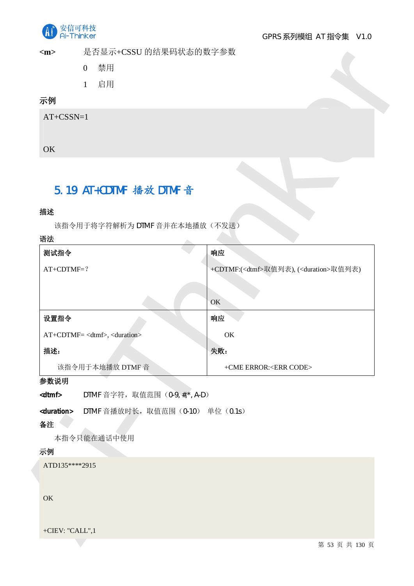

<m> 是否显示+CSSU 的结果码状态的数字参数

- 0 禁用
	- 1 启用

## 示例

## 5.19 AT+CDTMF 播放 DTMF 音

#### 描述

| $<$ m $>$<br>是合显示+CSSU 的结果码状态的数子参数                         |                                                          |
|------------------------------------------------------------|----------------------------------------------------------|
| 禁用<br>$\overline{0}$                                       |                                                          |
| 启用<br>$\mathbf{1}$                                         |                                                          |
| 示例                                                         |                                                          |
| $AT+CSSN=1$                                                |                                                          |
|                                                            |                                                          |
| OK                                                         |                                                          |
|                                                            |                                                          |
| 5.19 AT+CDTMF 播放 DTMF 音                                    |                                                          |
|                                                            |                                                          |
| 描述                                                         |                                                          |
| 该指令用于将字符解析为 DTMF 音并在本地播放(不发送)<br>语法                        |                                                          |
| 测试指令                                                       | 响应                                                       |
| $AT+CDTMF=?$                                               | +CDTMF:( <dtmf>取值列表), (<duration>取值列表)</duration></dtmf> |
|                                                            |                                                          |
|                                                            | OK                                                       |
| 设置指令                                                       | 响应                                                       |
| AT+CDTMF= <dtmf>,<duration></duration></dtmf>              | OK                                                       |
| 描述:                                                        | 失败:                                                      |
| 该指令用于本地播放 DTMF 音                                           | +CME ERROR: <err code=""></err>                          |
| 参数说明                                                       |                                                          |
| DTMF 音字符, 取值范围 (0-9, #,*, A-D)<br><dtmf></dtmf>            |                                                          |
| DTMF 音播放时长, 取值范围 (0-10) 单位 (0.1s)<br><duration></duration> |                                                          |
| 备注                                                         |                                                          |
| 本指令只能在通话中使用<br>示例                                          |                                                          |
| ATD135****2915                                             |                                                          |
|                                                            |                                                          |
| OK                                                         |                                                          |
|                                                            |                                                          |
| +CIEV: "CALL",1                                            |                                                          |
|                                                            | 第 53 页 共 130 页                                           |

#### 参数说明

#### 备注

#### 示例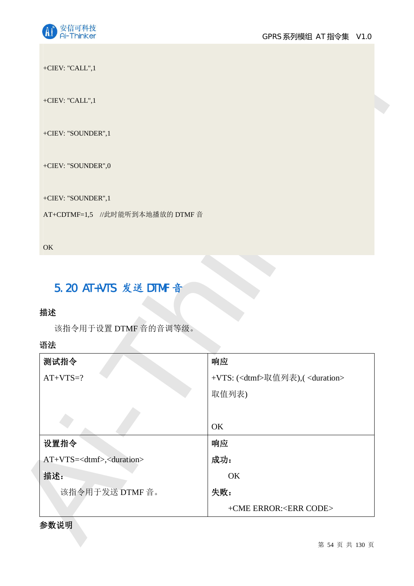

## 5.20 AT+VTS 发送 DTMF 音

## 描述

#### 语法

| +CIEV: "CALL",1                             |                                                   |  |
|---------------------------------------------|---------------------------------------------------|--|
| +CIEV: "SOUNDER",1                          |                                                   |  |
| +CIEV: "SOUNDER",0                          |                                                   |  |
| +CIEV: "SOUNDER",1                          |                                                   |  |
| AT+CDTMF=1,5 //此时能听到本地播放的 DTMF 音            |                                                   |  |
|                                             |                                                   |  |
| OK                                          |                                                   |  |
|                                             |                                                   |  |
|                                             |                                                   |  |
|                                             |                                                   |  |
| 5.20 AT+VTS 发送 DTMF 音                       |                                                   |  |
| 描述                                          |                                                   |  |
| 该指令用于设置 DTMF 音的音调等级。                        |                                                   |  |
| 语法                                          |                                                   |  |
| 测试指令                                        | 响应                                                |  |
| $AT+VTS=?$                                  | +VTS: ( <dtmf>取值列表),(<duration></duration></dtmf> |  |
|                                             | 取值列表)                                             |  |
|                                             |                                                   |  |
|                                             | OK                                                |  |
| 设置指令                                        | 响应                                                |  |
| AT+VTS= <dtmf>,<duration></duration></dtmf> | 成功:                                               |  |
| 描述:                                         | OK                                                |  |
| 该指令用于发送 DTMF 音。                             | 失败:                                               |  |

### 参数说明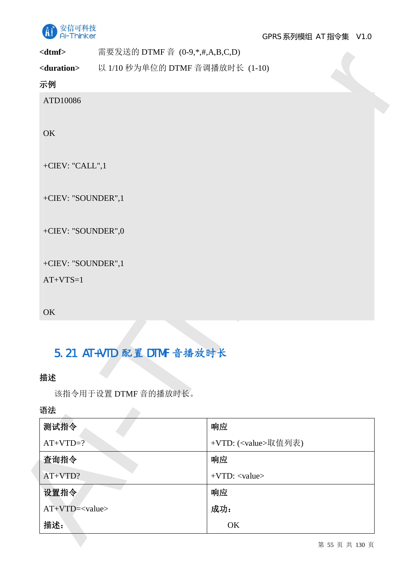

**<dtmf>** 䴰㾱ਁ䘱Ⲵ DTMF 丣 (0-9,\*,#,A,B,C,D)

## 示例

## 5.21 AT+VTD 配置 DTMF 音播放时长

## 描述

# 语法

|                                                                        |                                 | 需要友送的 DTMF 首 (0-9,*,#,A,B,C,D) |  |
|------------------------------------------------------------------------|---------------------------------|--------------------------------|--|
| <duration></duration>                                                  | 以 1/10 秒为单位的 DTMF 音调播放时长 (1-10) |                                |  |
| 示例                                                                     |                                 |                                |  |
| ATD10086                                                               |                                 |                                |  |
|                                                                        |                                 |                                |  |
| OK                                                                     |                                 |                                |  |
|                                                                        |                                 |                                |  |
| +CIEV: "CALL",1                                                        |                                 |                                |  |
| +CIEV: "SOUNDER",1                                                     |                                 |                                |  |
|                                                                        |                                 |                                |  |
| +CIEV: "SOUNDER",0                                                     |                                 |                                |  |
|                                                                        |                                 |                                |  |
| +CIEV: "SOUNDER",1                                                     |                                 |                                |  |
| $AT+VTS=1$                                                             |                                 |                                |  |
|                                                                        |                                 |                                |  |
| OK                                                                     |                                 |                                |  |
|                                                                        |                                 |                                |  |
|                                                                        |                                 |                                |  |
|                                                                        | 5.21 AT+VTD 配置 DTMF 音播放时长       |                                |  |
|                                                                        |                                 |                                |  |
|                                                                        |                                 |                                |  |
|                                                                        | 该指令用于设置 DTMF 音的播放时长。            |                                |  |
|                                                                        |                                 | 响应                             |  |
|                                                                        |                                 | +VTD: ( <value>取值列表)</value>   |  |
|                                                                        |                                 | 响应                             |  |
|                                                                        |                                 | $+VTD$ : <value></value>       |  |
|                                                                        |                                 | 响应                             |  |
| 描述<br>语法<br>测试指令<br>$AT+VTD=?$<br>查询指令<br>AT+VTD?<br>设置指令<br>$AT+VTD=$ |                                 | 成功:                            |  |

第 55 页 共 130 页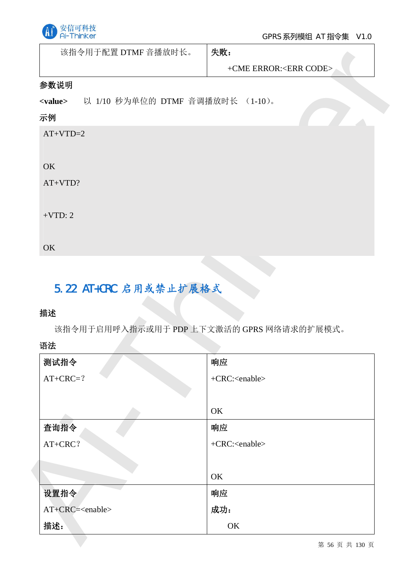

该指令用于配置 DTMF 音播放时长。 | 失败:

## 参数说明

### 示例

## 5.22 AT+CRC 启用或禁止扩展格式

## 描述

## 语法

|                 | 该指令用士配置 DTMF 音播放时长。              | 失败:                                       |
|-----------------|----------------------------------|-------------------------------------------|
|                 |                                  | +CME ERROR: <err code=""></err>           |
| 参数说明            |                                  |                                           |
| <value></value> | 以 1/10 秒为单位的 DTMF 音调播放时长 (1-10)。 |                                           |
| 示例              |                                  |                                           |
| $AT+VTD=2$      |                                  |                                           |
|                 |                                  |                                           |
| OK              |                                  |                                           |
| $AT+VTD?$       |                                  |                                           |
|                 |                                  |                                           |
| $+VTD: 2$       |                                  |                                           |
|                 |                                  |                                           |
| OK              |                                  |                                           |
|                 |                                  |                                           |
|                 |                                  |                                           |
|                 |                                  |                                           |
|                 | 5.22 AT+CRC 启用或禁止扩展格式            |                                           |
| 描述              |                                  |                                           |
|                 |                                  | 该指令用于启用呼入指示或用于 PDP 上下文激活的 GPRS 网络请求的扩展模式。 |
|                 |                                  |                                           |
| 语法<br>测试指令      |                                  | 响应                                        |
| $AT+ CRC=?$     |                                  | +CRC: <enable></enable>                   |
|                 |                                  |                                           |
|                 |                                  | OK                                        |
| 查询指令            |                                  | 响应                                        |
| AT+CRC?         |                                  | +CRC: <enable></enable>                   |
|                 |                                  |                                           |
|                 |                                  | OK                                        |
| 设置指令            |                                  | 响应                                        |
|                 | AT+CRC= <enable></enable>        | 成功:                                       |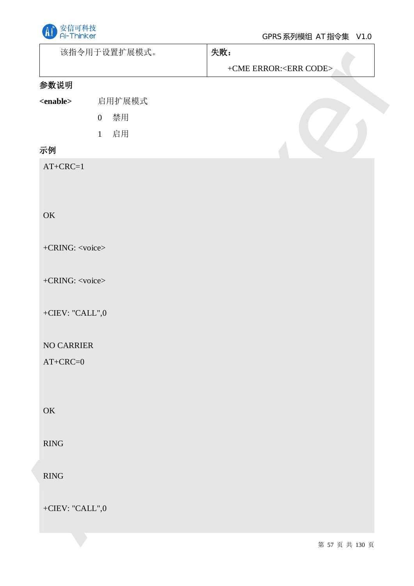

|                         | 该指令用于设置扩展模式。       | 失败:                             |
|-------------------------|--------------------|---------------------------------|
|                         |                    | +CME ERROR: <err code=""></err> |
| 参数说明                    |                    |                                 |
| $enable$                | 启用扩展模式             |                                 |
|                         | 禁用<br>$\mathbf{0}$ |                                 |
|                         | 启用<br>$\mathbf{1}$ |                                 |
| 示例                      |                    |                                 |
| $AT+ CRC=1$             |                    |                                 |
|                         |                    |                                 |
|                         |                    |                                 |
| OK                      |                    |                                 |
|                         |                    |                                 |
| +CRING: <voice></voice> |                    |                                 |
|                         |                    |                                 |
| +CRING: <voice></voice> |                    |                                 |
| +CIEV: "CALL",0         |                    |                                 |
|                         |                    |                                 |
| NO CARRIER              |                    |                                 |
| $AT+CRC=0$              |                    |                                 |
|                         |                    |                                 |
|                         |                    |                                 |
| $\mathbf{OK}$           |                    |                                 |
|                         |                    |                                 |
| RING                    |                    |                                 |
|                         |                    |                                 |
| RING                    |                    |                                 |
|                         |                    |                                 |
| +CIEV: "CALL",0 $\,$    |                    |                                 |
|                         |                    |                                 |
|                         |                    | 第 57 页 共 130 页                  |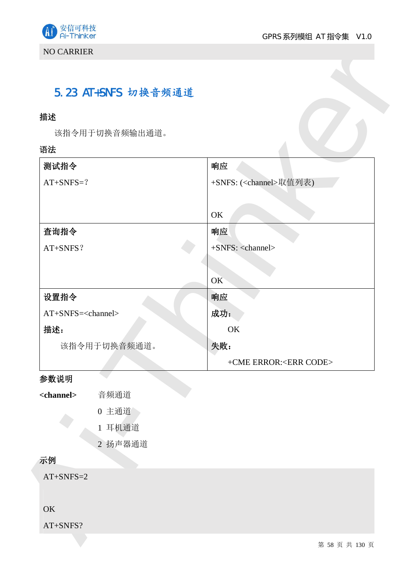

## 5.23 AT+SNFS 切换音频通道

## 描述

#### 语法

| 描述                           |                |                                   |
|------------------------------|----------------|-----------------------------------|
|                              | 该指令用于切换音频输出通道。 |                                   |
| 语法                           |                |                                   |
| 测试指令                         |                | 响应                                |
| $AT+SNFS=?$                  |                | +SNFS: ( <channel>取值列表)</channel> |
|                              |                |                                   |
|                              |                | OK                                |
| 查询指令                         |                | 响应                                |
| AT+SNFS?                     |                | $+$ SNFS: <channel></channel>     |
|                              |                |                                   |
|                              |                | OK                                |
| 设置指令                         |                | 响应                                |
| AT+SNFS= <channel></channel> |                | 成功:                               |
| 描述:                          |                | OK                                |
|                              | 该指令用于切换音频通道。   | 失败:                               |
|                              |                | +CME ERROR: <err code=""></err>   |
| 参数说明                         |                |                                   |
| <channel></channel>          | 音频通道           |                                   |
|                              | 0 主通道          |                                   |
|                              | 1 耳机通道         |                                   |
|                              | 2 扬声器通道        |                                   |
| 示例                           |                |                                   |
| $AT+SNFS=2$                  |                |                                   |
| OK                           |                |                                   |
| AT+SNFS?                     |                |                                   |
|                              |                | 第 58 页 共 130 页                    |

## 参数说明

| <channel></channel> | 音频通道 |
|---------------------|------|
|                     |      |

- 0 主通道
- 1 耳机通道
- 2 扬声器通道

## 示例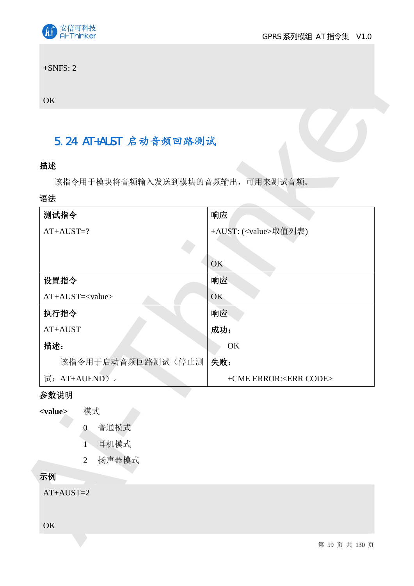

## 5.24 AT+AUST 启动音频回路测试

## 描述

#### 语法

| 5.24 AT+AUST 启动音频回路测试           |                                 |
|---------------------------------|---------------------------------|
| 描述                              |                                 |
| 该指令用于模块将音频输入发送到模块的音频输出,可用来测试音频。 |                                 |
| 语法                              |                                 |
| 测试指令                            | 响应                              |
| $AT+AUST=?$                     | +AUST: ( <value>取值列表)</value>   |
|                                 |                                 |
|                                 | OK                              |
| 设置指令                            | 响应                              |
| $AT+AUST=< value>$              | OK.                             |
| 执行指令                            | 响应                              |
| $AT+AUST$                       | 成功:                             |
| 描述:                             | OK                              |
| 该指令用于启动音频回路测试(停止测 夫败:           |                                 |
| 试: AT+AUEND)。                   | +CME ERROR: <err code=""></err> |
| 参数说明                            |                                 |
| 模式<br><value></value>           |                                 |
| 普通模式<br>$\overline{0}$          |                                 |
| 耳机模式<br>Ŧ                       |                                 |
| 扬声器模式<br>$\overline{2}$         |                                 |
| 示例                              |                                 |
| $AT+AUST=2$                     |                                 |

## 参数说明

- <value> 模式
	- 0 普通模式
	- 1 耳机模式
	- 2 扬声器模式

## 示例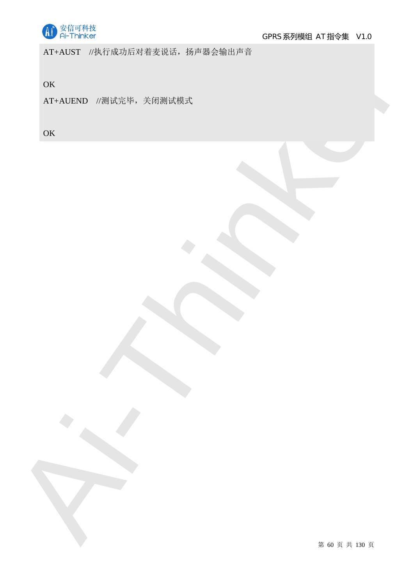

AT+AUST //执行成功后对着麦说话, 扬声器会输出声音

**OK** 

AT-AIRND -SUICEUP- - RHIGHERZ<br>OK<br>OK<br>OK<br>AI-AIRND - SUICEUP- - RHIGHERZ<br>CHARLEND - SUICEUP- - RHIGHERZ<br>CHARLEND - SUICEUP- - RHIGHERZ AT+AUEND //测试完毕, 关闭测试模式

**OK**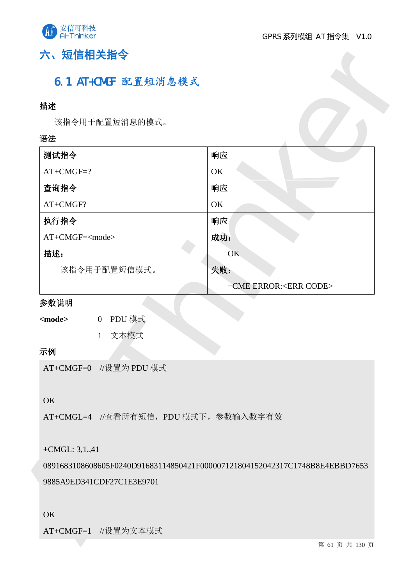

# 六、短信相关指令

## 6.1 AT+CMGF 配置短消息模式

### 描述

#### 语法

| 描述                                                    |                                                                             |
|-------------------------------------------------------|-----------------------------------------------------------------------------|
| 该指令用于配置短消息的模式。                                        |                                                                             |
| 语法                                                    |                                                                             |
| 测试指令                                                  | 响应                                                                          |
| $AT+CMGF=?$                                           | OK                                                                          |
| 查询指令                                                  | 响应                                                                          |
| AT+CMGF?                                              | OK                                                                          |
| 执行指令                                                  | 响应                                                                          |
| AT+CMGF= <mode></mode>                                | 成功:                                                                         |
| 描述:                                                   | OK                                                                          |
| 该指令用于配置短信模式。                                          | 失败:                                                                         |
|                                                       | +CME ERROR: <err code=""></err>                                             |
| 参数说明                                                  |                                                                             |
| PDU 模式<br><mode><br/><math>\overline{0}</math></mode> |                                                                             |
| 文本模式<br>$\mathbf{1}$                                  |                                                                             |
| 示例                                                    |                                                                             |
| AT+CMGF=0 //设置为 PDU 模式                                |                                                                             |
|                                                       |                                                                             |
| OK                                                    |                                                                             |
| AT+CMGL=4 //查看所有短信, PDU 模式下, 参数输入数字有效                 |                                                                             |
|                                                       |                                                                             |
|                                                       |                                                                             |
|                                                       |                                                                             |
|                                                       | 0891683108608605F0240D91683114850421F000007121804152042317C1748B8E4EBBD7653 |
|                                                       |                                                                             |
| +CMGL: $3,1,41$<br>9885A9ED341CDF27C1E3E9701          |                                                                             |
| OK                                                    |                                                                             |
| AT+CMGF=1 //设置为文本模式                                   | 第 61 页 共 130 页                                                              |

### 参数说明

## 示例

#### OK

#### OK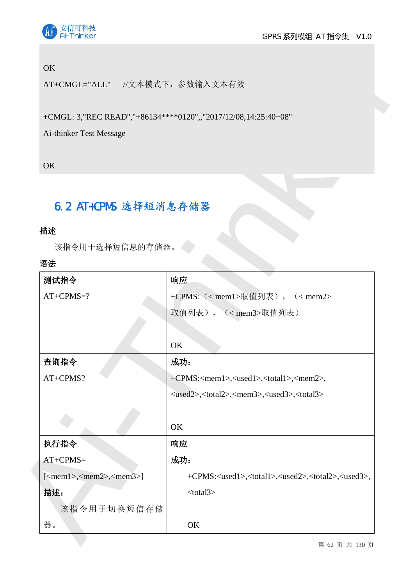

### **OK**

## 6.2 AT+CPMS 选择短消息存储器

## 描述

#### 语法

| AT+CMGL="ALL" //文本模式下, 参数输入文本有效                 |                                                                                             |
|-------------------------------------------------|---------------------------------------------------------------------------------------------|
|                                                 |                                                                                             |
|                                                 | +CMGL: 3,"REC READ","+86134****0120",,"2017/12/08,14:25:40+08"                              |
| Ai-thinker Test Message                         |                                                                                             |
| OK                                              |                                                                                             |
|                                                 |                                                                                             |
|                                                 |                                                                                             |
| 6.2 AT+CPMS 选择短消息存储器                            |                                                                                             |
| 描述                                              |                                                                                             |
| 该指令用于选择短信息的存储器。                                 |                                                                                             |
| 语法                                              |                                                                                             |
| 测试指令                                            | 响应                                                                                          |
|                                                 |                                                                                             |
| $AT+CPMS=?$                                     | +CPMS: (< mem1>取值列表), (< mem2>                                                              |
|                                                 |                                                                                             |
|                                                 | 取值列表), ( <mem3>取值列表)</mem3>                                                                 |
|                                                 | OK                                                                                          |
| 查询指令                                            | 成功:                                                                                         |
| AT+CPMS?                                        | +CPMS: <mem1>,<used1>,<total1>,<mem2>,</mem2></total1></used1></mem1>                       |
|                                                 | <used2>,<total2>,<mem3>,<used3>,<total3></total3></used3></mem3></total2></used2>           |
|                                                 |                                                                                             |
|                                                 | OK                                                                                          |
| 执行指令                                            | 响应                                                                                          |
|                                                 | 成功:                                                                                         |
| $AT+CPMS=$<br>$[<$ mem1>, $<$ mem2>, $<$ mem3>] | +CPMS: <used1>,<total1>,<used2>,<total2>,<used3>,</used3></total2></used2></total1></used1> |
| 描述:                                             | $<$ total $3>$                                                                              |
| 该指令用于切换短信存储                                     |                                                                                             |

第 62 页 共 130 页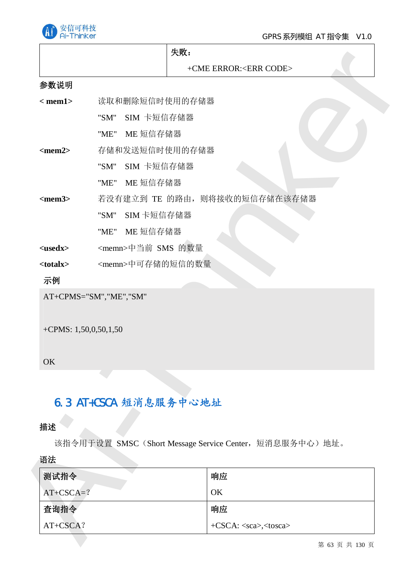

|                                     | 失败:                                                                               |  |
|-------------------------------------|-----------------------------------------------------------------------------------|--|
|                                     | +CME ERROR: <err code=""></err>                                                   |  |
| 参数说明                                |                                                                                   |  |
| $<$ mem $1>$                        | 读取和删除短信时使用的存储器                                                                    |  |
|                                     | SIM 卡短信存储器<br>"SM"                                                                |  |
|                                     | ME 短信存储器<br>"ME"                                                                  |  |
| $<$ mem2>                           | 存储和发送短信时使用的存储器                                                                    |  |
|                                     | SIM 卡短信存储器<br>"SM"                                                                |  |
|                                     | ME 短信存储器<br>"ME"                                                                  |  |
| $<$ mem $3>$                        | 若没有建立到 TE 的路由, 则将接收的短信存储在该存储器                                                     |  |
|                                     | SIM 卡短信存储器<br>"SM"                                                                |  |
|                                     | "ME" ME 短信存储器                                                                     |  |
| $<$ usedx $>$                       | <memn>中当前 SMS 的数量</memn>                                                          |  |
| <totalx></totalx>                   | <memn>中可存储的短信的数量</memn>                                                           |  |
|                                     |                                                                                   |  |
| 示例                                  | AT+CPMS="SM","ME","SM"                                                            |  |
| +CPMS: $1,50,0,50,1,50$<br>OK<br>描述 | 6.3 AT+CSCA 短消息服务中心地址<br>该指令用于设置 SMSC (Short Message Service Center, 短消息服务中心) 地址。 |  |
|                                     |                                                                                   |  |
| 语法<br>测试指令                          | 响应                                                                                |  |
| $AT+CSCA=?$                         | OK                                                                                |  |
| 查询指令<br>AT+CSCA?                    | 响应<br>+CSCA: <sca>,<tosca></tosca></sca>                                          |  |

#### **OK**

# 6.3 AT+CSCA 短消息服务中心地址

### 描述

| 语法          |                                    |
|-------------|------------------------------------|
| 测试指令        | 响应                                 |
| $AT+CSCA=?$ | OK                                 |
| 查询指令        | 响应                                 |
| AT+CSCA?    | +CSCA: <sca>,<tosca></tosca></sca> |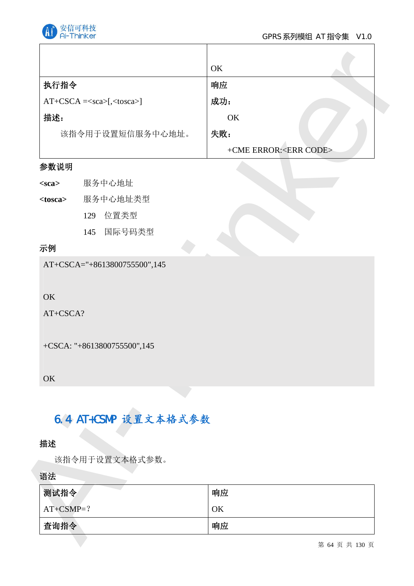

#### GPRS 系列模组 AT 指令集 V1.0

|                   |                              | OK                              |
|-------------------|------------------------------|---------------------------------|
| 执行指令              |                              | 响应                              |
|                   | $AT+CSCA = [, <. caca>]$     | 成功:                             |
| 描述:               |                              | OK                              |
|                   | 该指令用于设置短信服务中心地址。             | 失败:                             |
|                   |                              | +CME ERROR: <err code=""></err> |
| 参数说明              |                              |                                 |
| $<$ sca $>$       | 服务中心地址                       |                                 |
| <tosca></tosca>   | 服务中心地址类型                     |                                 |
|                   | 位置类型<br>129                  |                                 |
|                   | 国际号码类型<br>145                |                                 |
| 示例                |                              |                                 |
| OK<br>AT+CSCA?    | AT+CSCA="+8613800755500",145 |                                 |
|                   | +CSCA: "+8613800755500",145  |                                 |
| OK                |                              |                                 |
|                   | 6.4 AT+CSMP 设置文本格式参数         |                                 |
| 描述                |                              |                                 |
|                   | 该指令用于设置文本格式参数。               |                                 |
|                   |                              |                                 |
| 测试指令              |                              | 响应                              |
| 语法<br>$AT+CSMP=?$ |                              | OK                              |

T

### 参数说明

| <sca></sca> | 服务中心地址 |
|-------------|--------|
|-------------|--------|

## 示例

# 6.4 AT+CSMP 设置文本格式参数

#### 语法

| 测试指令        | 响应 |
|-------------|----|
| $AT+CSMP=?$ | OK |
| 查询指令        | 响应 |

第 64 页 共 130 页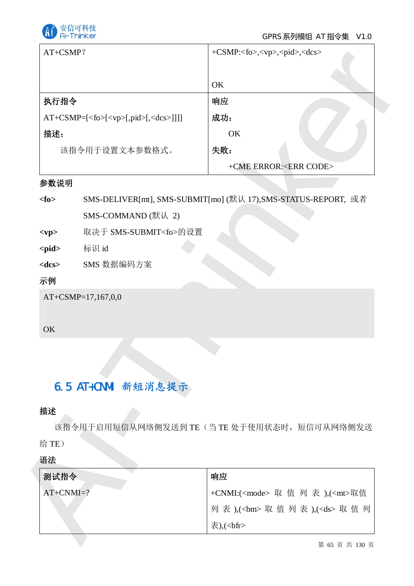

|                     | AT+CSMP?                                                | +CSMP: <fo>,<vp>,<pid>,<dcs></dcs></pid></vp></fo>                                     |
|---------------------|---------------------------------------------------------|----------------------------------------------------------------------------------------|
|                     |                                                         | OK                                                                                     |
| 执行指令                |                                                         | 响应                                                                                     |
|                     | AT+CSMP=[ <fo>[<vp>[,pid&gt;[,<dcs>]]]]</dcs></vp></fo> | 成功:                                                                                    |
| 描述:                 |                                                         | OK                                                                                     |
|                     | 该指令用于设置文本参数格式。                                          | 失败:                                                                                    |
|                     |                                                         | +CME ERROR: <err code=""></err>                                                        |
| 参数说明                |                                                         |                                                                                        |
| $<$ fo $>$          |                                                         | SMS-DELIVER[mt], SMS-SUBMIT[mo] (默认 17), SMS-STATUS-REPORT, 或者                         |
|                     | SMS-COMMAND (默认 2)                                      |                                                                                        |
| $<$ vp>             | 取决于 SMS-SUBMIT <fo>的设置</fo>                             |                                                                                        |
| $<$ pid $>$         | 标识 id                                                   |                                                                                        |
| $<$ dcs $>$         | SMS 数据编码方案                                              |                                                                                        |
|                     |                                                         |                                                                                        |
| 示例                  | AT+CSMP=17,167,0,0                                      |                                                                                        |
| OK<br>描述            | 6.5 AT+CNMI 新短消息提示                                      | 该指令用于启用短信从网络侧发送到 TE (当 TE 处于使用状态时, 短信可从网络侧发送                                           |
|                     |                                                         |                                                                                        |
|                     |                                                         |                                                                                        |
| 测试指令<br>$AT+CNMI=?$ |                                                         | 响应                                                                                     |
| 给 TE)<br>语法         |                                                         | +CNMI:( <mode> 取 值 列 表 ),(<mt>取值<br/>列表 ),(<bm> 取值列表 ),(<ds> 取值列</ds></bm></mt></mode> |

#### 参数说明

## 6.5 AT+CNMI 新短消息提示

## 描述

| 测试指令        | 响应                                           |
|-------------|----------------------------------------------|
| $AT+CNMI=?$ | +CNMI:( <mode> 取 值 列 表 ),(<mt>取值</mt></mode> |
|             | 列表 ),( <bm> 取值列表 ),(<ds> 取值列  </ds></bm>     |
|             | 表), $(bf$                                    |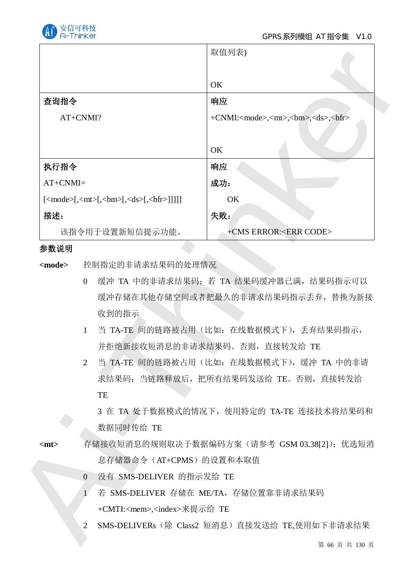

|                                                                                                              | 取值列表)                                                                     |  |  |
|--------------------------------------------------------------------------------------------------------------|---------------------------------------------------------------------------|--|--|
|                                                                                                              |                                                                           |  |  |
|                                                                                                              | OK                                                                        |  |  |
| 査询指令                                                                                                         | 响应                                                                        |  |  |
| AT+CNMI?                                                                                                     | +CNMI: <mode>,<mt>,<br/>&gt;bm&gt;,<ds>,<br/>&gt;bfr&gt;</ds></mt></mode> |  |  |
|                                                                                                              |                                                                           |  |  |
|                                                                                                              | OK                                                                        |  |  |
| 执行指令                                                                                                         | 响应                                                                        |  |  |
| $AT+CNMI=$                                                                                                   | 成功:                                                                       |  |  |
| $[\langle mode \rangle], \langle mt \rangle], \langle bm \rangle], \langle ds \rangle, \langle bfr \rangle]$ | OK                                                                        |  |  |
| 描述:                                                                                                          | 失败:                                                                       |  |  |
| 该指令用于设置新短信提示功能。                                                                                              | +CMS ERROR: <err code=""></err>                                           |  |  |
| 参数说明                                                                                                         |                                                                           |  |  |
| 控制指定的非请求结果码的处理情况<br><mode></mode>                                                                            |                                                                           |  |  |
| $\overline{0}$                                                                                               | 缓冲 TA 中的非请求结果码; 若 TA 结果码缓冲器已满, 结果码指示可以                                    |  |  |
|                                                                                                              | 缓冲存储在其他存储空间或者把最久的非请求结果码指示丢弃, 替换为新接                                        |  |  |
| 收到的指示                                                                                                        |                                                                           |  |  |
| $\mathbf{1}$                                                                                                 | 当 TA-TE 间的链路被占用(比如: 在线数据模式下), 丢弃结果码指示,                                    |  |  |
|                                                                                                              | 并拒绝新接收短消息的非请求结果码。否则, 直接转发给 TE                                             |  |  |
| $\overline{2}$                                                                                               | 当 TA-TE 间的链路被占用 (比如: 在线数据模式下), 缓冲 TA 中的非请                                 |  |  |
|                                                                                                              | 求结果码; 当链路释放后, 把所有结果码发送给 TE。否则, 直接转发给                                      |  |  |
| TE                                                                                                           |                                                                           |  |  |
|                                                                                                              | 3 在 TA 处于数据模式的情况下, 使用特定的 TA-TE 连接技术将结果码和                                  |  |  |
| 数据同时传给 TE                                                                                                    |                                                                           |  |  |
| $<$ mt $>$                                                                                                   | 存储接收短消息的规则取决于数据编码方案 (请参考 GSM 03.38[2]); 优选短消                              |  |  |
| 息存储器命令 (AT+CPMS) 的设置和本取值                                                                                     |                                                                           |  |  |
| 没有 SMS-DELIVER 的指示发给 TE<br>$\overline{0}$                                                                    |                                                                           |  |  |
| Ŧ.                                                                                                           | 若 SMS-DELIVER 存储在 ME/TA, 存储位置靠非请求结果码                                      |  |  |
| +CMTI: <mem>,<index>来提示给 TE</index></mem>                                                                    |                                                                           |  |  |
|                                                                                                              |                                                                           |  |  |
| 2                                                                                                            | SMS-DELIVERs (除 Class2 短消息) 直接发送给 TE,使用如下非请求结果                            |  |  |

#### 参数说明

- O 缓冲 TA 中的非请求结果码; 若 TA 结果码缓冲器已满, 结果码指示可以 缓冲存储在其他存储空间或者把最久的非请求结果码指示丢弃, 替换为新接 收到的指示
- 1 当 TA-TE 间的链路被占用(比如: 在线数据模式下), 丢弃结果码指示, 并拒绝新接收短消息的非请求结果码。否则, 直接转发给 TE
- 2 当 TA-TE 间的链路被占用(比如: 在线数据模式下), 缓冲 TA 中的非请 求结果码: 当链路释放后, 把所有结果码发送给 TE。否则, 直接转发给 **TE**

- <mt> 存储接收短消息的规则取决于数据编码方案(请参考 GSM 03.38[2]); 优选短消 息存储器命令(AT+CPMS)的设置和本取值
	- 0 没有 SMS-DELIVER 的指示发给 TE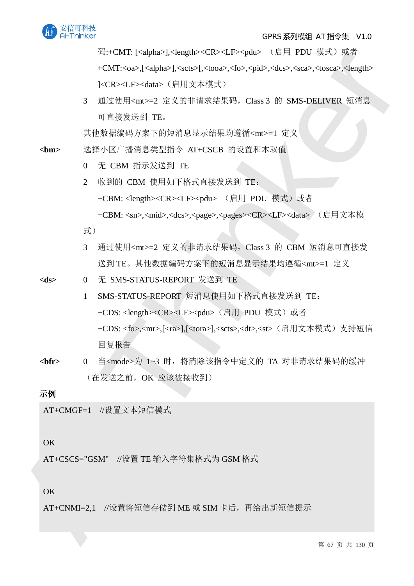

码:+CMT: [<alpha>],<length><CR><LF><pdu> (启用 PDU 模式)或者 +CMT:<oa>,[<alpha>],<scts>[,<tooa>,<fo>,<pid>,<dcs>,<sca>,<tosca>,<length> ]<CR><LF><data> (启用文本模式)

3 通过使用<mt>=2 定义的非请求结果码, Class 3 的 SMS-DELIVER 短消息 可直接发送到 TE。

其他数据编码方案下的短消息显示结果均遵循<mt>=1 定义

<bm> 洗择小区广播消息类型指令 AT+CSCB 的设置和本取值

- 0 无 CBM 指示发送到 TE
- 2 收到的 CBM 使用如下格式直接发送到 TE:

+CBM: <length><CR><LF><pdu> (启用 PDU 模式)或者

+CBM: <sn>,<mid>,<dcs>,<page>,<pages><CR><LF><data> (启用文本模

式)

- 3 通过使用<mt>=2 定义的非请求结果码, Class 3 的 CBM 短消息可直接发 送到 TE。其他数据编码方案下的短消息显示结果均遵循<mt>=1 定义
- <ds> 0 无 SMS-STATUS-REPORT 发送到 TE
- 14: CWR (complexes)<br>complexes) complexes (complexes) and ReV D Reprint (2017 and 2008)<br> $R^2/2R^2 + 2R^2/2R^2$ <br> $R^2/2R^2/2R^2$ <br> $R^2/2R^2/2R^2$ <br> $R^2/2R^2/2R^2$ <br> $R^2/2R^2/2R^2$ <br> $R^2/2R^2/2R^2$ <br> $R^2/2R^2/2R^2$ <br> $R^2/2R^2/2R^2$ 1 SMS-STATUS-REPORT 短消息使用如下格式直接发送到 TE: +CDS: <length><CR><LF><pdu> (启用 PDU 模式) 或者 +CDS:<fo>,<mr>,[<ra>],[<tora>],<scts>,<dt>,<st>(肩用文本模式)支持短信 回复报告
	- <bfr> 0 当<mode>为 1~3 时,将清除该指令中定义的 TA 对非请求结果码的缓冲 (在发送之前, OK 应该被接收到)

### 示例

AT+CMGF=1 //设置文本短信模式

#### OK

AT+CSCS="GSM" //设置 TE 输入字符集格式为 GSM 格式

OK

 $AT+CNMI=2.1$  //设置将短信存储到 ME 或 SIM 卡后, 再给出新短信提示

第 67 页 共 130 页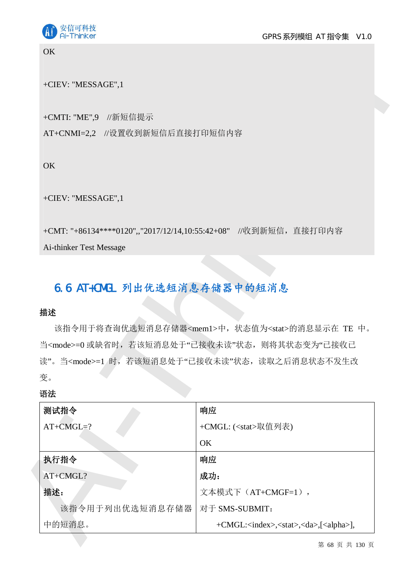

#### **OK**

#### +CIEV: "MESSAGE",1

## 6.6 AT+CMGL 列出优选短消息存储器中的短消息

### 揣述

#### 语法

| +CIEV: "MESSAGE",1                                               |                                                                                                                          |
|------------------------------------------------------------------|--------------------------------------------------------------------------------------------------------------------------|
|                                                                  |                                                                                                                          |
| +CMTI: "ME",9 //新短信提示                                            |                                                                                                                          |
| AT+CNMI=2,2 //设置收到新短信后直接打印短信内容                                   |                                                                                                                          |
| OK                                                               |                                                                                                                          |
| +CIEV: "MESSAGE",1                                               |                                                                                                                          |
| +CMT: "+86134****0120",,"2017/12/14,10:55:42+08" //收到新短信, 直接打印内容 |                                                                                                                          |
| Ai-thinker Test Message                                          |                                                                                                                          |
| 6.6 AT+CMGL 列出优选短消息存储器中的短消息                                      |                                                                                                                          |
| 描述                                                               | 该指令用于将查询优选短消息存储器 <mem1>中, 状态值为<stat>的消息显示在 TE 中。<br/>当<mode>=0 或缺省时, 若该短消息处于"已接收未读"状态, 则将其状态变为"已接收已</mode></stat></mem1> |
|                                                                  | 读"。当 <mode>=1 时, 若该短消息处于"已接收未读"状态, 读取之后消息状态不发生改</mode>                                                                   |
| 变。                                                               |                                                                                                                          |
| 语法                                                               |                                                                                                                          |
| 测试指令                                                             | 响应                                                                                                                       |
| $AT+CMGL=?$                                                      | +CMGL: ( <stat>取值列表)</stat>                                                                                              |
|                                                                  | OK                                                                                                                       |
| 执行指令                                                             | 响应                                                                                                                       |
|                                                                  | 成功:                                                                                                                      |
| AT+CMGL?<br>描述:                                                  | 文本模式下 (AT+CMGF=1),                                                                                                       |
| 该指令用于列出优选短消息存储器                                                  | 对于 SMS-SUBMIT:                                                                                                           |

第 68 页 共 130 页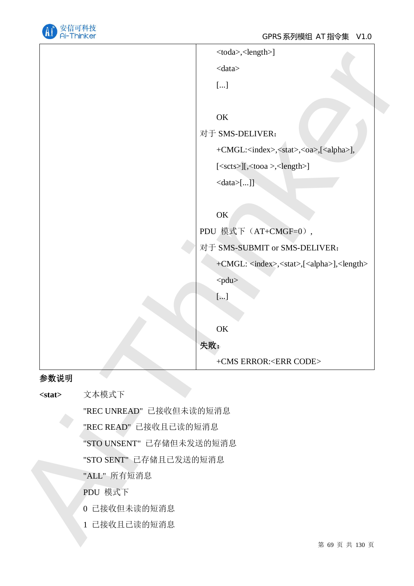

|              | <toda>,<length>]</length></toda>                                         |
|--------------|--------------------------------------------------------------------------|
|              | $<$ data $>$                                                             |
|              | $[\ldots]$                                                               |
|              |                                                                          |
|              | $\mathrm{OK}$                                                            |
|              | 对于 SMS-DELIVER:                                                          |
|              | +CMGL: <index>,<stat>,<oa>,[<alpha>],</alpha></oa></stat></index>        |
|              | [ <scts>][,<tooa>,<length>]</length></tooa></scts>                       |
|              | $\langle data \rangle$ []]                                               |
|              |                                                                          |
|              | OK                                                                       |
|              | PDU 模式下 (AT+CMGF=0),                                                     |
|              | 对于 SMS-SUBMIT or SMS-DELIVER:                                            |
|              | +CMGL: <index>,<stat>,[<alpha>],<length></length></alpha></stat></index> |
|              | <pdu></pdu>                                                              |
|              | $[\ldots]$                                                               |
|              |                                                                          |
|              | $\mathrm{OK}$                                                            |
|              | 失败:                                                                      |
|              | +CMS ERROR: <err code=""></err>                                          |
| 参数说明         |                                                                          |
| $<$ stat $>$ | 文本模式下                                                                    |
|              | "REC UNREAD" 已接收但未读的短消息                                                  |
|              | "REC READ" 已接收且已读的短消息                                                    |
|              | "STO UNSENT" 已存储但未发送的短消息                                                 |
|              | "STO SENT" 已存储且已发送的短消息                                                   |
|              | "ALL" 所有短消息                                                              |
|              | PDU 模式下                                                                  |
|              | 0 已接收但未读的短消息                                                             |
|              | 1 已接收且已读的短消息                                                             |
|              | 第 69 页 共 130 页                                                           |

#### 参数说明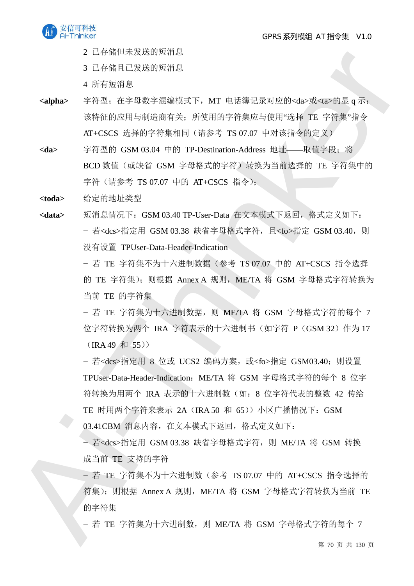

- 2 己存储但未发送的短消息
- 3 已存储且已发送的短消息
- 4 所有短消息
- <alpha> 字符型; 在字母数字混编模式下, MT 电话簿记录对应的<da>或<ta>的显 q 示; 该特征的应用与制造商有关; 所使用的字符集应与使用"选择 TE 字符集"指令 AT+CSCS 选择的字符集相同(请参考 TS 07.07 中对该指令的定义)
- <da> 字符型的 GSM 03.04 中的 TP-Destination-Address 地址——取值字段: 将 BCD 数值(或缺省 GSM 字母格式的字符)转换为当前选择的 TE 字符集中的 字符 (请参考 TS 07.07 中的 AT+CSCS 指令);
- <toda> 给定的地址类型
- <data> 短消息情况下: GSM 03.40 TP-User-Data 在文本模式下返回, 格式定义如下: - 若<dcs>指定用 GSM 03.38 缺省字母格式字符, 且<fo>指定 GSM 03.40, 则 没有设置 TPUser-Data-Header-Indication

- 若 TE 字符集不为十六进制数据 (参考 TS 07.07 中的 AT+CSCS 指令选择 的 TE 字符集); 则根据 Annex A 规则, ME/TA 将 GSM 字母格式字符转换为 当前 TE 的字符集

- 若 TE 字符集为十六讲制数据, 则 ME/TA 将 GSM 字母格式字符的每个 7 位字符转换为两个 IRA 字符表示的十六进制书(如字符 P(GSM 32)作为17  $(IRA 49 \, \text{R} \, 55))$ 

2 1 (1948年5月4日)<br>
2 1 (448年5月4日)<br>
4 5 1484日1245 1548日、1848年19月4日、1848年19月5日、4 548年14月4日<br>
4 548日、1484年48月4日、1848年14月4日、1848年14月4日、1948年14月4日、1848年14月4日、1848年14月4日、1848年4月4日、1858年14月4日、1858年4月4日、1858年4月4日、1858年4月4日、1858年4月4 - 若<dcs>指定用 8 位或 UCS2 编码方案, 或<fo>指定 GSM03.40; 则设置 TPUser-Data-Header-Indication: ME/TA 将 GSM 字母格式字符的每个 8 位字 符转换为用两个 IRA 表示的十六讲制数 (如: 8 位字符代表的整数 42 传给 TE 时用两个字符来表示 2A (IRA 50 和 65)) 小区广播情况下: GSM 03.41CBM 消息内容, 在文本模式下返回, 格式定义如下:

- 若<dcs>指定用 GSM 03.38 缺省字母格式字符, 则 ME/TA 将 GSM 转换 成当前 TE 支持的字符

- 若 TE 字符集不为十六进制数 (参考 TS 07.07 中的 AT+CSCS 指令选择的 符集): 则根据 Annex A 规则, ME/TA 将 GSM 字母格式字符转换为当前 TE 的字符集

- 若 TE 字符集为十六进制数, 则 ME/TA 将 GSM 字母格式字符的每个 7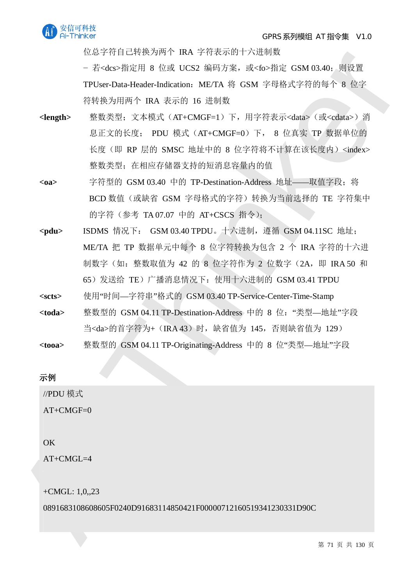

位总字符自己转换为两个 IRA 字符表示的十六讲制数

- 若<dcs>指定用 8 位或 UCS2 编码方案, 或<fo>指定 GSM 03.40; 则设置 TPUser-Data-Header-Indication: ME/TA 将 GSM 字母格式字符的每个 8 位字 符转换为用两个 IRA 表示的 16 讲制数

- <br>
EGA-TWEE LIKE MAPS FOR USE SERPOND ACTION 2018<br>
THere Data Health FOR FOR USE SERPOND ACTION 2018<br>
THere Data Health For Experiment Air OSM 7-7F idea 7-84 (47 and 2019)<br>
<br>
<br>
<br> **SERPOND AND A SERPOND BOOT DETAILS CON** <length> 整数类型; 文本模式 (AT+CMGF=1) 下, 用字符表示<data> (或<cdata>) 消 息正文的长度; PDU 模式 (AT+CMGF=0) 下, 8 位真实 TP 数据单位的 长度(即 RP 层的 SMSC 地址中的 8 位字符将不计算在该长度内)<index> 整数类型: 在相应存储器支持的短消息容量内的值
	- <oa> 字符型的 GSM 03.40 中的 TP-Destination-Address 地址——取值字段; 将 BCD 数值(或缺省 GSM 字母格式的字符)转换为当前选择的 TE 字符集中 的字符 (参考 TA 07.07 中的 AT+CSCS 指令);
	- <pdu> ISDMS 情况下: GSM 03.40 TPDU。十六进制, 遵循 GSM 04.11SC 地址; ME/TA 把 TP 数据单元中每个 8 位字符转换为包含 2 个 IRA 字符的十六进 制数字 (如: 整数取值为 42 的 8 位字符作为 2 位数字 (2A, 即 IRA 50 和 65) 发送给 TE) 广播消息情况下: 使用十六讲制的 GSM 03.41 TPDU
	- **<scts>** ֯⭘"ᰦ䰤—ᆇㅖѢ"ṬᔿⲴ GSM 03.40 TP-Service-Center-Time-Stamp
	- <toda> 整数型的 GSM 04.11 TP-Destination-Address 中的 8 位: "类型—地址"字段 当<da>的首字符为+ (IRA 43) 时, 缺省值为 145, 否则缺省值为 129)
	- <tooa> 整数型的 GSM 04.11 TP-Originating-Address 中的 8 位"类型—地址"字段

示例

//PDU 模式

 $AT+CMGF=0$ 

#### OK

AT+CMGL=4

+CMGL: 1,0,,23

0891683108608605F0240D91683114850421F00000712160519341230331D90C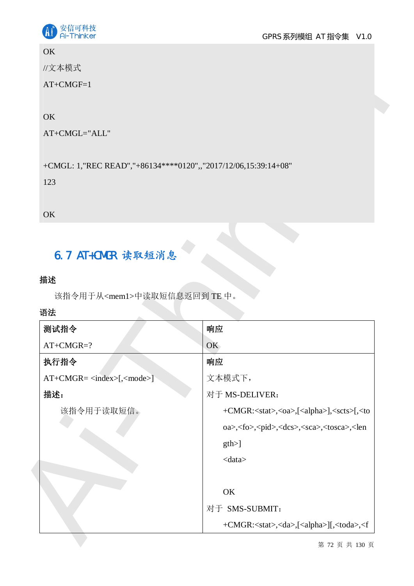

## **OK**

## **OK**

# 6.7 AT+CMGR 读取短消息

## 描述

## 语法

| <b>OK</b>                                                                                                      |                                                                                               |
|----------------------------------------------------------------------------------------------------------------|-----------------------------------------------------------------------------------------------|
| //文本模式                                                                                                         |                                                                                               |
| $AT+CMGF=1$                                                                                                    |                                                                                               |
|                                                                                                                |                                                                                               |
| OK                                                                                                             |                                                                                               |
| AT+CMGL="ALL"                                                                                                  |                                                                                               |
| +CMGL: 1,"REC READ","+86134****0120",,"2017/12/06,15:39:14+08"                                                 |                                                                                               |
| 123                                                                                                            |                                                                                               |
|                                                                                                                |                                                                                               |
| OK                                                                                                             |                                                                                               |
|                                                                                                                |                                                                                               |
| 6.7 AT+CMGR 读取短消息                                                                                              |                                                                                               |
|                                                                                                                |                                                                                               |
|                                                                                                                |                                                                                               |
|                                                                                                                |                                                                                               |
| 该指令用于从 <mem1>中读取短信息返回到TE中。</mem1>                                                                              |                                                                                               |
|                                                                                                                |                                                                                               |
|                                                                                                                | 响应<br>OK                                                                                      |
|                                                                                                                | 响应                                                                                            |
|                                                                                                                | 文本模式下,                                                                                        |
|                                                                                                                | 对于 MS-DELIVER:                                                                                |
| 该指令用于读取短信。                                                                                                     |                                                                                               |
|                                                                                                                | oa>, <fo>,<pid>,<dcs>,<sca>,<tosca>,<len< td=""></len<></tosca></sca></dcs></pid></fo>        |
|                                                                                                                | gth                                                                                           |
|                                                                                                                | $<$ data $>$                                                                                  |
|                                                                                                                |                                                                                               |
|                                                                                                                | OK                                                                                            |
| 描述<br>语法<br>测试指令<br>$AT+CMGR=?$<br>执行指令<br>$AT+CMGR = \langle index \rangle$ [ $\langle mode \rangle$ ]<br>描述: | +CMGR: <stat>,<oa>,[<alpha>],<scts>[,<to<br>对于 SMS-SUBMIT:</to<br></scts></alpha></oa></stat> |

第 72 页 共 130 页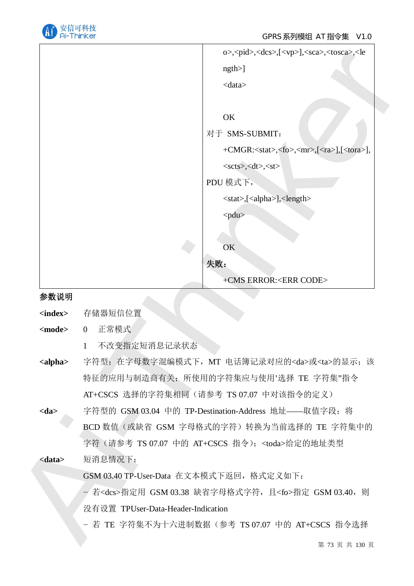

|                           | o>, <pid>,<dcs>,[<vp>],<sca>,<tosca>,<le< th=""></le<></tosca></sca></vp></dcs></pid> |
|---------------------------|---------------------------------------------------------------------------------------|
|                           | $ngth$ )                                                                              |
|                           | $<$ data $>$                                                                          |
|                           | OK                                                                                    |
|                           | 对于 SMS-SUBMIT:                                                                        |
|                           | +CMGR: <stat>,<fo>,<mr>,[<ra>],[<tora>],</tora></ra></mr></fo></stat>                 |
|                           | $<$ scts>, <dt>,<st></st></dt>                                                        |
|                           | PDU 模式下,                                                                              |
|                           | <stat>,[<alpha>],<length></length></alpha></stat>                                     |
|                           | <pdu></pdu>                                                                           |
|                           |                                                                                       |
|                           | OK                                                                                    |
|                           | 失败:                                                                                   |
|                           | +CMS ERROR: <err code=""></err>                                                       |
| 参数说明                      |                                                                                       |
| $\langle index \rangle$   | 存储器短信位置                                                                               |
| <mode></mode>             | 正常模式<br>$\overline{0}$                                                                |
|                           | 不改变指定短消息记录状态<br>1                                                                     |
| $\langle$ alpha $\rangle$ | 字符型;在字母数字混编模式下, MT 电话簿记录对应的 <da>或<ta>的显示;该</ta></da>                                  |
|                           | 特征的应用与制造商有关; 所使用的字符集应与使用'选择 TE 字符集"指令                                                 |
|                           | AT+CSCS 选择的字符集相同(请参考 TS 07.07 中对该指令的定义)                                               |
| $<$ da $>$                | 字符型的 GSM 03.04 中的 TP-Destination-Address 地址——取值字段; 将                                  |
|                           | BCD 数值 (或缺省 GSM 字母格式的字符) 转换为当前选择的 TE 字符集中的                                            |
|                           | 字符 (请参考 TS 07.07 中的 AT+CSCS 指令); <toda>给定的地址类型</toda>                                 |
| $<$ data $>$              | 短消息情况下:                                                                               |
|                           | GSM 03.40 TP-User-Data 在文本模式下返回,格式定义如下:                                               |
|                           | - 若 <dcs>指定用 GSM 03.38 缺省字母格式字符,且<fo>指定 GSM 03.40,则</fo></dcs>                        |
|                           | 没有设置 TPUser-Data-Header-Indication                                                    |
|                           | - 若 TE 字符集不为十六进制数据 (参考 TS 07.07 中的 AT+CSCS 指令选择                                       |
|                           | 第 73 页 共 130 页                                                                        |

## 参数说明

- 1 不改变指定短消息记录状态
- <alpha> 字符型; 在字母数字混编模式下, MT 电话簿记录对应的<da>或<ta>的显示; 该 特征的应用与制造商有关: 所使用的字符集应与使用'选择 TE 字符集"指令 AT+CSCS 选择的字符集相同(请参考 TS 07.07 中对该指令的定义)
- <da> 字符型的 GSM 03.04 中的 TP-Destination-Address 地址——取值字段; 将 BCD 数值(或缺省 GSM 字母格式的字符)转换为当前选择的 TE 字符集中的 字符 (请参考 TS 07.07 中的 AT+CSCS 指令): <toda>给定的地址类型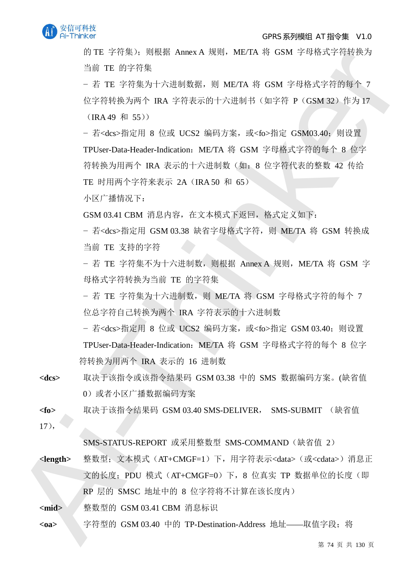

#### GPRS 系列模组 AT 指令集 V1.0

的 TE 字符集):则根据 Annex A 规则,ME/TA 将 GSM 字母格式字符转换为 当前 TE 的字符集

- 若 TE 字符集为十六讲制数据, 则 ME/TA 将 GSM 字母格式字符的每个 7 位字符转换为两个 IRA 字符表示的十六讲制书 (如字符 P (GSM 32) 作为 17

 $(IRA 49 \, \text{Å} 55))$ 

FITE 空中結果、NESS Annes A MM, MCTA W GSM 字母SSX字形数方<br>
4年下中标,NESS Annes A MM, MCTA W GSM 字母SSX字形数方<br>
4年 TE 省管管为开大法制数器。则 META W GSM 字母的文字将数为<br>
7年 TE 字管表为十大法制数器。则 META W GSM 字母的文字与<br>
7年 TE 字管表为一 BM 半行表示作十六进制件(如字管 P (GSM 42+ 件为<br>
T - 若<dcs>指定用 8 位或 UCS2 编码方案, 或<fo>指定 GSM03.40; 则设置 TPUser-Data-Header-Indication: ME/TA 将 GSM 字母格式字符的每个 8 位字 符转换为用两个 IRA 表示的十六讲制数 (如: 8 位字符代表的整数 42 传给 TE 时用两个字符来表示 2A (IRA 50 和 65)

小区广播情况下:

GSM 03.41 CBM 消息内容, 在文本模式下返回, 格式定义如下:

– 若<dcs>指定用 GSM 03.38 缺省字母格式字符,则 ME/TA 将 GSM 转换成 当前 TE 支持的字符

- 若 TE 字符集不为十六进制数, 则根据 Annex A 规则, ME/TA 将 GSM 字 母格式字符转换为当前 TE 的字符集

- 若 TE 字符集为十六讲制数, 则 ME/TA 将 GSM 字母格式字符的每个 7 位总字符自己转换为两个 IRA 字符表示的十六讲制数

- 若<dcs>指定用 8 位或 UCS2 编码方案, 或<fo>指定 GSM 03.40; 则设置 TPUser-Data-Header-Indication: ME/TA 将 GSM 字母格式字符的每个 8 位字 符转换为用两个 IRA 表示的 16 进制数

<dcs> 取决于该指令或该指令结果码 GSM 03.38 中的 SMS 数据编码方案。(缺省值 0) 或者小区广播数据编码方案

**<fo> 取决于该指令结果码 GSM 03.40 SMS-DELIVER, SMS-SUBMIT (缺省值** 

 $17$ ,

SMS-STATUS-REPORT 或采用整数型 SMS-COMMAND (缺省值 2)

<**length>** 整数型; 文本模式 (AT+CMGF=1) 下, 用字符表示<data> (或<cdata>) 消息正 文的长度; PDU 模式 (AT+CMGF=0) 下, 8 位真实 TP 数据单位的长度 (即 RP 层的 SMSC 地址中的 8 位字符将不计算在该长度内)

<mid> **BEDA 整数型的 GSM 03.41 CBM 消息标识** 

<oa> 字符型的 GSM 03.40 中的 TP-Destination-Address 地址——取值字段; 将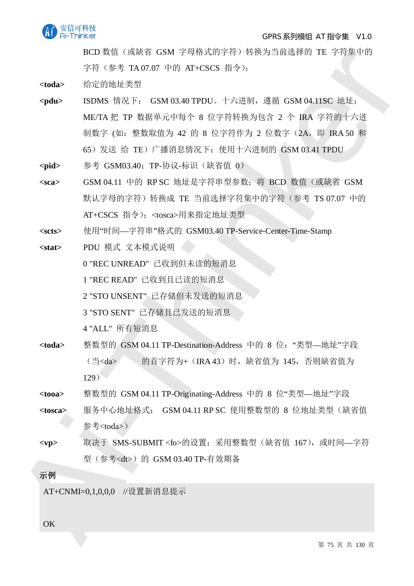

#### GPRS 系列模组 AT 指令集 V1.0

BCD 数值(或缺省 GSM 字母格式的字符)转换为当前选择的 TE 字符集中的 字符 (参考 TA 07.07 中的 AT+CSCS 指令):

<toda> 给定的地址类型

- ROD SET TRANSITY TO THE TRIPP-1978-1972年1979年1979年1979年1979年1979年198月<br>
Thinker Robin デ Thinker Control 十八世紀、漢前 GSMOHING 馬前<br>
<br> **Andre ENDRE MAI-THINKER CONTROL** + 十九世紀、漢前 GSMOHING 馬前<br>
<br>
NECRET F R SER THE THE SER TRIPP-<pdu> ISDMS 情况下: GSM 03.40 TPDU。十六进制, 遵循 GSM 04.11SC 地址; ME/TA 把 TP 数据单元中每个 8 位字符转换为包含 2 个 IRA 字符的十六进 制数字 (如: 整数取值为 42 的 8 位字符作为 2 位数字 (2A, 即 IRA 50 和 65) 发送 给 TE) 广播消息情况下: 使用十六讲制的 GSM 03.41 TPDU
	- <pid> **<br />
	参考 GSM03.40**: TP-协议-标识 (缺省值 0)
	- <sca> GSM 04.11 中的 RP SC 地址是字符串型参数; 将 BCD 数值 (或缺省 GSM 默认字母的字符)转换成 TE 当前选择字符集中的字符 (参考 TS 07.07 中的 AT+CSCS 指令): <tosca>用来指定地址类型
	- **<scts>** ֯⭘"ᰦ䰤—ᆇㅖѢ"ṬᔿⲴ GSM03.40 TP-Service-Center-Time-Stamp
	- <stat> PDU 模式 文本模式说明

0 "REC UNREAD" 已收到但未读的短消息

1 "REC READ" 已收到且已读的短消息

2 "STO UNSENT" 已存储但未发送的短消息

3 "STO SENT" 已存储且已发送的短消息

4 "ALL" 所有短消息

- <toda> 整数型的 GSM 04.11 TP-Destination-Address 中的 8 位: "类型—地址"字段 (当<da> 的首字符为+ (IRA 43) 时, 缺省值为 145, 否则缺省值为  $129)$
- <tooa> 整数型的 GSM 04.11 TP-Originating-Address 中的 8 位"类型—地址"字段
- <tosca> 服务中心地址格式; GSM 04.11 RP SC 使用整数型的 8 位地址类型 (缺省值 参考<toda>)。
- <vp> 取决于 SMS-SUBMIT <fo>的设置; 采用整数型 (缺省值 167), 或时间—字符 型 (参考<dt>) 的 GSM 03.40 TP-有效期备

## 示例

AT+CNMI=0.1.0.0.0 //设置新消息提示

OK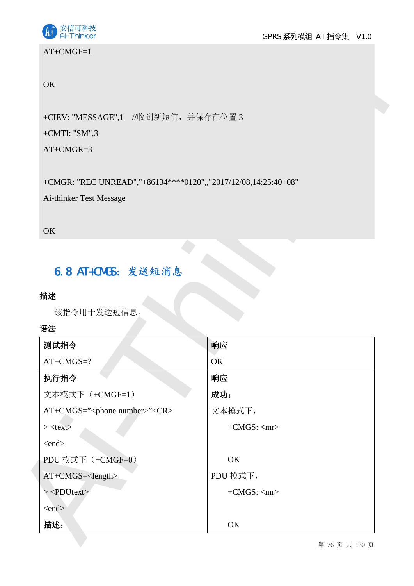



## AT+CMGF=1

## **OK**

## +CMTI: "SM",3

## 6.8 AT+CMGS: 发送短消息

## 描述

| OK                                                                                                                                                 |                      |  |
|----------------------------------------------------------------------------------------------------------------------------------------------------|----------------------|--|
| +CIEV: "MESSAGE",1 //收到新短信, 并保存在位置 3                                                                                                               |                      |  |
| +CMTI: " $SM$ ",3                                                                                                                                  |                      |  |
| $AT+CMGR=3$                                                                                                                                        |                      |  |
| +CMGR: "REC UNREAD","+86134****0120",,"2017/12/08,14:25:40+08"                                                                                     |                      |  |
| Ai-thinker Test Message                                                                                                                            |                      |  |
| OK                                                                                                                                                 |                      |  |
|                                                                                                                                                    |                      |  |
|                                                                                                                                                    |                      |  |
|                                                                                                                                                    |                      |  |
| 6.8 AT+CMGS: 发送短消息                                                                                                                                 |                      |  |
|                                                                                                                                                    |                      |  |
|                                                                                                                                                    |                      |  |
| 该指令用于发送短信息。                                                                                                                                        |                      |  |
|                                                                                                                                                    | 响应                   |  |
| $AT+CMGS=?$                                                                                                                                        | OK                   |  |
|                                                                                                                                                    | 响应                   |  |
|                                                                                                                                                    | 成功:                  |  |
|                                                                                                                                                    | 文本模式下,               |  |
|                                                                                                                                                    | $+CMGS$ : <mr></mr>  |  |
|                                                                                                                                                    |                      |  |
|                                                                                                                                                    | OK                   |  |
|                                                                                                                                                    | PDU 模式下,             |  |
| 测试指令<br>执行指令<br>文本模式下(+CMGF=1)<br>$>\text{text>}$<br>$\langle end \rangle$<br>$>$ <pdutext></pdutext>                                              | $+$ CMGS: $<$ mr $>$ |  |
| 描述<br>语法<br>AT+CMGS=" <phone number="">"<cr><br/>PDU 模式下 (+CMGF=0)<br/>AT+CMGS=<length><br/><math>\langle end \rangle</math></length></cr></phone> |                      |  |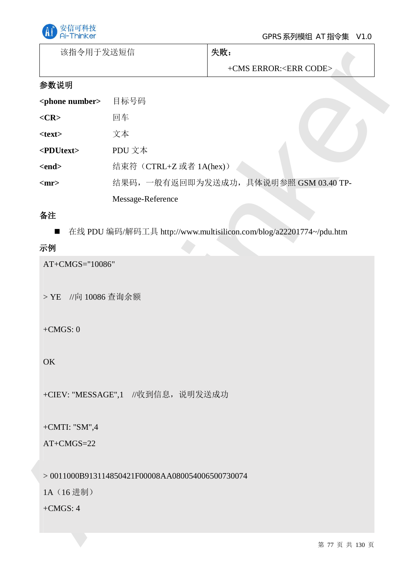

| 该指令用于发送短信 | 失败: |
|-----------|-----|
|           |     |

## 参数说明

| 该指令用士友送短信                 |                                                    | 失败:                                                                |
|---------------------------|----------------------------------------------------|--------------------------------------------------------------------|
|                           |                                                    | +CMS ERROR: <err code=""></err>                                    |
| 参数说明                      |                                                    |                                                                    |
| <phone number=""></phone> | 目标号码                                               |                                                                    |
| $<$ CR>                   | 回车                                                 |                                                                    |
| $<$ text $>$              | 文本                                                 |                                                                    |
| <pdutext></pdutext>       | PDU 文本                                             |                                                                    |
| $<$ end $>$               | 结束符 (CTRL+Z 或者 1A(hex))                            |                                                                    |
| $<$ mr $>$                |                                                    | 结果码,一般有返回即为发送成功,具体说明参照 GSM 03.40 TP-                               |
|                           | Message-Reference                                  |                                                                    |
| 备注                        |                                                    |                                                                    |
| $\blacksquare$            |                                                    | 在线 PDU 编码/解码工具 http://www.multisilicon.com/blog/a22201774~/pdu.htm |
| 示例                        |                                                    |                                                                    |
| $+CMGS: 0$<br>OK          |                                                    |                                                                    |
|                           | +CIEV: "MESSAGE",1 //收到信息, 说明发送成功                  |                                                                    |
| +CMTI: " $SM$ ",4         |                                                    |                                                                    |
| $AT+CMGS=22$              |                                                    |                                                                    |
|                           |                                                    |                                                                    |
|                           | $> 0011000B913114850421F00008AA080054006500730074$ |                                                                    |
| 1A (16进制)                 |                                                    |                                                                    |
| $+CMGS: 4$                |                                                    |                                                                    |
|                           |                                                    |                                                                    |
|                           |                                                    | 第 77 页 共 130 页                                                     |

## 备注

## 示例

## $+CMGS: 0$

## OK

## +CMTI: "SM",4

## AT+CMGS=22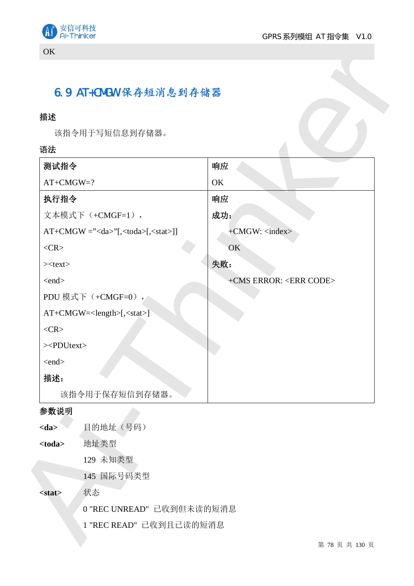



## 6.9 AT+CMGW 保存短消息到存储器

## 描述

#### 语法

| 描述                                         |                                 |                        |
|--------------------------------------------|---------------------------------|------------------------|
| 该指令用于写短信息到存储器。                             |                                 |                        |
| 语法                                         |                                 |                        |
| 测试指令                                       | 响应                              |                        |
| $AT+CMGW=?$                                | OK                              |                        |
| 执行指令                                       | 响应                              |                        |
| 文本模式下 (+CMGF=1),                           | 成功:                             |                        |
| $AT+CMGW = ""[, a>[,<<>stat>]$             | a>[                             | +CMGW: <index></index> |
| $<$ CR $>$                                 | OK                              |                        |
| $><$ text $>$                              | 失败:                             |                        |
| $\langle end \rangle$                      | +CMS ERROR: <err code=""></err> |                        |
| PDU 模式下 (+CMGF=0),                         |                                 |                        |
| AT+CMGW= <length>[,<stat>]</stat></length> |                                 |                        |
| $<$ CR $>$                                 |                                 |                        |
| $>>$ PDUtext>                              |                                 |                        |
| $\langle end \rangle$                      |                                 |                        |
| 描述:                                        |                                 |                        |
| 该指令用于保存短信到存储器。                             |                                 |                        |
| 参数说明                                       |                                 |                        |
| 目的地址 (号码)<br>$<$ da>                       |                                 |                        |
| 地址类型<br>$<$ toda $>$                       |                                 |                        |
| 129 未知类型                                   |                                 |                        |
| 145 国际号码类型                                 |                                 |                        |
| 状态<br><stat></stat>                        |                                 |                        |
| 0 "REC UNREAD" 已收到但未读的短消息                  |                                 |                        |

## 参数说明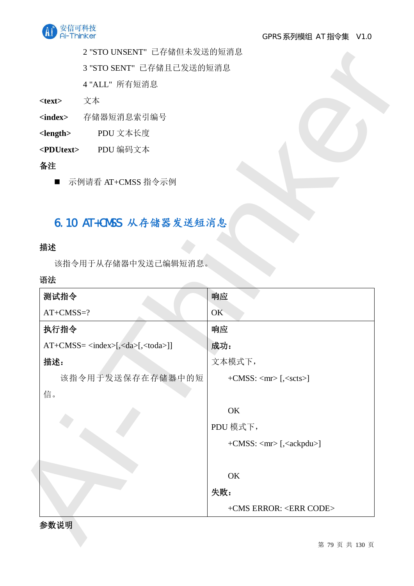

2 "STO UNSENT" 已存储但未发送的短消息

## 6.10 AT+CMSS 从存储器发送短消息

## 描述

## 语法

|                     | 3 "STO SENT" 已存储且已发送的短消息               |                                                                   |
|---------------------|----------------------------------------|-------------------------------------------------------------------|
|                     | 4 "ALL" 所有短消息                          |                                                                   |
| $<$ text $>$        | 文本                                     |                                                                   |
| <index></index>     | 存储器短消息索引编号                             |                                                                   |
| $<$ length $>$      | PDU 文本长度                               |                                                                   |
| <pdutext></pdutext> | PDU 编码文本                               |                                                                   |
| 备注                  |                                        |                                                                   |
| $\blacksquare$      | 示例请看 AT+CMSS 指令示例                      |                                                                   |
|                     |                                        |                                                                   |
|                     | 6.10 AT+CMSS 从存储器发送短消息                 |                                                                   |
|                     |                                        |                                                                   |
| 描述                  |                                        |                                                                   |
|                     | 该指令用于从存储器中发送已编辑短消息。                    |                                                                   |
|                     |                                        |                                                                   |
|                     |                                        |                                                                   |
| 测试指令                |                                        | 响应                                                                |
| $AT+CMS = ?$        |                                        | OK                                                                |
| 执行指令                |                                        | 响应                                                                |
|                     | $AT+CMS = index [ da [ stab [ stab ]]$ | 成功:                                                               |
| 描述:                 |                                        | 文本模式下,                                                            |
|                     | 该指令用于发送保存在存储器中的短                       | $+$ CMSS: $\langle mr \rangle$ [, $\langle \text{sets} \rangle$ ] |
| 信。                  |                                        |                                                                   |
|                     |                                        | OK                                                                |
|                     |                                        | PDU 模式下,                                                          |
|                     |                                        | +CMSS: <mr> [,<ackpdu>]</ackpdu></mr>                             |
|                     |                                        |                                                                   |
|                     |                                        | OK                                                                |
| 语法                  |                                        | 失败:                                                               |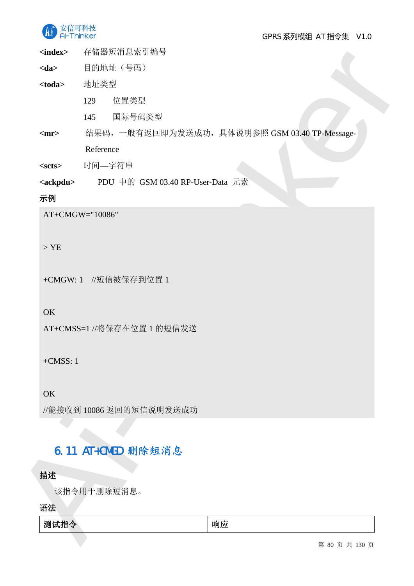

GPRS 系列模组 AT 指令集 V1.0

<index> 存储器短消息索引编号

- <da> 目的地址 (号码)
- <toda> 地址类型
	- 129 位置类型
	- 145 国际号码类型
- <mr> 结果码, 一般有返回即为发送成功, 具体说明参照 GSM 03.40 TP-Message-

## 示例

## > YE

## OK

## $+CMSS: 1$

## 6.11 AT+CMGD 删除短消息

## 描述

| <index></index>   | 仔储器短消思家引编号                                     |
|-------------------|------------------------------------------------|
| $<$ da>           | 目的地址 (号码)                                      |
| $<$ toda $>$      | 地址类型                                           |
|                   | 位置类型<br>129                                    |
|                   | 国际号码类型<br>145                                  |
| $<$ mr $>$        | 结果码, 一般有返回即为发送成功, 具体说明参照 GSM 03.40 TP-Message- |
|                   | Reference                                      |
| $<$ scts $>$      | 时间—字符串                                         |
| <ackpdu></ackpdu> | PDU 中的 GSM 03.40 RP-User-Data 元素               |
| 示例                |                                                |
|                   | AT+CMGW="10086"                                |
|                   |                                                |
| $>$ YE            |                                                |
|                   | +CMGW: 1 //短信被保存到位置 1                          |
|                   |                                                |
| OK                |                                                |
|                   | AT+CMSS=1 //将保存在位置 1 的短信发送                     |
|                   |                                                |
| $+CMSS: 1$        |                                                |
|                   |                                                |
| OK                |                                                |
|                   | //能接收到10086 返回的短信说明发送成功                        |
|                   |                                                |
|                   |                                                |
|                   |                                                |
|                   | 6.11 AT+CMGD 删除短消息                             |
| 描述                |                                                |
|                   | 该指令用于删除短消息。                                    |
| 语法<br>测试指令        | 响应                                             |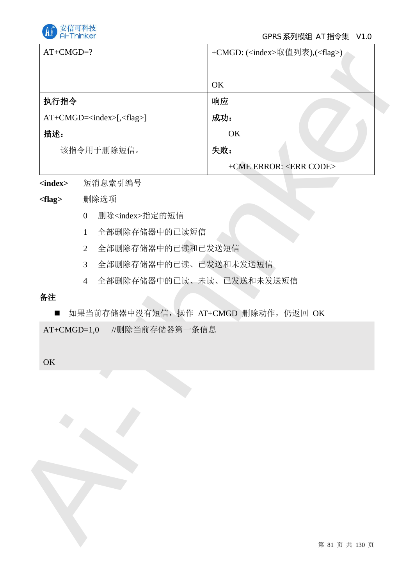

| $AT+CMGD=?$     |                                                       | +CMGD: ( <index>取值列表),(<flag>)</flag></index> |
|-----------------|-------------------------------------------------------|-----------------------------------------------|
|                 |                                                       |                                               |
|                 |                                                       | OK                                            |
| 执行指令            |                                                       | 响应                                            |
|                 | AT+CMGD= <index>[,<flag>]</flag></index>              | 成功:                                           |
| 描述:             |                                                       | OK                                            |
|                 | 该指令用于删除短信。                                            | 失败:                                           |
|                 |                                                       | +CME ERROR: <err code=""></err>               |
| <index></index> | 短消息索引编号                                               |                                               |
| $<$ flag $>$    | 删除选项                                                  |                                               |
|                 | 删除 <index>指定的短信<br/><math>\overline{0}</math></index> |                                               |
|                 | 全部删除存储器中的已读短信<br>$\mathbf{1}$                         |                                               |
|                 | 全部删除存储器中的已读和已发送短信<br>$\overline{2}$                   |                                               |
|                 | 全部删除存储器中的已读、已发送和未发送短信<br>$\mathfrak{Z}$               |                                               |
|                 | 全部删除存储器中的已读、未读、已发送和未发送短信<br>$\overline{4}$            |                                               |
| 备注              |                                                       |                                               |
| $\blacksquare$  | 如果当前存储器中没有短信, 操作 AT+CMGD 删除动作, 仍返回 OK                 |                                               |
| $AT+CMGD=1,0$   | //删除当前存储器第一条信息                                        |                                               |
|                 |                                                       |                                               |
| OK              |                                                       |                                               |
|                 |                                                       |                                               |
|                 |                                                       |                                               |
|                 |                                                       |                                               |
|                 |                                                       |                                               |
|                 |                                                       |                                               |
|                 |                                                       |                                               |
|                 |                                                       |                                               |
|                 |                                                       |                                               |
|                 |                                                       |                                               |
|                 |                                                       |                                               |
|                 |                                                       |                                               |
|                 |                                                       | 第 81 页 共 130 页                                |

## <flag> 删除选项

- 0 删除<index>指定的短信
- 1 全部删除存储器中的已读短信
- 2 全部删除存储器中的己读和己发送短信
- 3 全部删除存储器中的已读、已发送和未发送短信
- 4 全部删除存储器中的已读、未读、已发送和未发送短信

## 备注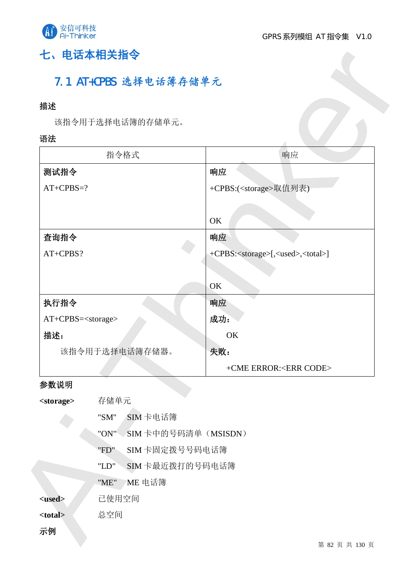

# 七、电话本相关指令

## 7.1 AT+CPBS 选择电话簿存储单元

## 描述

## 语法

| 描述                           |                            |                                                            |
|------------------------------|----------------------------|------------------------------------------------------------|
|                              | 该指令用于选择电话簿的存储单元。           |                                                            |
| 语法                           |                            |                                                            |
|                              | 指令格式                       | 响应                                                         |
| 测试指令                         |                            | 响应                                                         |
| $AT+CPBS=?$                  |                            | +CPBS:( <storage>取值列表)</storage>                           |
|                              |                            |                                                            |
|                              |                            | OK                                                         |
| 查询指令                         |                            | 响应                                                         |
| AT+CPBS?                     |                            | +CPBS: <storage>[,<used>,<total>]</total></used></storage> |
|                              |                            |                                                            |
|                              |                            | OK                                                         |
| 执行指令                         |                            | 响应                                                         |
| AT+CPBS= <storage></storage> |                            | 成功:                                                        |
| 描述:                          |                            | OK                                                         |
|                              | 该指令用于选择电话簿存储器。             | 失败:                                                        |
|                              |                            | +CME ERROR: <err code=""></err>                            |
| 参数说明                         |                            |                                                            |
| <storage></storage>          | 存储单元                       |                                                            |
|                              | SIM卡电话簿<br>"SM"            |                                                            |
|                              | SIM卡中的号码清单(MSISDN)<br>"ON" |                                                            |
|                              | SIM 卡固定拨号号码电话簿<br>"FD"     |                                                            |
|                              | SIM 卡最近拨打的号码电话簿<br>"LD"    |                                                            |
|                              | $"ME"$<br>ME 电话簿           |                                                            |
| <used></used>                | 已使用空间                      |                                                            |
| <total></total>              | 总空间                        |                                                            |

## 参数说明

| <storage></storage> | 存储单元                       |
|---------------------|----------------------------|
|                     | SIM卡电话簿<br>"SM"            |
|                     | SIM卡中的号码清单(MSISDN)<br>"ON" |
|                     | SIM 卡固定拨号号码电话簿<br>"FD"     |
|                     | SIM 卡最近拨打的号码电话簿<br>"LD"    |
|                     | "ME"<br>rME 电话簿            |
| <used></used>       | 已使用空间                      |
| <total></total>     | 总空间                        |
| 示例                  |                            |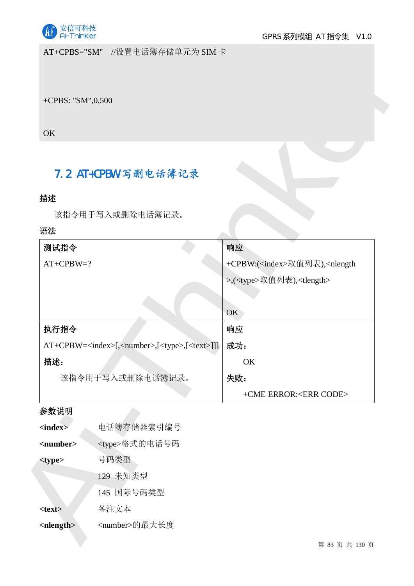

AT+CPBS="SM" //设置电话簿存储单元为 SIM 卡

## 7.2 AT+CPBW 写删电话簿记录

## 描述

| +CPBS: "SM",0,500                                                            |                                                          |
|------------------------------------------------------------------------------|----------------------------------------------------------|
|                                                                              |                                                          |
| OK                                                                           |                                                          |
|                                                                              |                                                          |
| 7.2 AT+CPBW 写删电话簿记录                                                          |                                                          |
|                                                                              |                                                          |
| 描述                                                                           |                                                          |
| 该指令用于写入或删除电话簿记录。                                                             |                                                          |
| 语法                                                                           |                                                          |
| 测试指令                                                                         | 响应                                                       |
| $AT+CPBW=?$                                                                  | +CPBW:( <index>取值列表),<nlength< td=""></nlength<></index> |
|                                                                              | >,( <type>取值列表),<tlength></tlength></type>               |
|                                                                              |                                                          |
|                                                                              | OK                                                       |
| 执行指令                                                                         | 响应                                                       |
| AT+CPBW= <index>[,<number>,[<type>,[<text>]]]</text></type></number></index> | 成功:                                                      |
| 描述:                                                                          | OK                                                       |
| 该指令用于写入或删除电话簿记录。                                                             | 失败:                                                      |
|                                                                              | +CME ERROR: <err code=""></err>                          |
| 参数说明                                                                         |                                                          |
| 电话簿存储器索引编号<br>$\langle index \rangle$                                        |                                                          |
| <type>格式的电话号码<br/><number></number></type>                                   |                                                          |
| 号码类型<br><type></type>                                                        |                                                          |
| 129 未知类型                                                                     |                                                          |
| 145 国际号码类型                                                                   |                                                          |
|                                                                              |                                                          |

## 参数说明

| $\langle$ index $\rangle$   | 电话簿存储器索引编号             |
|-----------------------------|------------------------|
| $<$ number $>$              | <type>格式的电话号码</type>   |
| <type></type>               | 号码类型                   |
|                             | 129 未知类型               |
|                             | 145 国际号码类型             |
| <text></text>               | 备注文本                   |
| $\langle$ nlength $\rangle$ | <number>的最大长度</number> |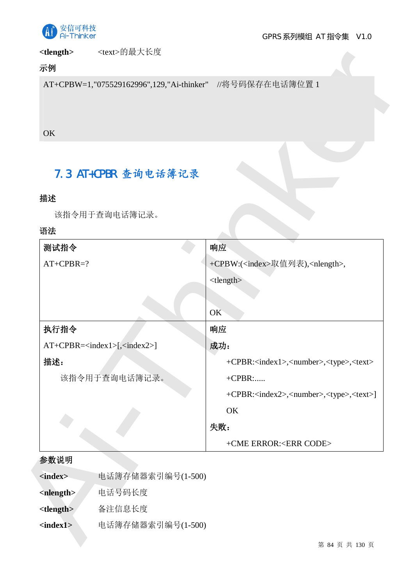

<tlength> <text>的最大长度

## 示例

## **OK**

## 7.3 AT+CPBR 查询电话簿记录

## 描述

## 语法

|                          |                     | AT+CPBW=1,"075529162996",129,"Ai-thinker" //将号码保存在电话簿位置 1               |
|--------------------------|---------------------|-------------------------------------------------------------------------|
|                          |                     |                                                                         |
|                          |                     |                                                                         |
| OK                       |                     |                                                                         |
|                          |                     |                                                                         |
|                          |                     |                                                                         |
|                          | 7.3 AT+CPBR 查询电话簿记录 |                                                                         |
| 描述                       |                     |                                                                         |
|                          | 该指令用于查询电话簿记录。       |                                                                         |
| 语法                       |                     |                                                                         |
| 测试指令                     |                     | 响应                                                                      |
| $AT+CPBR=?$              |                     | +CPBW:( <index>取值列表),<nlength>,</nlength></index>                       |
|                          |                     | ltlength                                                                |
|                          |                     |                                                                         |
|                          |                     | OK                                                                      |
| 执行指令                     |                     | 响应                                                                      |
|                          | $AT+CPBR = [, ]$    | 成功:                                                                     |
| 描述:                      |                     | +CPBR: <index1>,<number>,<type>,<text></text></type></number></index1>  |
|                          | 该指令用于查询电话簿记录。       | $+CPBR$ :                                                               |
|                          |                     | +CPBR: <index2>,<number>,<type>,<text>]</text></type></number></index2> |
|                          |                     | OK                                                                      |
|                          |                     | 失败:                                                                     |
|                          |                     | +CME ERROR: <err code=""></err>                                         |
| 参数说明                     |                     |                                                                         |
| <index></index>          | 电话簿存储器索引编号(1-500)   |                                                                         |
| <nlength></nlength>      | 电话号码长度              |                                                                         |
| <tlength></tlength>      | 备注信息长度              |                                                                         |
| $\langle index1 \rangle$ | 电话簿存储器索引编号(1-500)   |                                                                         |
|                          |                     | 第 84 页 共 130 页                                                          |

## 参数说明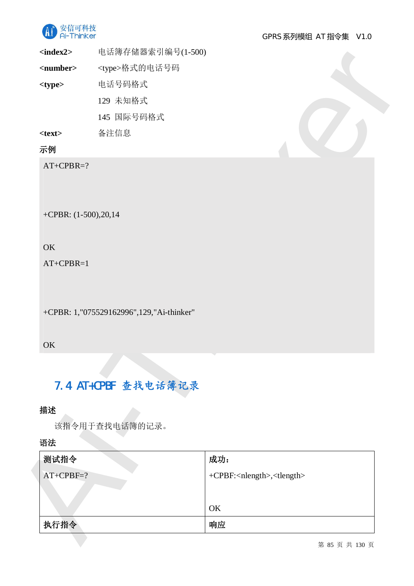

## 示例

## **OK**

## **OK**

# 7.4 AT+CPBF 查找电话簿记录

## 描述

| $index2>$            |                                          |                                                |  |
|----------------------|------------------------------------------|------------------------------------------------|--|
| <number></number>    | <type>格式的电话号码</type>                     |                                                |  |
| <type></type>        | 电话号码格式                                   |                                                |  |
|                      | 129 未知格式                                 |                                                |  |
|                      | 145 国际号码格式                               |                                                |  |
| $<$ text $>$         | 备注信息                                     |                                                |  |
| 示例                   |                                          |                                                |  |
| $AT+CPBR=?$          |                                          |                                                |  |
|                      |                                          |                                                |  |
|                      |                                          |                                                |  |
| +CPBR: (1-500),20,14 |                                          |                                                |  |
|                      |                                          |                                                |  |
| OK                   |                                          |                                                |  |
| $AT+CPBR=1$          |                                          |                                                |  |
|                      |                                          |                                                |  |
|                      |                                          |                                                |  |
|                      |                                          |                                                |  |
|                      | +CPBR: 1,"075529162996",129,"Ai-thinker" |                                                |  |
|                      |                                          |                                                |  |
|                      |                                          |                                                |  |
|                      |                                          |                                                |  |
| OK                   |                                          |                                                |  |
|                      | 7.4 AT+CPBF 查找电话簿记录                      |                                                |  |
| 描述                   |                                          |                                                |  |
|                      | 该指令用于查找电话簿的记录。                           |                                                |  |
|                      |                                          |                                                |  |
| 语法<br>测试指令           |                                          | 成功:                                            |  |
|                      |                                          | +CPBF: <nlength>,<tlength></tlength></nlength> |  |
| $AT+CPBF=?$          |                                          |                                                |  |
|                      |                                          | OK                                             |  |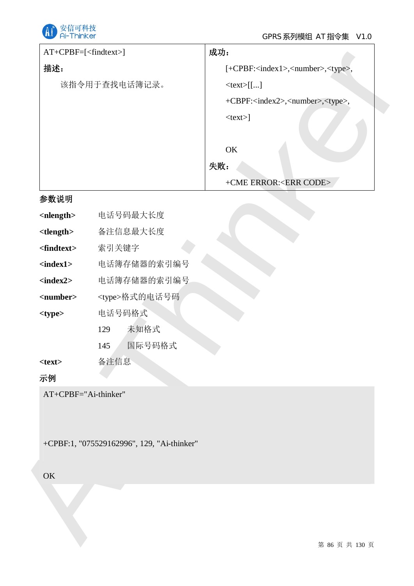

| 描述:<br>[+CPBF: <index1>,<number>,<type>,<br/>该指令用于查找电话簿记录。<br/>ltext[]<br/>+CBPF:<index2>,<number>,<type>,<br/><math>&lt;</math>text<math>&gt;</math>]<br/>OK<br/>失败:<br/>+CME ERROR:<err code=""><br/>电话号码最大长度<br/>备注信息最大长度<br/>索引关键字<br/>电话簿存储器的索引编号<br/>电话簿存储器的索引编号<br/><type>格式的电话号码<br/>电话号码格式<br/>未知格式<br/>129<br/>国际号码格式<br/>145</type></err></type></number></index2></type></number></index1> | $AT+CPBF=[]$ |  | 成功:            |
|--------------------------------------------------------------------------------------------------------------------------------------------------------------------------------------------------------------------------------------------------------------------------------------------------------------------------------------------------------------------------------------------------------|--------------|--|----------------|
|                                                                                                                                                                                                                                                                                                                                                                                                        |              |  |                |
|                                                                                                                                                                                                                                                                                                                                                                                                        |              |  |                |
|                                                                                                                                                                                                                                                                                                                                                                                                        |              |  |                |
|                                                                                                                                                                                                                                                                                                                                                                                                        |              |  |                |
|                                                                                                                                                                                                                                                                                                                                                                                                        |              |  |                |
|                                                                                                                                                                                                                                                                                                                                                                                                        |              |  |                |
|                                                                                                                                                                                                                                                                                                                                                                                                        |              |  |                |
| 参数说明                                                                                                                                                                                                                                                                                                                                                                                                   |              |  |                |
| <nlength></nlength>                                                                                                                                                                                                                                                                                                                                                                                    |              |  |                |
| <tlength><br/><math>&lt;</math>findt<math>ext</math>&gt;<br/><math>\langle index1 \rangle</math><br/><math>\langle index2 \rangle</math><br/><number><br/><type></type></number></tlength>                                                                                                                                                                                                             |              |  |                |
|                                                                                                                                                                                                                                                                                                                                                                                                        |              |  |                |
|                                                                                                                                                                                                                                                                                                                                                                                                        |              |  |                |
|                                                                                                                                                                                                                                                                                                                                                                                                        |              |  |                |
|                                                                                                                                                                                                                                                                                                                                                                                                        |              |  |                |
|                                                                                                                                                                                                                                                                                                                                                                                                        |              |  |                |
|                                                                                                                                                                                                                                                                                                                                                                                                        |              |  |                |
|                                                                                                                                                                                                                                                                                                                                                                                                        |              |  |                |
|                                                                                                                                                                                                                                                                                                                                                                                                        |              |  |                |
| 备注信息<br>$<$ text $>$                                                                                                                                                                                                                                                                                                                                                                                   |              |  |                |
| 示例                                                                                                                                                                                                                                                                                                                                                                                                     |              |  |                |
|                                                                                                                                                                                                                                                                                                                                                                                                        |              |  |                |
| +CPBF:1, "075529162996", 129, "Ai-thinker"                                                                                                                                                                                                                                                                                                                                                             | OK           |  |                |
|                                                                                                                                                                                                                                                                                                                                                                                                        |              |  |                |
|                                                                                                                                                                                                                                                                                                                                                                                                        |              |  |                |
|                                                                                                                                                                                                                                                                                                                                                                                                        |              |  |                |
|                                                                                                                                                                                                                                                                                                                                                                                                        |              |  | 第 86 页 共 130 页 |

## 参数说明

| $\langle$ nlength $>$ | 电话号码最大长度             |
|-----------------------|----------------------|
| lt length             | 备注信息最大长度             |
| <findtext></findtext> | 索引关键字                |
| <index1></index1>     | 电话簿存储器的索引编号          |
| $index2$              | 电话簿存储器的索引编号          |
| <number></number>     | <type>格式的电话号码</type> |
| $<$ type $>$          | 电话号码格式               |
|                       | 未知格式<br>129          |
|                       | 国际号码格式<br>145        |
| <text></text>         | 备注信息                 |
| 示例                    |                      |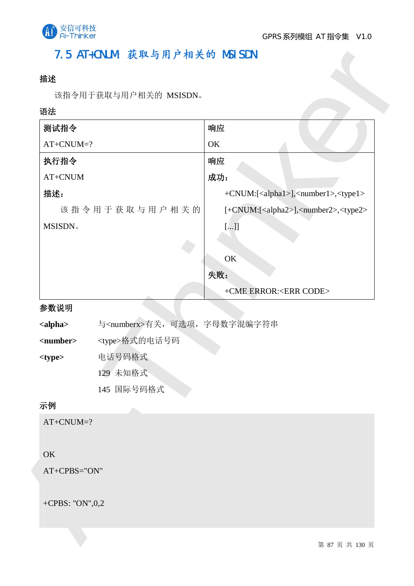

## 7.5 AT+CNUM: 获取与用户相关的 MSISDN

## 描述

## 语法

| 测试指令               |                                       | 响应                                                              |
|--------------------|---------------------------------------|-----------------------------------------------------------------|
| $AT+CNUM=?$        |                                       | OK                                                              |
| 执行指令               |                                       | 响应                                                              |
| $AT+CNUM$          |                                       | 成功:                                                             |
| 描述:                |                                       | +CNUM:[ <alpha1>],<number1>,<type1></type1></number1></alpha1>  |
|                    | 该指令用于获取与用户相关的                         | [+CNUM:[ <alpha2>],<number2>,<type2></type2></number2></alpha2> |
| MSISDN.            |                                       | $[]]$                                                           |
|                    |                                       |                                                                 |
|                    |                                       | OK                                                              |
|                    |                                       | 失败:                                                             |
|                    |                                       | +CME ERROR: <err code=""></err>                                 |
| 参数说明               |                                       |                                                                 |
| <alpha></alpha>    | 与 <numberx>有关,可选项,字母数字混编字符串</numberx> |                                                                 |
| <number></number>  | <type>格式的电话号码</type>                  |                                                                 |
| <type></type>      | 电话号码格式<br>129 未知格式                    |                                                                 |
|                    | 145 国际号码格式                            |                                                                 |
|                    |                                       |                                                                 |
|                    |                                       |                                                                 |
| 示例                 |                                       |                                                                 |
| $AT+CNUM=?$        |                                       |                                                                 |
|                    |                                       |                                                                 |
| OK<br>AT+CPBS="ON" |                                       |                                                                 |

## 参数说明

## 示例

## **OK**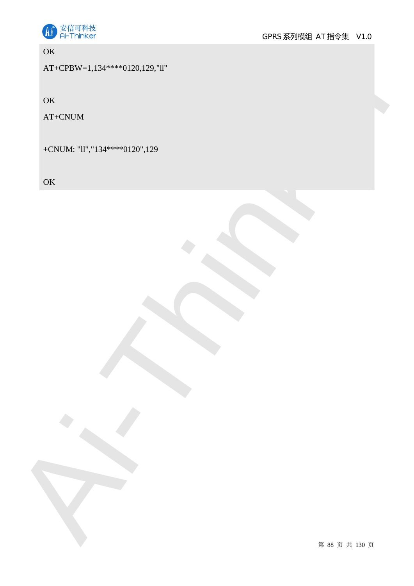

**OK** 

OK<br>
AT-CPRIM<br>
AT-CPRIM<br>
AT-CPRIM<br>
AT-CPRIM<br>
AT-CPRIM<br>
AT-CPRIM<br>
AT-CPRIM<br>
AT-CPRIM<br>
AT-CPRIM<br>
AT-CPRIM<br>
AT-CPRIM<br>
AT-CPRIM<br>
AT-CPRIM<br>
AT-CPRIM<br>
AT-CPRIM<br>
AT-CPRIM<br>
AT-CPRIM<br>
AT-CPRIM<br>
AT-CPRIM<br>
AT-CPRIM<br>
AT-CPRIM<br>
AT-CPRI AT+CPBW=1,134\*\*\*\*0120,129,"ll"

**OK** 

AT+CNUM

+CNUM: "ll","134\*\*\*\*0120",129

**OK**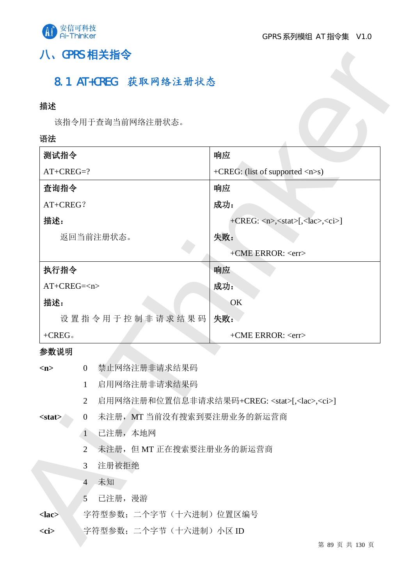

## 八、GPRS 相关指令

## 8.1 AT+CREG 获取网络注册状态

## 描述

## 语法

| 描述                                  |                                                                                                 |  |
|-------------------------------------|-------------------------------------------------------------------------------------------------|--|
| 该指令用于查询当前网络注册状态。                    |                                                                                                 |  |
| 语法                                  |                                                                                                 |  |
| 测试指令                                | 响应                                                                                              |  |
| $AT+CREG=?$                         | +CREG: (list of supported <n>s)</n>                                                             |  |
| 查询指令                                | 响应                                                                                              |  |
| AT+CREG?                            | 成功:                                                                                             |  |
| 描述:                                 | $+{\rm CREG:}\langle n \rangle, \langle stat \rangle, \langle lac \rangle, \langle ci \rangle]$ |  |
| 返回当前注册状态。                           | 失败:                                                                                             |  |
|                                     | +CME ERROR: <err></err>                                                                         |  |
| 执行指令                                | 响应                                                                                              |  |
| $AT+CREG=$                          | 成功:                                                                                             |  |
| 描述:                                 | OK                                                                                              |  |
| 设置指令用于控制非请求结果码                      | 失败:                                                                                             |  |
| $+$ CREG.                           | +CME ERROR: <err></err>                                                                         |  |
| 参数说明                                |                                                                                                 |  |
| 禁止网络注册非请求结果码<br>$\overline{0}$<br>m |                                                                                                 |  |
| 启用网络注册非请求结果码<br>$\mathbf{1}$        |                                                                                                 |  |
|                                     | 启用网络注册和位置信息非请求结果码+CREG: <stat>[,<lac>,<ci>]<br/><math>\overline{2}</math></ci></lac></stat>     |  |
| $\overline{0}$<br>$<$ stat $>$      | 未注册, MT 当前没有搜索到要注册业务的新运营商                                                                       |  |
| 已注册,本地网<br>$\mathbf{1}$             |                                                                                                 |  |
|                                     | 未注册, 但 MT 正在搜索要注册业务的新运营商                                                                        |  |
| $\overline{2}$                      |                                                                                                 |  |
| 注册被拒绝<br>3                          |                                                                                                 |  |
| 未知<br>$\overline{4}$                |                                                                                                 |  |
| 已注册, 漫游<br>5                        |                                                                                                 |  |
| $lac$<br>$<$ ci $>$                 | 字符型参数; 二个字节 (十六进制) 位置区编号<br>字符型参数; 二个字节(十六进制) 小区 ID                                             |  |

- 1 己注册,本地网
- 2 未注册, 但 MT 正在搜索要注册业务的新运营商
- 3 注册被拒绝
- 4 未知
- 5 已注册, 漫游

## <lac> 字符型参数; 二个字节(十六进制) 位置区编号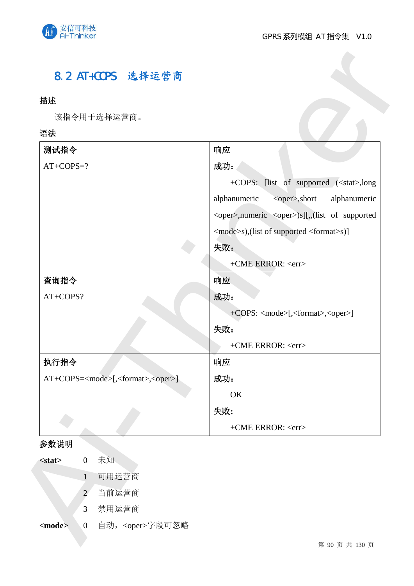

## 8.2 AT+COPS 选择运营商

## 描述

## 语法

| 描述                                                                                            |                                                             |
|-----------------------------------------------------------------------------------------------|-------------------------------------------------------------|
| 该指令用于选择运营商。                                                                                   |                                                             |
| 语法                                                                                            |                                                             |
| 测试指令                                                                                          | 响应                                                          |
| $AT+COPS=?$                                                                                   | 成功:                                                         |
|                                                                                               | +COPS: [list of supported ( <stat>,long</stat>              |
|                                                                                               | alphanumeric<br>alphanumeric<br><oper>,short</oper>         |
|                                                                                               | <oper>,numeric <oper>)s][,,(list of supported</oper></oper> |
|                                                                                               | <mode>s),(list of supported <format>s)]</format></mode>     |
|                                                                                               | 失败:                                                         |
|                                                                                               | +CME ERROR: <err></err>                                     |
| 查询指令                                                                                          | 响应                                                          |
| AT+COPS?                                                                                      | 成功:                                                         |
|                                                                                               | +COPS: <mode>[,<format>,<oper>]</oper></format></mode>      |
|                                                                                               | 失败:                                                         |
|                                                                                               | +CME ERROR: <err></err>                                     |
| 执行指令                                                                                          | 响应                                                          |
| AT+COPS= <mode>[,<format>,<oper>]</oper></format></mode>                                      | 成功:                                                         |
|                                                                                               | OK                                                          |
|                                                                                               | 失败:                                                         |
|                                                                                               | +CME ERROR: <err></err>                                     |
| 参数说明                                                                                          |                                                             |
| 未知<br>$\boldsymbol{0}$<br>$<$ stat $>$                                                        |                                                             |
| 可用运营商<br>$\mathbf{1}$                                                                         |                                                             |
| 当前运营商<br>$\overline{2}$                                                                       |                                                             |
| 禁用运营商<br>3                                                                                    |                                                             |
| 自动, <oper>字段可忽略<br/><math>&lt;</math>mode<math>&gt;</math><br/><math>\mathbf{0}</math></oper> |                                                             |
|                                                                                               | 第 90 页 共 130 页                                              |

## 参数说明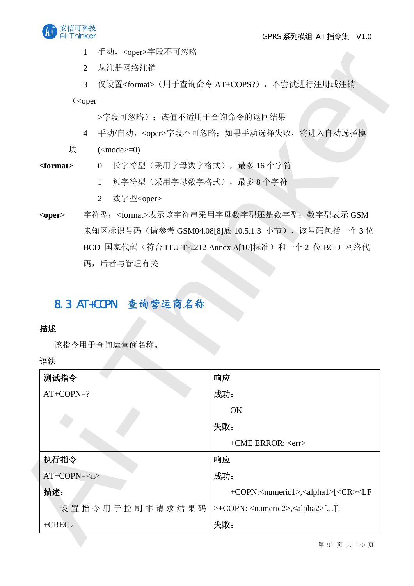

1 手动, <oper>字段不可忽略

- 4 手动/自动, <oper>字段不可忽略; 如果手动选择失败, 将进入自动选择模
- $\qquad \qquad \text{(\n $\text{mode}>=0)$$
- <format> 0 长字符型(采用字母数字格式), 最多 16 个字符
	- 1 短字符型(采用字母数字格式), 最多8个字符
	- 2 数字型<oper>
- <oper> 字符型;<format>表示该字符串采用字母数字型还是数字型;数字型表示 GSM 未知区标识号码(请参考 GSM04.08[8]底 10.5.1.3 小节),该号码包括一个3位 BCD 国家代码 (符合 ITU-TE.212 Annex A[10]标准) 和一个 2 位 BCD 网络代 码,后者与管理有关

## 8.3 AT+COPN 查询营运商名称

## 描述

|                | 于动, <oper>字段个可忽略</oper>                                                                                                                         |
|----------------|-------------------------------------------------------------------------------------------------------------------------------------------------|
|                | 从注册网络注销<br>$\overline{2}$                                                                                                                       |
|                | 仅设置 <format>(用于查询命令 AT+COPS?), 不尝试进行注册或注销<br/>3<sup>1</sup></format>                                                                            |
|                | $\langle$ <oper< td=""></oper<>                                                                                                                 |
|                | >字段可忽略); 该值不适用于查询命令的返回结果                                                                                                                        |
|                | 手动/自动, <oper>字段不可忽略; 如果手动选择失败, 将进入自动选择模<br/><math>\overline{4}</math></oper>                                                                    |
| 块              | $(\text{}=0)$                                                                                                                                   |
| $<$ format $>$ | 0 长字符型(采用字母数字格式),最多16个字符                                                                                                                        |
|                | 短字符型(采用字母数字格式), 最多8个字符<br>1                                                                                                                     |
|                | 数字型 <oper><br/><math>\overline{2}</math></oper>                                                                                                 |
| <oper></oper>  | 字符型; <format>表示该字符串采用字母数字型还是数字型; 数字型表示 GSM</format>                                                                                             |
|                | 未知区标识号码(请参考 GSM04.08[8]底 10.5.1.3 小节), 该号码包括一个3位                                                                                                |
|                | BCD 国家代码 (符合 ITU-TE.212 Annex A[10]标准) 和一个 2 位 BCD 网络代                                                                                          |
|                |                                                                                                                                                 |
|                | 码,后者与管理有关<br>8.3 AT+COPN 查询营运商名称                                                                                                                |
| 描述<br>语法       | 该指令用于查询运营商名称。                                                                                                                                   |
| 测试指令           | 响应                                                                                                                                              |
| $AT+COPN=?$    | 成功:                                                                                                                                             |
|                | OK                                                                                                                                              |
|                | 失败:                                                                                                                                             |
|                | +CME ERROR: <err></err>                                                                                                                         |
| 执行指令           | 响应                                                                                                                                              |
| $AT+COPN=$     | 成功:                                                                                                                                             |
| 描述:            |                                                                                                                                                 |
|                | +COPN: <numeric1>,<alpha1>[<cr><lf<br>设置指令用于控制非请求结果码<br/>&gt;+COPN: <numeric2>,<alpha2>[]]</alpha2></numeric2></lf<br></cr></alpha1></numeric1> |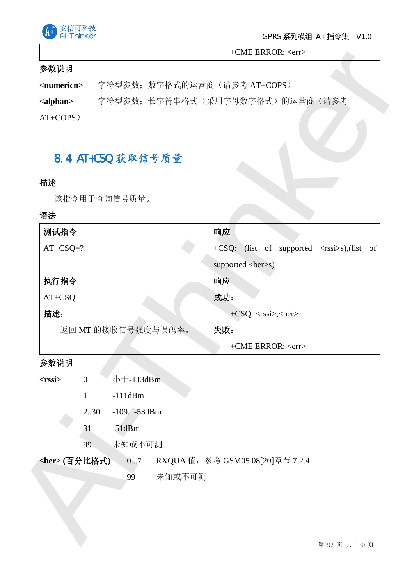

+CME ERROR: <err>

## 参数说明

## 8.4 AT+CSQ 获取信号质量

## 描述

#### 语法

|                                  |                              | $+CME$ ERROR: $\langle err \rangle$               |
|----------------------------------|------------------------------|---------------------------------------------------|
| 参数说明                             |                              |                                                   |
| <numericn></numericn>            | 字符型参数; 数字格式的运营商(请参考 AT+COPS) |                                                   |
| <alphan></alphan>                |                              | 字符型参数;长字符串格式(采用字母数字格式)的运营商(请参考                    |
| $AT+COPS$ )                      |                              |                                                   |
|                                  |                              |                                                   |
|                                  | 8.4 AT+CSQ 获取信号质量            |                                                   |
|                                  |                              |                                                   |
| 描述                               |                              |                                                   |
|                                  | 该指令用于查询信号质量。                 |                                                   |
| 语法                               |                              |                                                   |
| 测试指令                             |                              | 响应                                                |
| $AT+CSQ=?$                       |                              | +CSQ: (list of supported <rssi>s),(list of</rssi> |
|                                  |                              | supported<br>ber>s)                               |
| 执行指令                             |                              | 响应                                                |
| $AT+CSQ$                         |                              | 成功:                                               |
| 描述:                              |                              | $+CSQ: $ , $$                                     |
|                                  | 返回 MT 的接收信号强度与误码率。           | 失败:                                               |
|                                  |                              | +CME ERROR: <err></err>                           |
| 参数说明                             |                              |                                                   |
| $<$ rssi $>$<br>$\boldsymbol{0}$ | 小于-113dBm                    |                                                   |
| $\mathbf{1}$                     | $-111dBm$                    |                                                   |
|                                  | $-109$ $-53$ dBm<br>2.30     |                                                   |
| 31                               | $-51dBm$                     |                                                   |
| 99                               | 未知或不可测                       |                                                   |
| <ber>(百分比格式)</ber>               | 07                           | RXQUA 值, 参考 GSM05.08[20]章节 7.2.4                  |
|                                  | 未知或不可测<br>99                 |                                                   |
|                                  |                              |                                                   |
|                                  |                              |                                                   |
|                                  |                              |                                                   |
|                                  |                              | 第 92 页 共 130 页                                    |

## 参数说明

- $\epsilon$ **rssi** $> 0 \qquad \pi$ <sup> $\pm$ </sup>-113dBm
	- 1 -111dBm
	- 2..30 -109...-53dBm
	- 31 -51dBm
	- 99 未知或不可测
- <ber>(百分比格式) 0...7 RXQUA 值, 参考 GSM05.08[20]章节 7.2.4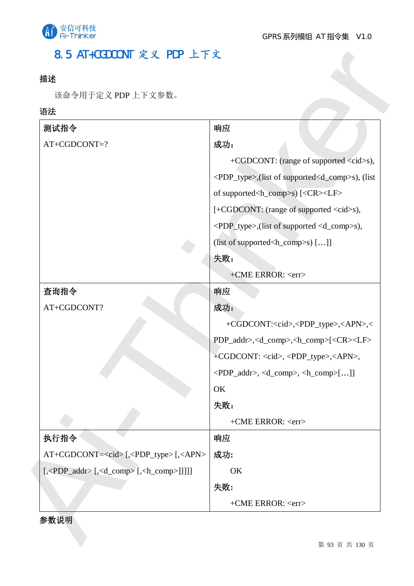

## 8.5 AT+CGDCONT 定义 PDP 上下文

## 描述

## 语法

| 该命令用于定义 PDP 上下文参数。                                                                                              |                                                                                   |
|-----------------------------------------------------------------------------------------------------------------|-----------------------------------------------------------------------------------|
| 语法                                                                                                              |                                                                                   |
| 测试指令                                                                                                            | 响应                                                                                |
| AT+CGDCONT=?                                                                                                    | 成功:                                                                               |
|                                                                                                                 | +CGDCONT: (range of supported <cid>s),</cid>                                      |
|                                                                                                                 | <pdp_type>,(list of supported<d_comp>s), (list</d_comp></pdp_type>                |
|                                                                                                                 | of supported <h_comp>s) [<cr><lf></lf></cr></h_comp>                              |
|                                                                                                                 | [+CGDCONT: (range of supported <cid>s),</cid>                                     |
|                                                                                                                 | <pdp_type>,(list of supported <d_comp>s),</d_comp></pdp_type>                     |
|                                                                                                                 | (list of supported <h_comp>s) []]</h_comp>                                        |
|                                                                                                                 | 失败:                                                                               |
|                                                                                                                 | +CME ERROR: <err></err>                                                           |
| 查询指令                                                                                                            | 响应                                                                                |
| AT+CGDCONT?                                                                                                     | 成功:                                                                               |
|                                                                                                                 | +CGDCONT: <cid>,<pdp_type>,<apn>,&lt;</apn></pdp_type></cid>                      |
|                                                                                                                 | PDP_addr>, <d_comp>,<h_comp>[<cr><lf></lf></cr></h_comp></d_comp>                 |
|                                                                                                                 | +CGDCONT: <cid>, <pdp_type>,<apn>,</apn></pdp_type></cid>                         |
|                                                                                                                 | $\langle PDP\_addr \rangle, \langle d\_comp \rangle, \langle h\_comp \rangle$ []] |
|                                                                                                                 | OK                                                                                |
|                                                                                                                 | 失败:                                                                               |
|                                                                                                                 | $+$ CME ERROR: $\langle$ err $>$                                                  |
| 执行指令                                                                                                            | 响应                                                                                |
| AT+CGDCONT= <cid>[,<pdp_type>[,<apn></apn></pdp_type></cid>                                                     | 成功:                                                                               |
| $[$ , <pdp_addr><math>[</math>, <d_comp><math>[</math>, <h_comp><math>[</math>]]]]</h_comp></d_comp></pdp_addr> | OK                                                                                |
|                                                                                                                 | 失败:                                                                               |
|                                                                                                                 | +CME ERROR: <err></err>                                                           |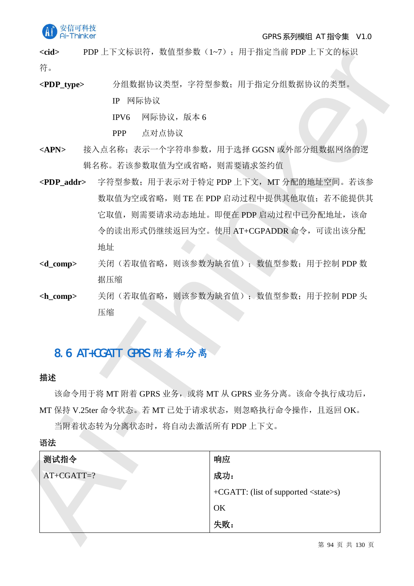

#### GPRS 系列模组 AT 指令集 V1.0

<cid> PDP 上下文标识符, 数值型参数 (1~7): 用于指定当前 PDP 上下文的标识 符。

- PPP 点对点协议
- <APN> 接入点名称: 表示一个字符串参数, 用于选择 GGSN 或外部分组数据网络的逻 辑名称。若该参数取值为空或省略,则需要请求签约值
- <PDP\_addr> 字符型参数;用于表示对于特定 PDP 上下文, MT 分配的地址空间。若该参 数取值为空或省略, 则 TE 在 PDP 启动过程中提供其他取值; 若不能提供其 它取值, 则需要请求动态地址。即便在 PDP 启动过程中已分配地址, 该命 令的读出形式仍继续返回为空。使用 AT+CGPADDR 命令, 可读出该分配 地址
- <d\_comp> 关闭(若取值省略,则该参数为缺省值); 数值型参数; 用于控制 PDP 数 据压缩
- <h comp> 关闭(若取值省略,则该参数为缺省值); 数值型参数; 用于控制 PDP 头 压缩

## 8.6 AT+CGATT GPRS 附着和分离

## 揣述

| 符。                  |                                                   |
|---------------------|---------------------------------------------------|
| $\langle$ PDP_type> | 分组数据协议类型, 字符型参数; 用于指定分组数据协议的类型。                   |
|                     | IP 网际协议                                           |
|                     | 网际协议, 版本6<br>IPV6                                 |
|                     | 点对点协议<br><b>PPP</b>                               |
| <apn></apn>         | 接入点名称;表示一个字符串参数,用于选择 GGSN 或外部分组数据网络的逻             |
|                     | 辑名称。若该参数取值为空或省略, 则需要请求签约值                         |
| $\langle$ PDP_addr> | 字符型参数;用于表示对于特定 PDP 上下文, MT 分配的地址空间。若该参            |
|                     | 数取值为空或省略, 则 TE 在 PDP 启动过程中提供其他取值; 若不能提供其          |
|                     | 它取值,则需要请求动态地址。即便在 PDP 启动过程中已分配地址,该命               |
|                     | 令的读出形式仍继续返回为空。使用 AT+CGPADDR 命令, 可读出该分配            |
|                     | 地址                                                |
| $< d_{comp>}$       | 关闭(若取值省略, 则该参数为缺省值); 数值型参数; 用于控制 PDP 数            |
|                     | 据压缩                                               |
|                     |                                                   |
| $L$ comp>           | 关闭(若取值省略,则该参数为缺省值); 数值型参数; 用于控制 PDP 头             |
|                     | 压缩                                                |
|                     |                                                   |
|                     |                                                   |
|                     | 8.6 AT+CGATT GPRS 附着和分离                           |
| 描述                  |                                                   |
|                     | 该命令用于将 MT 附着 GPRS 业务, 或将 MT 从 GPRS 业务分离。该命令执行成功后, |
|                     | MT 保持 V.25ter 命令状态。若 MT 已处于请求状态,则忽略执行命令操作,且返回 OK。 |
|                     | 当附着状态转为分离状态时,将自动去激活所有 PDP 上下文。                    |
| 语法                  |                                                   |
| 测试指令                | 响应                                                |
| $AT+CGATT=?$        | 成功:                                               |
|                     | $+CGATT$ : (list of supported $\langle$ state>s)  |
|                     | OK                                                |

语法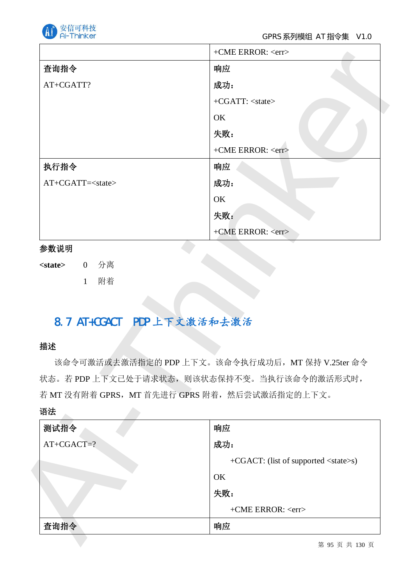

#### GPRS 系列模组 AT 指令集 V1.0

|                                  | +CME ERROR: <err></err>                                                                                                                           |
|----------------------------------|---------------------------------------------------------------------------------------------------------------------------------------------------|
| 查询指令                             | 响应                                                                                                                                                |
| AT+CGATT?                        | 成功:                                                                                                                                               |
|                                  | +CGATT: <state></state>                                                                                                                           |
|                                  | OK                                                                                                                                                |
|                                  | 失败:                                                                                                                                               |
|                                  | +CME ERROR: <err></err>                                                                                                                           |
| 执行指令                             | 响应                                                                                                                                                |
| AT+CGATT= <state></state>        | 成功:                                                                                                                                               |
|                                  | OK                                                                                                                                                |
|                                  | 失败:                                                                                                                                               |
|                                  | +CME ERROR: <err></err>                                                                                                                           |
| 参数说明                             |                                                                                                                                                   |
| 0 分离<br><state></state>          |                                                                                                                                                   |
|                                  |                                                                                                                                                   |
| 附着<br>$\mathbf{1}$               |                                                                                                                                                   |
| 8.7 AT+CGACT PDP 上下文激活和去激活<br>描述 | 该命令可激活或去激活指定的 PDP 上下文。该命令执行成功后, MT 保持 V.25ter 命令<br>状态。若 PDP 上下文已处于请求状态, 则该状态保持不变。当执行该命令的激活形式时,<br>若 MT 没有附着 GPRS, MT 首先进行 GPRS 附着, 然后尝试激活指定的上下文。 |
|                                  |                                                                                                                                                   |
| 测试指令                             | 响应                                                                                                                                                |
| $AT+CGACT=?$                     | 成功:                                                                                                                                               |
|                                  | +CGACT: (list of supported <state>s)</state>                                                                                                      |
|                                  | OK                                                                                                                                                |
| 语法                               | 失败:                                                                                                                                               |
|                                  | +CME ERROR: <err></err>                                                                                                                           |

## 参数说明

## 8.7 AT+CGACT PDP 上下文激活和去激活

## 描述

| 测试指令         | 响应                                           |
|--------------|----------------------------------------------|
| $AT+CGACT=?$ | 成功:                                          |
|              | +CGACT: (list of supported <state>s)</state> |
|              | OK                                           |
|              | 失败:                                          |
|              | +CME ERROR: <err></err>                      |
| 查询指令         | 响应                                           |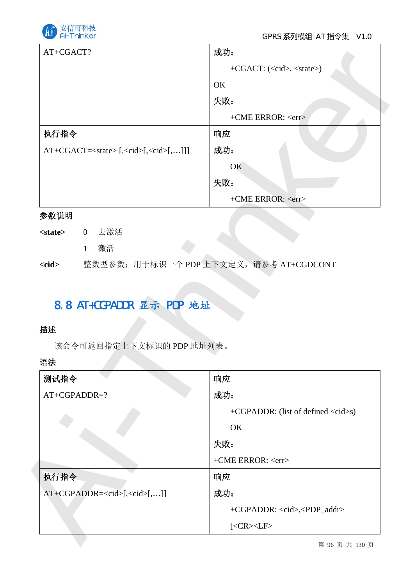

| AT+CGACT?      | 成功:                     |
|----------------|-------------------------|
|                | $+CGACT: (, $           |
|                | OK                      |
|                | 失败:                     |
|                | +CME ERROR: <err></err> |
| 执行指令           | 响应                      |
| $AT+CGACT=[[[$ | 成功:                     |
|                | OK                      |
|                | 失败:                     |
|                | +CME ERROR: <err></err> |

## 参数说明

- <state> 0 去激活
	- 1 激活

## 8.8 AT+CGPADDR 显示 PDP 地址

## 描述

| AT+CGACT?                                            | 成功:                                         |
|------------------------------------------------------|---------------------------------------------|
|                                                      | +CGACT: ( <cid>, <state>)</state></cid>     |
|                                                      | OK                                          |
|                                                      | 失败:                                         |
|                                                      | +CME ERROR: <err></err>                     |
| 执行指令                                                 | 响应                                          |
| $AT+CGACT=[, [, [, ]]]$                              | 成功:                                         |
|                                                      | OK                                          |
|                                                      | 失败:                                         |
|                                                      | +CME ERROR: <err></err>                     |
| 参数说明                                                 |                                             |
| 去激活<br><state><br/><math>\overline{0}</math></state> |                                             |
| 激活<br>$\mathbf{1}$                                   |                                             |
| 8.8 AT+CGPADDR 显示 PDP 地址                             | 整数型参数; 用于标识一个 PDP 上下文定义, 请参考 AT+CGDCONT     |
| 该命令可返回指定上下文标识的 PDP 地址列表。                             |                                             |
| $<$ cid $>$<br>描述<br>语法<br>测试指令                      | 响应                                          |
| AT+CGPADDR=?                                         | 成功:                                         |
|                                                      | +CGPADDR: (list of defined <cid>s)</cid>    |
|                                                      | OK                                          |
|                                                      | 失败:                                         |
|                                                      | +CME ERROR: <err></err>                     |
| 执行指令                                                 | 响应                                          |
| AT+CGPADDR= <cid>[,<cid>[,]]</cid></cid>             | 成功:                                         |
|                                                      | +CGPADDR: <cid>,<pdp_addr></pdp_addr></cid> |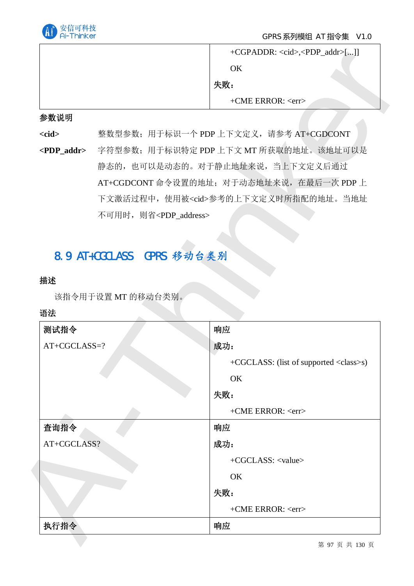

| $+ CGPADDR: , []$                |  |
|----------------------------------|--|
| OΚ                               |  |
| 失败:                              |  |
| $+$ CME ERROR: $\langle$ err $>$ |  |

#### 参数说明

# 8.9 AT+CGCLASS GPRS 移动台类别

## 描述

|                       |                                         | OK                                                    |
|-----------------------|-----------------------------------------|-------------------------------------------------------|
|                       |                                         | 失败:                                                   |
|                       |                                         | $+$ CME ERROR: $\langle$ err $>$                      |
| 参数说明                  |                                         |                                                       |
| $<$ cid $>$           | 整数型参数; 用于标识一个 PDP 上下文定义, 请参考 AT+CGDCONT |                                                       |
| <pdp_addr></pdp_addr> | 字符型参数; 用于标识特定 PDP 上下文 MT 所获取的地址。该地址可以是  |                                                       |
|                       |                                         | 静态的, 也可以是动态的。对于静止地址来说, 当上下文定义后通过                      |
|                       |                                         | AT+CGDCONT 命令设置的地址; 对于动态地址来说, 在最后一次 PDP 上             |
|                       |                                         | 下文激活过程中, 使用被 <cid>参考的上下文定义时所指配的地址。当地址</cid>           |
|                       | 不可用时, 则省 <pdp_address></pdp_address>    |                                                       |
|                       |                                         |                                                       |
|                       |                                         |                                                       |
| 描述                    | 该指令用于设置 MT 的移动台类别。                      |                                                       |
| 语法                    |                                         |                                                       |
| 测试指令<br>AT+CGCLASS=?  |                                         | 响应<br>成功:                                             |
|                       |                                         |                                                       |
|                       |                                         | +CGCLASS: (list of supported <class>s)<br/>OK</class> |
|                       |                                         | 失败:                                                   |
|                       |                                         | +CME ERROR: <err></err>                               |
| 查询指令                  |                                         | 响应                                                    |
| AT+CGCLASS?           |                                         | 成功:                                                   |
|                       |                                         | +CGCLASS: <value></value>                             |
|                       |                                         | OK                                                    |
|                       |                                         | 失败:                                                   |
|                       |                                         | +CME ERROR: <err></err>                               |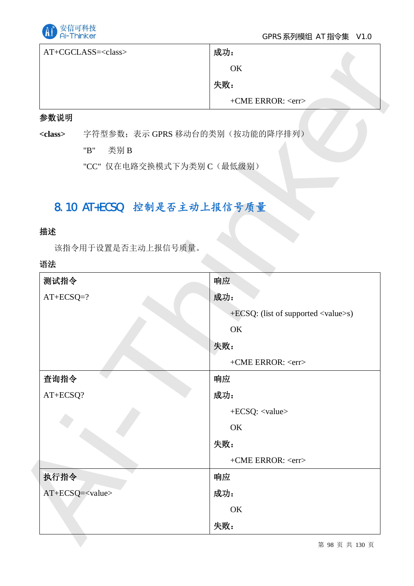

## GPRS 系列模组 AT 指令集 V1.0

| AT+CGCLASS= <class></class> | 成功:                              |  |
|-----------------------------|----------------------------------|--|
|                             | OK                               |  |
|                             | 失败:                              |  |
|                             | $+$ CME ERROR: $\langle$ err $>$ |  |

## 参数说明

## 8.10 AT+ECSQ 控制是否主动上报信号质量

## 描述

|                 | $AT+CGCLASS = $                | 成功:                                         |
|-----------------|--------------------------------|---------------------------------------------|
|                 |                                | OK                                          |
|                 |                                | 失败:                                         |
|                 |                                | +CME ERROR: <err></err>                     |
| 参数说明            |                                |                                             |
| <class></class> | 字符型参数;表示 GPRS 移动台的类别(按功能的降序排列) |                                             |
|                 | "B"<br>类别B                     |                                             |
|                 | "CC" 仅在电路交换模式下为类别 C(最低级别)      |                                             |
|                 |                                |                                             |
|                 | 8.10 AT+ECSQ 控制是否主动上报信号质量      |                                             |
| 描述              |                                |                                             |
|                 | 该指令用于设置是否主动上报信号质量。             |                                             |
| 语法              |                                |                                             |
| 测试指令            |                                | 响应                                          |
| $AT+ECSQ=?$     |                                | 成功:                                         |
|                 |                                | +ECSQ: (list of supported <value>s)</value> |
|                 |                                | OK                                          |
|                 |                                |                                             |
|                 |                                | 失败:                                         |
|                 |                                | +CME ERROR: <err></err>                     |
| 查询指令            |                                | 响应                                          |
| AT+ECSQ?        |                                | 成功:                                         |
|                 |                                | +ECSQ: <value></value>                      |
|                 |                                | OK                                          |
|                 |                                | 失败:                                         |
|                 |                                | +CME ERROR: <err></err>                     |
| 执行指令            |                                | 响应                                          |
|                 | AT+ECSQ= <value></value>       | 成功:                                         |
|                 |                                | OK                                          |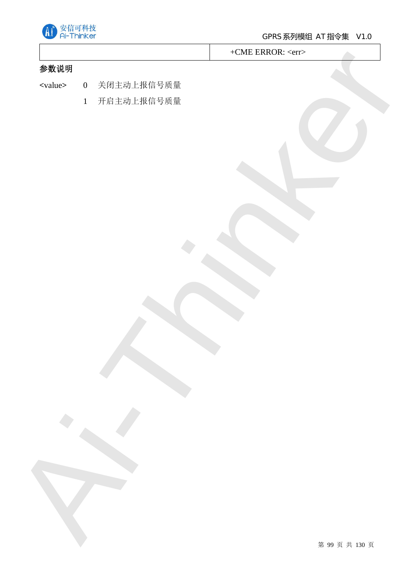

+CME ERROR: <err>

## 参数说明

- Ai-Thinker <value> 0 关闭主动上报信号质量
	- 1 开启主动上报信号质量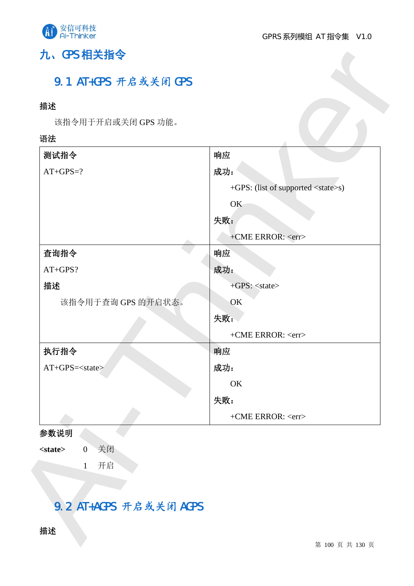

# 九、GPS 相关指令

# 9.1 AT+GPS 开启或关闭 GPS

## 描述

## 语法

| 描述                                    |                                            |
|---------------------------------------|--------------------------------------------|
| 该指令用于开启或关闭 GPS 功能。                    |                                            |
| 语法                                    |                                            |
| 测试指令                                  | 响应                                         |
| $AT+GPS=?$                            | 成功:                                        |
|                                       | +GPS: (list of supported <state>s)</state> |
|                                       | OK                                         |
|                                       | 失败:                                        |
|                                       | +CME ERROR: <err></err>                    |
| 查询指令                                  | 响应                                         |
| AT+GPS?                               | 成功:                                        |
| 描述                                    | +GPS: <state></state>                      |
| 该指令用于查询 GPS 的开启状态。                    | OK                                         |
|                                       | 失败:                                        |
|                                       | +CME ERROR: <err></err>                    |
| 执行指令                                  | 响应                                         |
| AT+GPS= <state></state>               | 成功:                                        |
|                                       | OK                                         |
|                                       | 失败:                                        |
|                                       | +CME ERROR: <err></err>                    |
| 参数说明                                  |                                            |
| 关闭<br>$<$ state $>$<br>$\overline{0}$ |                                            |
| 开启<br>$\mathbf{1}$                    |                                            |
|                                       |                                            |

## 参数说明

# 9.2 AT+AGPS 开启或关闭 AGPS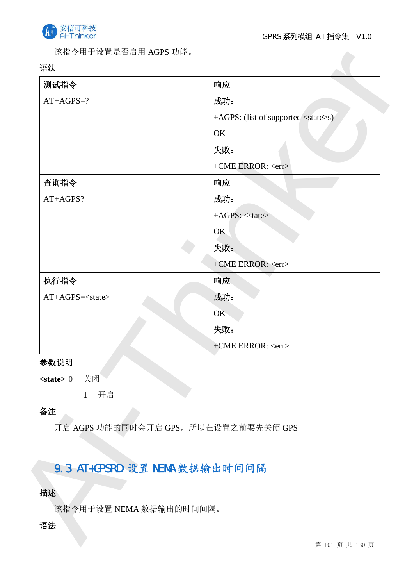

该指令用于设置是否启用 AGPS 功能。

## 语法

| 测试指令                          | 响应                                          |
|-------------------------------|---------------------------------------------|
| $AT+AGPS=?$                   | 成功:                                         |
|                               | +AGPS: (list of supported <state>s)</state> |
|                               | OK                                          |
|                               | 失败:                                         |
|                               | +CME ERROR: <err></err>                     |
| 查询指令                          | 响应                                          |
| AT+AGPS?                      | 成功:                                         |
|                               | +AGPS: <state></state>                      |
|                               | OK                                          |
|                               | 失败:                                         |
|                               | +CME ERROR: <err></err>                     |
| 执行指令                          | 响应                                          |
| AT+AGPS= <state></state>      | 成功:                                         |
|                               | OK                                          |
|                               | 失败:                                         |
|                               | +CME ERROR: <err></err>                     |
| 参数说明                          |                                             |
| 关闭<br>$<$ state $> 0$         |                                             |
| 开启<br>$\mathbf{1}$            |                                             |
| 备注                            |                                             |
|                               | 开启 AGPS 功能的同时会开启 GPS, 所以在设置之前要先关闭 GPS       |
|                               |                                             |
| 9.3 AT+GPSRD 设置 NEMA 数据输出时间间隔 |                                             |
|                               |                                             |
| 描述                            |                                             |
| 该指令用于设置 NEMA 数据输出的时间间隔。       |                                             |
| 语法                            |                                             |
|                               | 第 101 页 共 130 页                             |

## 参数说明

## 备注

## 9.3 AT+GPSRD 设置 NEMA 数据输出时间间隔

## 描述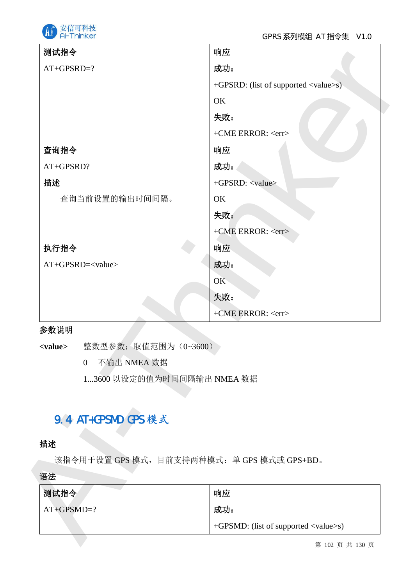

| 测试指令                                   | 响应                                           |
|----------------------------------------|----------------------------------------------|
| $AT+GPSRD=?$                           | 成功:                                          |
|                                        | +GPSRD: (list of supported <value>s)</value> |
|                                        | OK                                           |
|                                        | 失败:                                          |
|                                        | +CME ERROR: <err></err>                      |
| 查询指令                                   | 响应                                           |
| AT+GPSRD?                              | 成功:                                          |
| 描述                                     | +GPSRD: <value></value>                      |
| 查询当前设置的输出时间间隔。                         | OK                                           |
|                                        | 失败:                                          |
|                                        | +CME ERROR: <err></err>                      |
| 执行指令                                   | 响应                                           |
| AT+GPSRD= <value></value>              | 成功:                                          |
|                                        | <b>OK</b>                                    |
|                                        | 失败:                                          |
|                                        | +CME ERROR: <err></err>                      |
| 参数说明                                   |                                              |
| 整数型参数;取值范围为(0~3600)<br><value></value> |                                              |
| 不输出 NMEA 数据<br>$\overline{0}$          |                                              |
| 13600 以设定的值为时间间隔输出 NMEA 数据             |                                              |
|                                        |                                              |
| 9.4 AT+GPSMD GPS 模式                    |                                              |
| 描述                                     |                                              |
|                                        | 该指令用于设置 GPS 模式, 目前支持两种模式: 单 GPS 模式或 GPS+BD。  |
|                                        |                                              |
|                                        |                                              |
|                                        |                                              |
| 语法<br>测试指令<br>$AT+GPSMD=?$             | 响应<br>成功:                                    |

## 参数说明

## 9.4 AT+GPSMD GPS 模式

## 描述

| 测试指令         | 响应                                                         |
|--------------|------------------------------------------------------------|
| $AT+GPSMD=?$ | 成功:                                                        |
|              | $+$ GPSMD: (list of supported $\langle$ value $\rangle$ s) |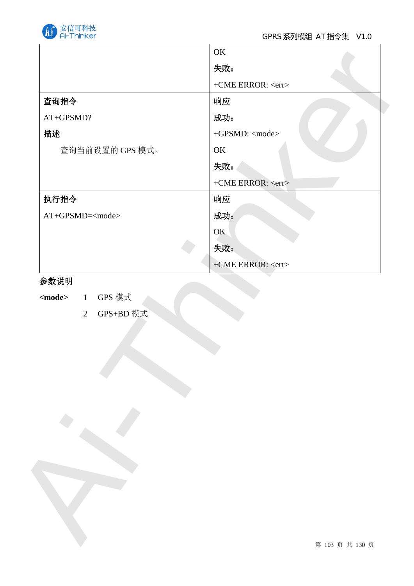

|                         | 失败:                     |
|-------------------------|-------------------------|
|                         | +CME ERROR: <err></err> |
| 查询指令                    | 响应                      |
| AT+GPSMD?               | 成功:                     |
| 描述                      | +GPSMD: <mode></mode>   |
| 查询当前设置的 GPS 模式。         | OK                      |
|                         | 失败:                     |
|                         | +CME ERROR: <err></err> |
| 执行指令                    | 响应                      |
| AT+GPSMD= <mode></mode> | 成功:                     |
|                         | OK                      |
|                         | 失败:                     |
|                         | +CME ERROR: <err></err> |
|                         |                         |
|                         |                         |
|                         |                         |

## 参数说明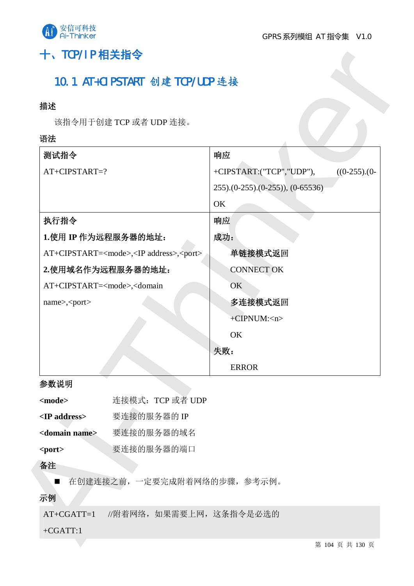

# 十、TCP/IP 相关指令

## 10.1 AT+CIPSTART 创建 TCP/UDP 连接

## 描述

## 语法

| 描述                                                                       |                              |                                            |
|--------------------------------------------------------------------------|------------------------------|--------------------------------------------|
|                                                                          | 该指令用于创建 TCP 或者 UDP 连接。       |                                            |
| 语法                                                                       |                              |                                            |
| 测试指令                                                                     |                              | 响应                                         |
| AT+CIPSTART=?                                                            |                              | +CIPSTART:("TCP","UDP"),<br>$((0-255).(0-$ |
|                                                                          |                              | $(0-255)(0-255)(0-255))$ , $(0-65536)$     |
|                                                                          |                              | OK                                         |
| 执行指令                                                                     |                              | 响应                                         |
|                                                                          | 1.使用 IP 作为远程服务器的地址:          | 成功:                                        |
| AT+CIPSTART= <mode>,<ip address="">,<port></port></ip></mode>            |                              | 单链接模式返回                                    |
|                                                                          | 2.使用域名作为远程服务器的地址:            | <b>CONNECT OK</b>                          |
| AT+CIPSTART= <mode>,<domain< td=""><td></td><td>OK</td></domain<></mode> |                              | OK                                         |
| name>, <port></port>                                                     |                              | 多连接模式返回                                    |
|                                                                          | +CIPNUM: <n></n>             |                                            |
|                                                                          |                              | OK                                         |
|                                                                          |                              | 失败:                                        |
|                                                                          |                              | <b>ERROR</b>                               |
| 参数说明                                                                     |                              |                                            |
| <mode></mode>                                                            | 连接模式: TCP 或者 UDP             |                                            |
| <ip address=""></ip>                                                     | 要连接的服务器的 IP                  |                                            |
| <domain name=""></domain>                                                | 要连接的服务器的域名                   |                                            |
| <port></port>                                                            | 要连接的服务器的端口                   |                                            |
| 备注                                                                       |                              |                                            |
| $\blacksquare$                                                           | 在创建连接之前, 一定要完成附着网络的步骤, 参考示例。 |                                            |
| 示例                                                                       |                              |                                            |
| $AT+CGATT=1$                                                             | //附着网络, 如果需要上网, 这条指令是必选的     |                                            |
| $+CGATT:1$                                                               |                              |                                            |
|                                                                          |                              | 第 104 页 共 130 页                            |

## 参数说明

| $models$                  | 连接模式: TCP 或者 UDP |
|---------------------------|------------------|
| $\langle$ IP address>     | 要连接的服务器的 IP      |
| <domain name=""></domain> | 要连接的服务器的域名       |
| $<$ port $>$              | 要连接的服务器的端口       |
|                           |                  |

#### 备注

## 示例

## +CGATT:1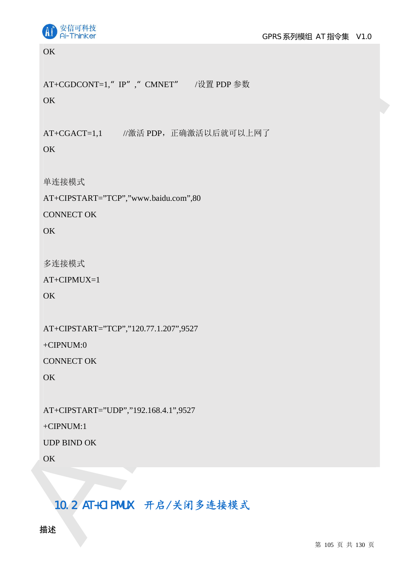

**OK** 

AT+CGDCONT=1," IP", "CMNET" /设置 PDP 参数

**OK** 

AT+CGACT=1,1 //激活 PDP, 正确激活以后就可以上网了

OK

单连接模式

AT+CIPSTART="TCP","www.baidu.com",80

CONNECT OK

OK

多连接模式

AT+CIPMUX=1

**OK** 

AT+CIPSTART="TCP","120.77.1.207",9527

+CIPNUM:0

CONNECT OK

OK

AT+CIPSTART="UDP","192.168.4.1",9527

+CIPNUM:1

UDP BIND OK

OK

# Ai-Thinker 10.2 AT+CIPMUX 开启/关闭多连接模式

描述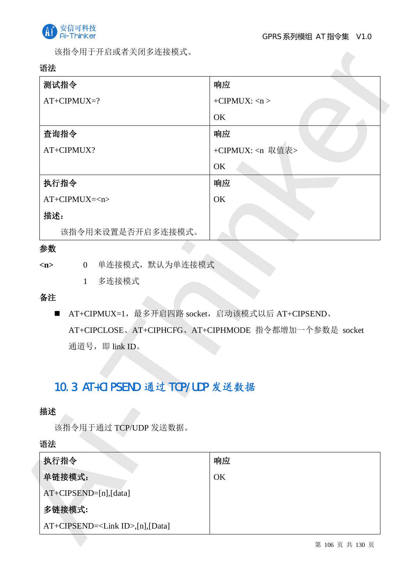

该指令用于开启或者关闭多连接模式。

## 语法

| 测试指令                                                              | 响应                                                   |
|-------------------------------------------------------------------|------------------------------------------------------|
| $AT+CIPMUX=?$                                                     | +CIPMUX: $\langle n \rangle$                         |
|                                                                   | OK                                                   |
| 查询指令                                                              | 响应                                                   |
| AT+CIPMUX?                                                        | +CIPMUX: <n 取值表=""></n>                              |
|                                                                   | OK                                                   |
| 执行指令                                                              | 响应                                                   |
| $AT+CIPMUX=n$                                                     | OK                                                   |
| 描述:                                                               |                                                      |
| 该指令用来设置是否开启多连接模式。                                                 |                                                      |
| 参数                                                                |                                                      |
| 0 单连接模式, 默认为单连接模式<br>m                                            |                                                      |
| 多连接模式<br>1                                                        |                                                      |
| 备注                                                                |                                                      |
| AT+CIPMUX=1, 最多开启四路 socket, 启动该模式以后 AT+CIPSEND、<br>$\blacksquare$ |                                                      |
|                                                                   | AT+CIPCLOSE、AT+CIPHCFG、AT+CIPHMODE 指令都增加一个参数是 socket |
| 通道号, 即 link ID。                                                   |                                                      |
|                                                                   |                                                      |
|                                                                   |                                                      |
| 10.3 AT+CIPSEND 通过 TCP/UDP 发送数据                                   |                                                      |
| 描述                                                                |                                                      |
| 该指令用于通过 TCP/UDP 发送数据。                                             |                                                      |
| 语法                                                                |                                                      |
|                                                                   | 响应                                                   |
|                                                                   |                                                      |
|                                                                   |                                                      |
| 执行指令<br>单链接模式:                                                    | OK                                                   |
| AT+CIPSEND=[n],[data]<br>多链接模式:                                   |                                                      |

## 参数

## 备注

# 10.3 AT+CIPSEND 通过 TCP/UDP 发送数据

## 描述

| 执行指令                    | 响应 |
|-------------------------|----|
| 单链接模式:                  | OK |
| $AT+CIPSEND=[n],[data]$ |    |
| 多链接模式:                  |    |
| $AT+CIPSEND=[n],[Data]$ |    |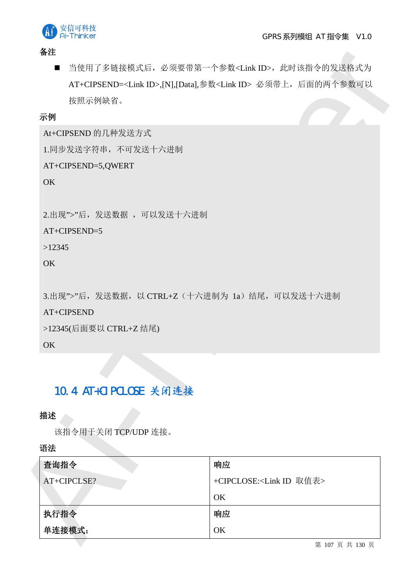



备注

## 示例

# 10.4 AT+CIPCLOSE 关闭连接

## 描述

| 备汪                                  |                       |                                                                        |
|-------------------------------------|-----------------------|------------------------------------------------------------------------|
| $\blacksquare$                      |                       | 当使用了多链接模式后, 必须要带第一个参数 <link id=""/> , 此时该指令的发送格式为                      |
|                                     |                       | AT+CIPSEND= <link id=""/> ,[N],[Data],参数 <link id=""/> 必须带上, 后面的两个参数可以 |
| 按照示例缺省。                             |                       |                                                                        |
| 示例                                  |                       |                                                                        |
| At+CIPSEND 的几种发送方式                  |                       |                                                                        |
| 1.同步发送字符串,不可发送十六进制                  |                       |                                                                        |
| AT+CIPSEND=5,QWERT                  |                       |                                                                        |
| <b>OK</b>                           |                       |                                                                        |
| 2.出现">"后, 发送数据, 可以发送十六进制            |                       |                                                                        |
| AT+CIPSEND=5                        |                       |                                                                        |
| >12345                              |                       |                                                                        |
| <b>OK</b>                           |                       |                                                                        |
| >12345(后面要以 CTRL+Z 结尾)<br><b>OK</b> |                       |                                                                        |
|                                     |                       |                                                                        |
|                                     | 10.4 AT+CIPCLOSE 关闭连接 |                                                                        |
|                                     |                       |                                                                        |
| 描述                                  |                       |                                                                        |
|                                     | 该指令用于关闭 TCP/UDP 连接。   |                                                                        |
| 语法                                  |                       |                                                                        |
| 查询指令                                |                       | 响应                                                                     |
| AT+CIPCLSE?                         |                       | +CIPCLOSE: <link id="" 取值表=""/>                                        |
|                                     |                       |                                                                        |
|                                     |                       | OK                                                                     |
| 执行指令<br>单连接模式:                      |                       | 响应<br>OK                                                               |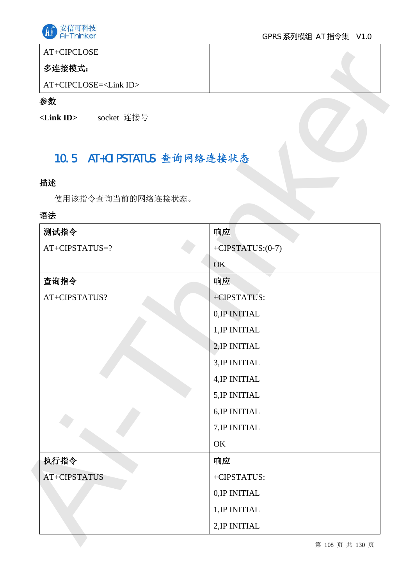

# AT+CIPCLOSE

# 多连接模式:

## 参数

# 10.5 AT+CIPSTATUS 查询网络连接状态

## 描述

## 语法

| AT+CIPCLOSE                      |                     |
|----------------------------------|---------------------|
| 多连接模式:                           |                     |
| AT+CIPCLOSE= <link id=""/>       |                     |
| 参数                               |                     |
| socket 连接号<br>$\langle$ Link ID> |                     |
| 10.5 AT+CIPSTATUS 查询网络连接状态       |                     |
| 描述                               |                     |
| 使用该指令查询当前的网络连接状态。                |                     |
| 语法                               |                     |
| 测试指令                             | 响应                  |
| AT+CIPSTATUS=?                   | +CIPSTATUS: $(0-7)$ |
|                                  | OK                  |
| 查询指令                             | 响应                  |
| AT+CIPSTATUS?                    | +CIPSTATUS:         |
|                                  | 0, IP INITIAL       |
|                                  | 1, IP INITIAL       |
|                                  | 2, IP INITIAL       |
|                                  | 3, IP INITIAL       |
|                                  | 4, IP INITIAL       |
|                                  | 5, IP INITIAL       |
|                                  | 6, IP INITIAL       |
|                                  | 7, IP INITIAL       |
|                                  | OK                  |
| 执行指令                             | 响应                  |
| AT+CIPSTATUS                     | +CIPSTATUS:         |
|                                  | 0, IP INITIAL       |
|                                  | 1, IP INITIAL       |
|                                  | 2, IP INITIAL       |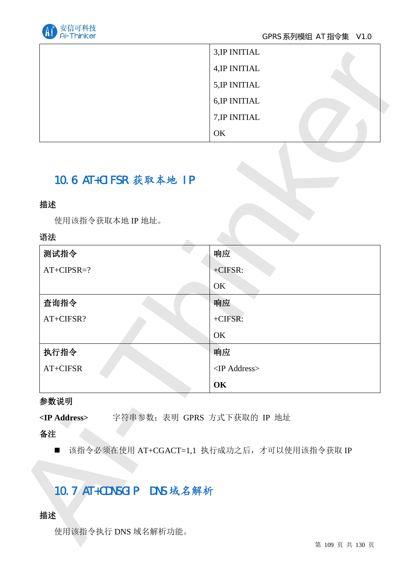

| 3, IP INITIAL |  |
|---------------|--|
| 4, IP INITIAL |  |
| 5, IP INITIAL |  |
| 6, IP INITIAL |  |
| 7, IP INITIAL |  |
| OK            |  |

# 10.6 AT+CIFSR 获取本地 IP

## 描述

## 语法

|                          | 3, IP INITIAL                               |
|--------------------------|---------------------------------------------|
|                          | 4, IP INITIAL                               |
|                          | 5, IP INITIAL                               |
|                          | 6, IP INITIAL                               |
|                          | 7, IP INITIAL                               |
|                          | OK                                          |
|                          |                                             |
| 10.6 AT+CIFSR 获取本地 IP    |                                             |
| 描述                       |                                             |
| 使用该指令获取本地 IP 地址。         |                                             |
| 语法                       |                                             |
| 测试指令                     | 响应                                          |
| $AT+CIPSR=?$             | +CIFSR:                                     |
|                          | OK                                          |
| 查询指令                     | 响应                                          |
| AT+CIFSR?                | +CIFSR:                                     |
|                          | OK                                          |
| 执行指令                     | 响应                                          |
| AT+CIFSR                 | <ip address=""></ip>                        |
|                          | OK                                          |
| 参数说明                     |                                             |
| <ip address=""></ip>     | 字符串参数; 表明 GPRS 方式下获取的 IP 地址                 |
| 备注                       |                                             |
| $\blacksquare$           | 该指令必须在使用 AT+CGACT=1,1 执行成功之后, 才可以使用该指令获取 IP |
|                          |                                             |
|                          |                                             |
| 10.7 AT+CDNSGIP DNS 域名解析 |                                             |
| 描述                       |                                             |
| 使用该指令执行 DNS 域名解析功能。      |                                             |
|                          | 第 109 页 共 130 页                             |

### 参数说明

# 10.7 AT+CDNSGIP DNS 域名解析

# 描述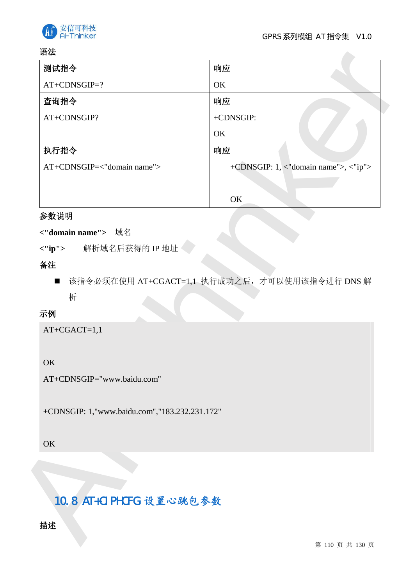

### 语法

| 语法                                            |                                                |
|-----------------------------------------------|------------------------------------------------|
| 测试指令                                          | 响应                                             |
| AT+CDNSGIP=?                                  | OK                                             |
| 查询指令                                          | 响应                                             |
| AT+CDNSGIP?                                   | +CDNSGIP:                                      |
|                                               | OK                                             |
| 执行指令                                          | 响应                                             |
| AT+CDNSGIP=<"domain name">                    | +CDNSGIP: 1, <"domain name">, <"ip">           |
|                                               |                                                |
|                                               | OK                                             |
| 参数说明                                          |                                                |
| <"domain name"> 域名                            |                                                |
| 解析域名后获得的 IP 地址<br>$\langle$ "ip">             |                                                |
| 备注                                            |                                                |
| $\blacksquare$                                | 该指令必须在使用 AT+CGACT=1,1 执行成功之后, 才可以使用该指令进行 DNS 解 |
| 析                                             |                                                |
| 示例                                            |                                                |
| $AT+CGACT=1,1$                                |                                                |
|                                               |                                                |
| OK                                            |                                                |
| AT+CDNSGIP="www.baidu.com"                    |                                                |
|                                               |                                                |
| +CDNSGIP: 1,"www.baidu.com","183.232.231.172" |                                                |
|                                               |                                                |
| OK                                            |                                                |
|                                               |                                                |
|                                               |                                                |
|                                               |                                                |
| 10.8 AT+CIPHCFG 设置心跳包参数                       |                                                |
| 描述                                            |                                                |
|                                               |                                                |
|                                               | 第 110 页 共 130 页                                |

# 参数说明

## <"domain name"> 域名

# 备注

## 示例

# **OK**

## **OK**

# 10.8 AT+CIPHCFG 设置心跳包参数

# 描述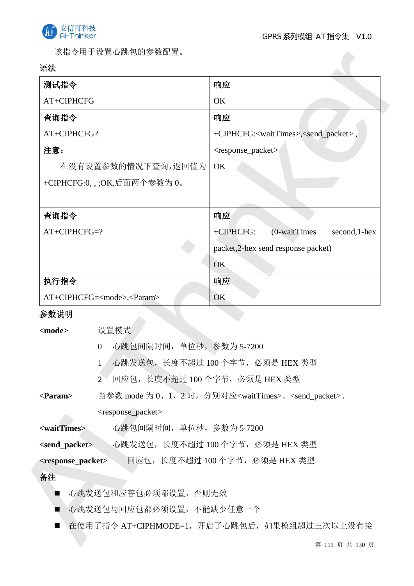

该指令用于设置心跳包的参数配置。

### 语法

| 测试指令                                                |                                                  | 响应                                                                           |
|-----------------------------------------------------|--------------------------------------------------|------------------------------------------------------------------------------|
| AT+CIPHCFG                                          |                                                  | OK                                                                           |
| 查询指令                                                |                                                  | 响应                                                                           |
| AT+CIPHCFG?                                         |                                                  | +CIPHCFG: <waittimes>,<send_packet>,</send_packet></waittimes>               |
| 注意:                                                 |                                                  | <response_packet></response_packet>                                          |
|                                                     | 在没有设置参数的情况下查询,返回值为                               | OK                                                                           |
|                                                     | +CIPHCFG:0,,;OK,后面两个参数为0。                        |                                                                              |
| 查询指令                                                |                                                  | 响应                                                                           |
| AT+CIPHCFG=?                                        |                                                  | +CIPHCFG:<br>$(0$ -waitTimes<br>second, 1-hex                                |
|                                                     |                                                  | packet, 2-hex send response packet)                                          |
|                                                     |                                                  | OK                                                                           |
| 执行指令                                                |                                                  | 响应                                                                           |
|                                                     | AT+CIPHCFG= <mode>,<param/></mode>               | OK                                                                           |
| 参数说明                                                |                                                  |                                                                              |
| <mode></mode>                                       | 设置模式                                             |                                                                              |
|                                                     | 心跳包间隔时间, 单位秒, 参数为 5-7200<br>$\boldsymbol{0}$     |                                                                              |
|                                                     | 1 心跳发送包,长度不超过100个字节,必须是 HEX 类型                   |                                                                              |
|                                                     | 回应包, 长度不超过 100 个字节, 必须是 HEX 类型<br>$\overline{2}$ |                                                                              |
| $\langle$ Param>                                    |                                                  | 当参数 mode 为 0、1、2 时,分别对应 <waittimes>、<send_packet>、</send_packet></waittimes> |
|                                                     | <response_packet></response_packet>              |                                                                              |
| 心跳包间隔时间, 单位秒, 参数为 5-7200<br><waittimes></waittimes> |                                                  |                                                                              |
| <send_packet></send_packet>                         |                                                  | ◇心跳发送包, 长度不超过 100 个字节, 必须是 HEX 类型                                            |
| <response_packet></response_packet>                 |                                                  | 回应包, 长度不超过 100 个字节, 必须是 HEX 类型                                               |
| 备注                                                  |                                                  |                                                                              |
| П                                                   | 心跳发送包和应答包必须都设置, 否则无效                             |                                                                              |
| ■                                                   | 心跳发送包与回应包都必须设置, 不能缺少任意一个                         |                                                                              |
| ■                                                   |                                                  | 在使用了指令 AT+CIPHMODE=1, 开启了心跳包后, 如果模组超过三次以上没有接                                 |
|                                                     |                                                  | 第 111 页 共 130 页                                                              |

- $0$  心跳包间隔时间,单位杪,参数为 5-7200
- 1 心跳发送包, 长度不超过 100 个字节, 必须是 HEX 类型
- 2 回应包, 长度不超过 100 个字节, 必须是 HEX 类型
- <Param> 当参数 mode 为 0、1、2 时,分别对应<waitTimes>、<send\_packet>、 <response\_packet>

- 心跳发送包和应答包必须都设置,否则无效
- 心跳发送包与回应包都必须设置, 不能缺少任意一个
- 在使用了指令 AT+CIPHMODE=1, 开启了心跳包后, 如果模组超过三次以上没有接

第 111 页 共 130 页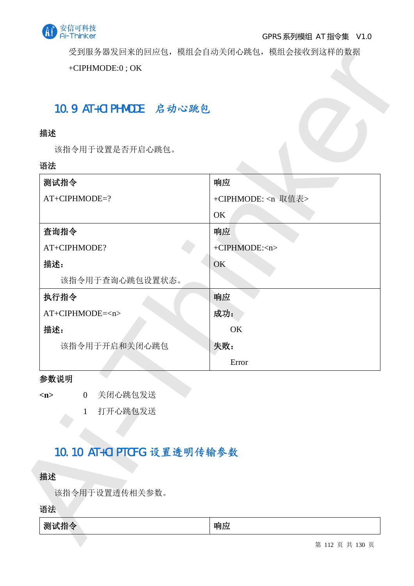

### GPRS 系列模组 AT 指令集 V1.0

受到服务器发回来的回应包, 模组会自动关闭心跳包, 模组会接收到这样的数据

# 10.9 AT+CIPHMODE 启动心跳包

## 描述

### 语法

| 10.9 AT+CIPHMODE 启动心跳包         |                           |
|--------------------------------|---------------------------|
| 描述                             |                           |
| 该指令用于设置是否开启心跳包。                |                           |
| 语法                             |                           |
| 测试指令                           | 响应                        |
| AT+CIPHMODE=?                  | +CIPHMODE: <n 取值表=""></n> |
|                                | OK                        |
| 查询指令                           | 响应                        |
| AT+CIPHMODE?                   | +CIPHMODE: <n></n>        |
| 描述:                            | OK                        |
| 该指令用于查询心跳包设置状态。                |                           |
| 执行指令                           | 响应                        |
| AT+CIPHMODE= <n></n>           | 成功:                       |
| 描述:                            | OK                        |
| 该指令用于开启和关闭心跳包                  | 失败:                       |
|                                | Error                     |
| 参数说明                           |                           |
| 关闭心跳包发送<br>$\overline{0}$<br>m |                           |
| 打开心跳包发送<br>1                   |                           |
|                                |                           |
| 10.10 AT+CIPTCFG 设置透明传输参数      |                           |
|                                |                           |
| 描述                             |                           |
| 该指令用于设置透传相关参数。                 |                           |
|                                |                           |

### 参数说明

# 10.10 AT+CIPTCFG 设置透明传输参数

## 描述

| <b>LEA</b><br>测<br>公<br>. .<br>ᅚ<br>w<br>.1H.<br>≂<br>. . | 响<br>* Ivv<br>.<br>. . |
|-----------------------------------------------------------|------------------------|
|-----------------------------------------------------------|------------------------|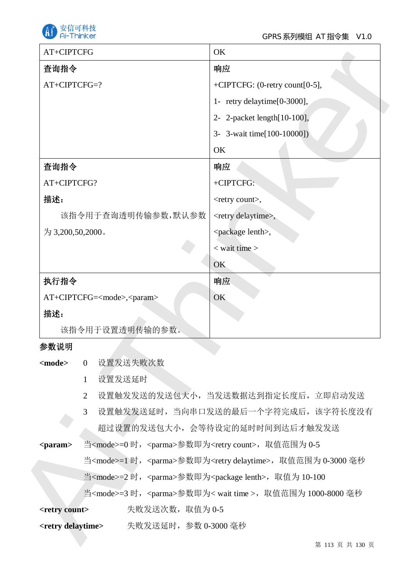

| AT+CIPTCFG                                            |                                                                                       | OK                                                                              |
|-------------------------------------------------------|---------------------------------------------------------------------------------------|---------------------------------------------------------------------------------|
| 查询指令                                                  |                                                                                       | 响应                                                                              |
| AT+CIPTCFG=?                                          |                                                                                       | +CIPTCFG: (0-retry count[0-5],                                                  |
|                                                       |                                                                                       | 1- retry delaytime[0-3000],                                                     |
|                                                       |                                                                                       | 2- 2-packet length[10-100],                                                     |
|                                                       |                                                                                       | 3- 3-wait time[100-10000])                                                      |
|                                                       |                                                                                       | OK                                                                              |
| 查询指令                                                  |                                                                                       | 响应                                                                              |
| AT+CIPTCFG?                                           |                                                                                       | +CIPTCFG:                                                                       |
| 描述:                                                   |                                                                                       | <retry count="">,</retry>                                                       |
|                                                       | 该指令用于查询透明传输参数,默认参数                                                                    | <retry delaytime="">,</retry>                                                   |
| 为 3,200,50,2000。                                      |                                                                                       | <package lenth="">,</package>                                                   |
|                                                       |                                                                                       | $<$ wait time $>$                                                               |
|                                                       |                                                                                       | OK                                                                              |
| 执行指令                                                  |                                                                                       | 响应                                                                              |
|                                                       | AT+CIPTCFG= <mode>,<param/></mode>                                                    | OK                                                                              |
| 描述:                                                   |                                                                                       |                                                                                 |
|                                                       | 该指令用于设置透明传输的参数。                                                                       |                                                                                 |
| 参数说明                                                  |                                                                                       |                                                                                 |
| <mode></mode>                                         | 设置发送失败次数<br>$\overline{0}$                                                            |                                                                                 |
|                                                       | 设置发送延时<br>$\mathbf{1}$                                                                |                                                                                 |
|                                                       | $\overline{2}$                                                                        | 设置触发发送的发送包大小, 当发送数据达到指定长度后, 立即启动发送                                              |
| 设置触发发送延时, 当向串口发送的最后一个字符完成后, 该字符长度没有<br>$\overline{3}$ |                                                                                       |                                                                                 |
|                                                       | 超过设置的发送包大小, 会等待设定的延时时间到达后才触发发送                                                        |                                                                                 |
| <param/>                                              | 当 <mode>=0 时, <parma>参数即为<retry count="">, 取值范围为 0-5</retry></parma></mode>           |                                                                                 |
|                                                       | 当 <mode>=1 时, <parma>参数即为<retry delaytime="">, 取值范围为 0-3000 毫秒</retry></parma></mode> |                                                                                 |
|                                                       | 当 <mode>=2 时, <parma>参数即为<package lenth="">, 取值为 10-100</package></parma></mode>      |                                                                                 |
|                                                       |                                                                                       | 当 <mode>=3 时, <parma>参数即为&lt; wait time &gt;, 取值范围为 1000-8000 毫秒</parma></mode> |
| <retry count=""></retry>                              | 失败发送次数, 取值为 0-5                                                                       |                                                                                 |
|                                                       | <retry delaytime=""> 失败发送延时, 参数 0-3000 毫秒</retry>                                     |                                                                                 |
|                                                       |                                                                                       | 第 113 页 共 130 页                                                                 |

## 参数说明

- 1 设置发送延时
- 2 设置触发发送的发送包大小,当发送数据达到指定长度后,立即启动发送
- 3 设置触发发送延时, 当向串口发送的最后一个字符完成后, 该字符长度没有 超过设置的发送包大小, 会等待设定的延时时间到达后才触发发送

| <retry count=""></retry> | 失败发送次数, 取值为 0-5 |  |
|--------------------------|-----------------|--|
|--------------------------|-----------------|--|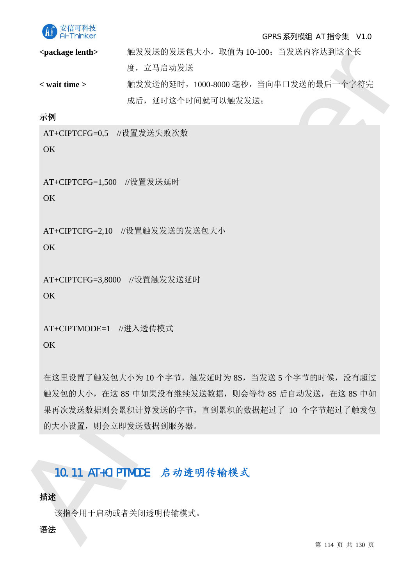

#### GPRS 系列模组 AT 指令集 V1.0

<package lenth> 無发发送的发送包大小, 取值为 10-100; 当发送内容达到这个长 度, 立马启动发送 < wait time > 無发发送的延时, 1000-8000 毫秒, 当向串口发送的最后一个字符完

成后, 延时这个时间就可以触发发送:

示例

AT+CIPTCFG=0,5 //设置发送失败次数

OK

AT+CIPTCFG=1,500 //设置发送延时

 $\overline{OK}$ 

AT+CIPTCFG=2,10 //设置触发发送的发送包大小

OK

AT+CIPTCFG=3,8000 //设置触发发送延时

**OK** 

AT+CIPTMODE=1 //讲入透传模式

**OK** 

epachage kends = 10.8.2 2017年7月、4029-01-000-7828年79月20日、<br>
Ai- 立ちに対象が、1000-8000 年後、主動車に送還的東音一个字符完<br>
- 本点、現場法や時車に同じは投資法<br>
- 本点、現場法や時車に同じは投資法<br>
- 5<br>
AT-CIPTCFG-1,500 が急買機要決支援<br>
OK<br>
AT-CIPTCFG-1,500 が急買機要提案機<br>
OK<br>
AT-CIPTCFG-1,50 在这里设置了触发包大小为10个字节, 触发延时为8S, 当发送 5 个字节的时候, 没有超过 触发包的大小, 在这 8S 中如果没有继续发送数据, 则会等待 8S 后自动发送, 在这 8S 中如 果再次发送数据则会累积计算发送的字节,直到累积的数据超过了10 个字节超过了触发包 的大小设置, 则会立即发送数据到服务器。

# 10.11 AT+CIPTMODE 启动透明传输模式

### 描述

该指令用于启动或者关闭透明传输模式。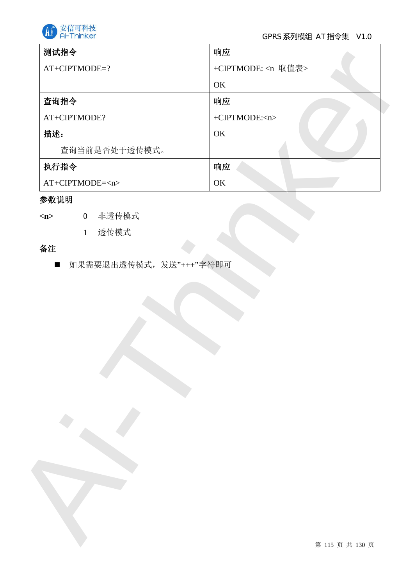

| +CIPTMODE: <n 取值表=""><br/>OK<br/>查询指令<br/>响应<br/>+CIPTMODE:<n><br/>OK<br/>查询当前是否处于透传模式。<br/>执行指令<br/>响应<br/>OK<br/>0 非透传模式<br/>透传模式<br/>1<br/>如果需要退出透传模式,发送"+++"字符即可<br/><math display="inline">\blacksquare</math></n></n> | AT+CIPTMODE=?<br>AT+CIPTMODE?<br>描述:<br>$AT+CIPTMODE=n>$<br>参数说明<br>$\langle n \rangle$<br>备注 | 测试指令 | 响应 |
|-----------------------------------------------------------------------------------------------------------------------------------------------------------------------------------------------------------------------------|-----------------------------------------------------------------------------------------------|------|----|
|                                                                                                                                                                                                                             |                                                                                               |      |    |
|                                                                                                                                                                                                                             |                                                                                               |      |    |
|                                                                                                                                                                                                                             |                                                                                               |      |    |
|                                                                                                                                                                                                                             |                                                                                               |      |    |
|                                                                                                                                                                                                                             |                                                                                               |      |    |
|                                                                                                                                                                                                                             |                                                                                               |      |    |
|                                                                                                                                                                                                                             |                                                                                               |      |    |
|                                                                                                                                                                                                                             |                                                                                               |      |    |
|                                                                                                                                                                                                                             |                                                                                               |      |    |
|                                                                                                                                                                                                                             |                                                                                               |      |    |
|                                                                                                                                                                                                                             |                                                                                               |      |    |
|                                                                                                                                                                                                                             |                                                                                               |      |    |
|                                                                                                                                                                                                                             |                                                                                               |      |    |
|                                                                                                                                                                                                                             |                                                                                               |      |    |
|                                                                                                                                                                                                                             |                                                                                               |      |    |

# 参数说明

# 备注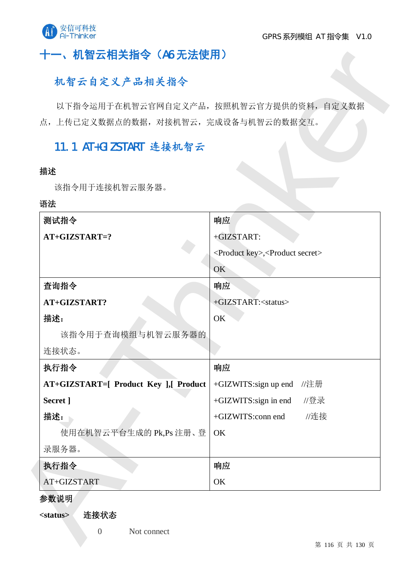

# 十一、机智云相关指令 (A6 无法使用)

# 机智云自定义产品相关指令

# 11.1 AT+GIZSTART 连接机智云

#### 描述

### 语法

| 点, 上传已定义数据点的数据, 对接机智云, 完成设备与机智云的数据交互。 | 以下指令运用于在机智云官网自定义产品, 按照机智云官方提供的资料, 自定义数据                  |
|---------------------------------------|----------------------------------------------------------|
| 11.1 AT+GIZSTART 连接机智云                |                                                          |
| 描述                                    |                                                          |
| 该指令用于连接机智云服务器。                        |                                                          |
| 语法                                    |                                                          |
| 测试指令                                  | 响应                                                       |
| $AT+GIZSTART=?$                       | +GIZSTART:                                               |
|                                       | <product key="">,<product secret=""></product></product> |
|                                       | OK                                                       |
| 查询指令                                  | 响应                                                       |
| AT+GIZSTART?                          | +GIZSTART: <status></status>                             |
| 描述:                                   | OK                                                       |
| 该指令用于查询模组与机智云服务器的                     |                                                          |
| 连接状态。                                 |                                                          |
| 执行指令                                  | 响应                                                       |
| AT+GIZSTART=[ Product Key ],[ Product | +GIZWITS:sign up end<br>//注册                             |
| Secret ]                              | +GIZWITS:sign in end<br>//登录                             |
| 描述:                                   | //连接<br>+GIZWITS:conn end                                |
| 使用在机智云平台生成的 Pk,Ps 注册、登                | OK                                                       |
| 录服务器。                                 |                                                          |
| 执行指令                                  | 响应                                                       |
| AT+GIZSTART                           | OK                                                       |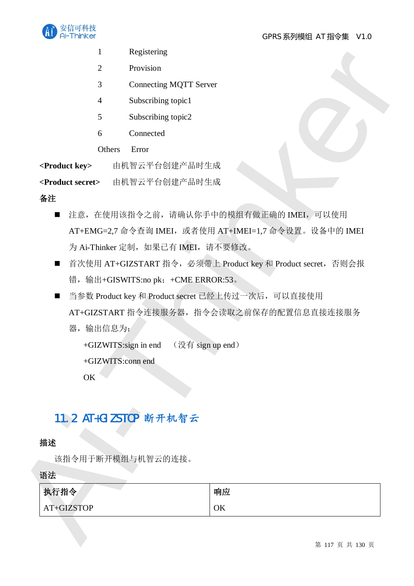

- 1 Registering
- 2 Provision
- 3 Connecting MQTT Server
- 4 Subscribing topic1
- 5 Subscribing topic2
- 6 Connected

Others Error

<Product key><br> **EXADS 由机智云平台创建产品时生成** 

<Product secret> 由机智云平台创建产品时生成

### 备注

- 1 Keyatamg<br>
2 Provision<br>
2 Commaning MQT Server<br>
4 Solvections (repl.)<br>
5 Solvections (repl.)<br>
6 Connected<br>
Offers Error<br>
2 Connected<br>
2 Connected<br>
2 Connected<br>
2 Connected<br>
2 Connected<br>
2 Connected<br>
2 Connected<br>
2 Conne ■ 注意, 在使用该指令之前, 请确认你手中的模组有做正确的 IMEI, 可以使用 AT+EMG=2,7 命令查询 IMEI, 或者使用 AT+IMEI=1,7 命令设置。设备中的 IMEI 为 Ai-Thinker 定制, 如果已有 IMEI, 请不要修改。
	- 首次使用 AT+GIZSTART 指令, 必须带上 Product key 和 Product secret, 否则会报 错, 输出+GISWITS:no pk; +CME ERROR:53。
	- 当参数 Product key 和 Product secret 已经上传过一次后, 可以直接使用 AT+GIZSTART 指令连接服务器, 指令会读取之前保存的配置信息直接连接服务 器, 输出信息为:

 $+GIZWITS:sign in end$  ( $\mathcal{H}$  sign up end)

+GIZWITS:conn end

OK

# 11.2 AT+GIZSTOP 断开机智云

## 描述

该指令用于断开模组与机智云的连接。

### 语法

| 执行指令       | 响应 |
|------------|----|
| AT+GIZSTOP | OK |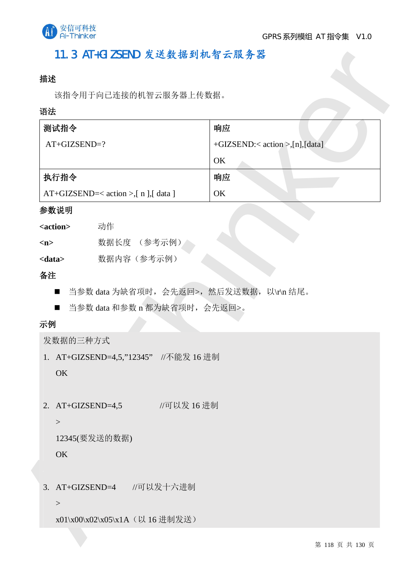

# 11.3 AT+GIZSEND 发送数据到机智云服务器

## 描述

### 语法

| 语法<br>测试指令                                   |                                          | 响应                             |
|----------------------------------------------|------------------------------------------|--------------------------------|
| AT+GIZSEND=?                                 |                                          | +GIZSEND:< action >,[n],[data] |
|                                              |                                          | OK                             |
| 执行指令<br>AT+GIZSEND=< action >,[ n ],[ data ] |                                          | 响应                             |
|                                              |                                          | OK                             |
| 参数说明                                         |                                          |                                |
| <action></action>                            | 动作                                       |                                |
| m                                            | 数据长度 (参考示例)                              |                                |
| <data></data>                                | 数据内容(参考示例)                               |                                |
| 备注                                           |                                          |                                |
| п                                            | 当参数 data 为缺省项时, 会先返回>, 然后发送数据, 以\r\n 结尾。 |                                |
| $\blacksquare$                               | 当参数 data 和参数 n 都为缺省项时, 会先返回>。            |                                |
| 示例                                           |                                          |                                |
| 发数据的三种方式                                     |                                          |                                |
|                                              | 1. AT+GIZSEND=4,5,"12345" //不能发 16 进制    |                                |
| OK                                           |                                          |                                |
|                                              |                                          |                                |
| 2. $AT+GIZSEND=4,5$                          | //可以发 16 进制                              |                                |
| $\,>$                                        |                                          |                                |
|                                              | 12345(要发送的数据)                            |                                |
| OK                                           |                                          |                                |
|                                              |                                          |                                |
|                                              | 3. AT+GIZSEND=4 //可以发十六进制                |                                |
|                                              |                                          |                                |
| $\,>$                                        |                                          |                                |

### 参数说明

| <action></action> | 动作          |
|-------------------|-------------|
| m>                | 数据长度 (参考示例) |
| <data></data>     | 数据内容 (参考示例) |

- 当参数 data 为缺省项时, 会先返回>, 然后发送数据, 以\r\n 结尾。
- 当参数 data 和参数 n 都为缺省项时, 会先返回>。

# 示例

## 发数据的三种方式

```
12345(要发送的数据)
```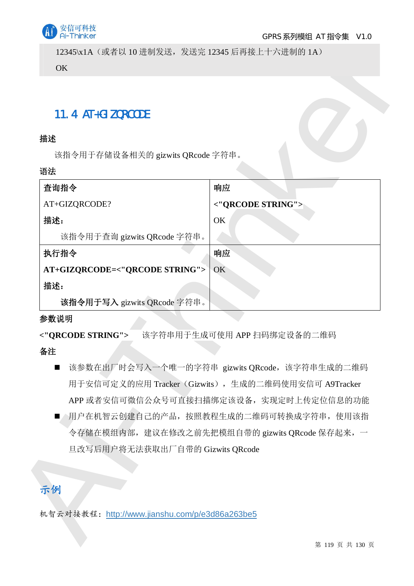

12345\x1A (或者以 10 进制发送, 发送完 12345 后再接上十六进制的 1A) OK

# 11.4 AT+GIZQRCODE

### 描述

#### 语法

| 11.4 AT+GIZQRCODE                                                    |                                                     |
|----------------------------------------------------------------------|-----------------------------------------------------|
| 描述                                                                   |                                                     |
| 该指令用于存储设备相关的 gizwits QRcode 字符串。                                     |                                                     |
| 语法                                                                   |                                                     |
| 查询指令                                                                 | 响应                                                  |
| AT+GIZQRCODE?                                                        | <"QRCODE STRING">                                   |
| 描述:                                                                  | OK                                                  |
| 该指令用于查询 gizwits QRcode 字符串。                                          |                                                     |
| 执行指令                                                                 | 响应                                                  |
| AT+GIZQRCODE=<"QRCODE STRING"><br>描述:<br>该指令用于写入 gizwits QRcode 字符串。 | OK                                                  |
| 参数说明                                                                 |                                                     |
| <"QRCODE STRING">                                                    | 该字符串用于生成可使用 APP 扫码绑定设备的二维码                          |
|                                                                      |                                                     |
| 备注                                                                   |                                                     |
| ■                                                                    | 该参数在出厂时会写入一个唯一的字符串 gizwits QRcode, 该字符串生成的二维码       |
|                                                                      | 用于安信可定义的应用 Tracker (Gizwits), 生成的二维码使用安信可 A9Tracker |
|                                                                      | APP 或者安信可微信公众号可直接扫描绑定该设备, 实现定时上传定位信息的功能             |
| п                                                                    | △用户在机智云创建自己的产品,按照教程生成的二维码可转换成字符串,使用该指               |
|                                                                      | 令存储在模组内部, 建议在修改之前先把模组自带的 gizwits QRcode 保存起来, 一     |
| 旦改写后用户将无法获取出厂自带的 Gizwits QRcode                                      |                                                     |
|                                                                      |                                                     |

## 参数说明

## 备注

- 该参数在出厂时会写入一个唯一的字符串 gizwits QRcode, 该字符串生成的二维码 用于安信可定义的应用 Tracker (Gizwits), 生成的二维码使用安信可 A9Tracker APP 或者安信可微信公众号可直接扫描绑定该设备, 实现定时上传定位信息的功能
- 周户在机智云创建自己的产品,按照教程生成的二维码可转换成字符串,使用该指 令存储在模组内部, 建议在修改之前先把模组自带的 gizwits QRcode 保存起来, 一 旦改写后用户将无法获取出厂自带的 Gizwits ORcode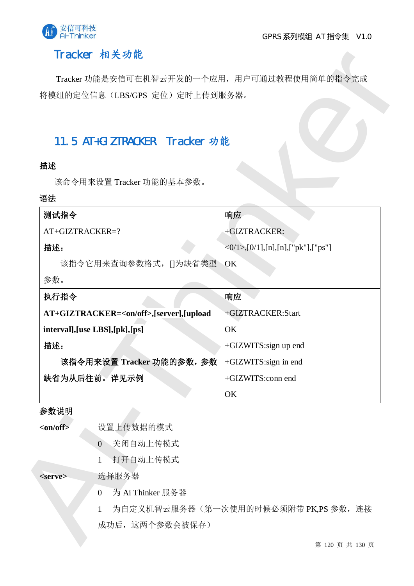

# Tracker 相关功能

# 11.5 AT+GIZTRACKER Tracker 功能

## 揣述

### 语法

|                          | 将模组的定位信息(LBS/GPS 定位)定时上传到服务器。                    |                                      |
|--------------------------|--------------------------------------------------|--------------------------------------|
|                          |                                                  |                                      |
|                          | 11.5 AT+GIZTRACKER Tracker 功能                    |                                      |
| 描述                       |                                                  |                                      |
|                          | 该命令用来设置 Tracker 功能的基本参数。                         |                                      |
| 语法                       |                                                  |                                      |
| 测试指令                     |                                                  | 响应                                   |
| AT+GIZTRACKER=?          |                                                  | +GIZTRACKER:                         |
| 描述:                      |                                                  | $<0/1$ ,[0/1],[n],[n],["pk"],["ps"]  |
|                          | 该指令它用来查询参数格式, []为缺省类型                            | OK                                   |
| 参数。                      |                                                  |                                      |
| 执行指令                     |                                                  | 响应                                   |
|                          | AT+GIZTRACKER= <on off="">,[server],[upload</on> | +GIZTRACKER:Start                    |
|                          | interval], [use LBS], [pk], [ps]                 | OK                                   |
| 描述:                      |                                                  | +GIZWITS:sign up end                 |
| 该指令用来设置 Tracker 功能的参数,参数 |                                                  | +GIZWITS:sign in end                 |
| 缺省为从后往前。详见示例             |                                                  | +GIZWITS:conn end                    |
|                          |                                                  | OK                                   |
| 参数说明                     |                                                  |                                      |
| <on off=""></on>         | 设置上传数据的模式                                        |                                      |
|                          | 关闭自动上传模式<br>$\overline{0}$                       |                                      |
|                          | 打开自动上传模式<br>1                                    |                                      |
| <serve></serve>          | 选择服务器                                            |                                      |
|                          | 为 Ai Thinker 服务器<br>$\mathbf{0}$                 |                                      |
|                          | 1                                                | 为自定义机智云服务器(第一次使用的时候必须附带 PK,PS 参数, 连接 |

### 参数说明

- 0 关闭自动上传模式
- 1 打开自动上传模式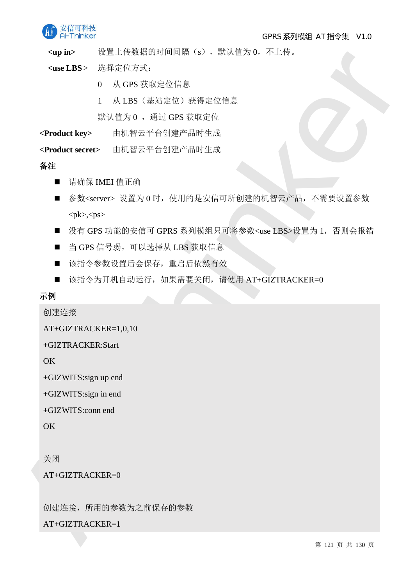

<up in> 设置上传数据的时间间隔(s), 默认值为0, 不上传。

<use LBS> 洗择定位方式:

- $0$  从 GPS 获取定位信息
- 1 从 LBS (基站定位) 获得定位信息

默认值为 0 , 通过 GPS 获取定位

**<Product key>** ⭡ᵪᲪӁᒣਠࡋᔪӗ૱ᰦ⭏ᡀ

<Product secret> 由机智云平台创建产品时生成

备注

- 请确保 IMEI 值正确
- Ai-Thinker ■ 参数<server> 设置为 0 时, 使用的是安信可所创建的机智云产品, 不需要设置参数  $<$ pk>, $<$ ps>
	- 没有 GPS 功能的安信可 GPRS 系列模组只可将参数<use LBS>设置为 1, 否则会报错
	- 当 GPS 信号弱, 可以选择从 LBS 获取信息
	- 该指令参数设置后会保存, 重启后依然有效
	- 该指令为开机自动运行, 如果需要关闭, 请使用 AT+GIZTRACKER=0

示例

创建连接

AT+GIZTRACKER=1,0,10

+GIZTRACKER:Start

**OK** 

+GIZWITS:sign up end

+GIZWITS:sign in end

+GIZWITS:conn end

 $\overline{OK}$ 

关闭

 $AT+GIZTRACKER=0$ 

创建连接, 所用的参数为之前保存的参数

 $AT+GIZTRACKER=1$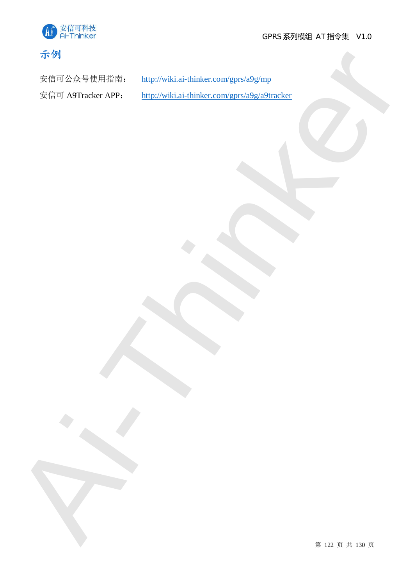



Ai-Think[e](http://wiki.ai-thinker.com/gprs/a9g/a9tracker)r

安信可公众号使用指南: http://wiki.ai-thinker.com/gprs/a9g/mp

安信可 A9Tracker APP: http://wiki.ai-thinker.com/gprs/a9g/a9tracker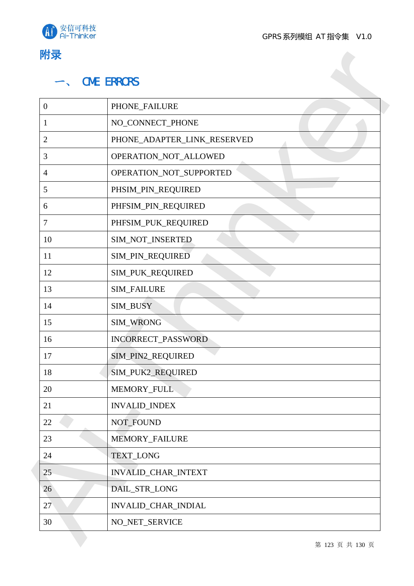



|                  | <b>CME ERRORS</b>           |
|------------------|-----------------------------|
| $\boldsymbol{0}$ | PHONE_FAILURE               |
| $\mathbf{1}$     | NO_CONNECT_PHONE            |
| $\overline{2}$   | PHONE_ADAPTER_LINK_RESERVED |
| 3                | OPERATION_NOT_ALLOWED       |
| 4                | OPERATION_NOT_SUPPORTED     |
| 5                | PHSIM_PIN_REQUIRED          |
| 6                | PHFSIM_PIN_REQUIRED         |
| 7                | PHFSIM_PUK_REQUIRED         |
| 10               | SIM_NOT_INSERTED            |
| 11               | SIM_PIN_REQUIRED            |
| 12               | SIM_PUK_REQUIRED            |
| 13               | SIM_FAILURE                 |
| 14               | SIM_BUSY                    |
| 15               | SIM_WRONG                   |
| 16               | INCORRECT_PASSWORD          |
| 17               | SIM_PIN2_REQUIRED           |
| 18               | SIM_PUK2_REQUIRED           |
| 20               | MEMORY_FULL                 |
| 21               | <b>INVALID_INDEX</b>        |
| 22               | NOT_FOUND                   |
| 23               | MEMORY_FAILURE              |
| 24               | <b>TEXT_LONG</b>            |
| 25               | INVALID_CHAR_INTEXT         |
| 26               | DAIL_STR_LONG               |
| 27               | INVALID_CHAR_INDIAL         |
| 30               | NO_NET_SERVICE              |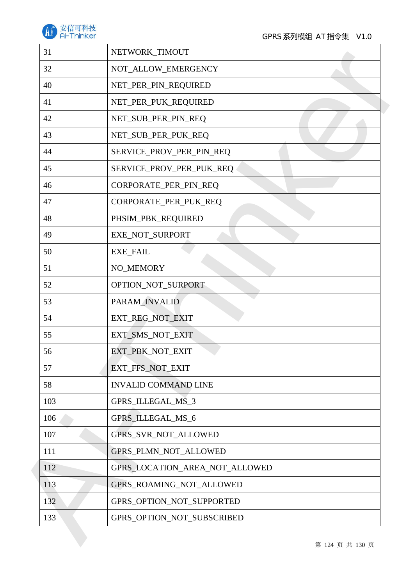

| 31  | NETWORK_TIMOUT                 |
|-----|--------------------------------|
| 32  | NOT_ALLOW_EMERGENCY            |
| 40  | NET_PER_PIN_REQUIRED           |
| 41  | NET_PER_PUK_REQUIRED           |
| 42  | NET_SUB_PER_PIN_REQ            |
| 43  | NET_SUB_PER_PUK_REQ            |
| 44  | SERVICE_PROV_PER_PIN_REQ       |
| 45  | SERVICE_PROV_PER_PUK_REQ       |
| 46  | CORPORATE_PER_PIN_REQ          |
| 47  | CORPORATE_PER_PUK_REQ          |
| 48  | PHSIM_PBK_REQUIRED             |
| 49  | EXE_NOT_SURPORT                |
| 50  | <b>EXE_FAIL</b>                |
| 51  | NO_MEMORY                      |
| 52  | OPTION_NOT_SURPORT             |
| 53  | PARAM_INVALID                  |
| 54  | EXT_REG_NOT_EXIT               |
| 55  | EXT_SMS_NOT_EXIT               |
| 56  | EXT_PBK_NOT_EXIT               |
| 57  | EXT_FFS_NOT_EXIT               |
| 58  | <b>INVALID COMMAND LINE</b>    |
| 103 | GPRS_ILLEGAL_MS_3              |
| 106 | GPRS_ILLEGAL_MS_6              |
| 107 | GPRS_SVR_NOT_ALLOWED           |
| 111 | GPRS_PLMN_NOT_ALLOWED          |
| 112 | GPRS_LOCATION_AREA_NOT_ALLOWED |
| 113 | GPRS_ROAMING_NOT_ALLOWED       |
| 132 | GPRS_OPTION_NOT_SUPPORTED      |
| 133 | GPRS_OPTION_NOT_SUBSCRIBED     |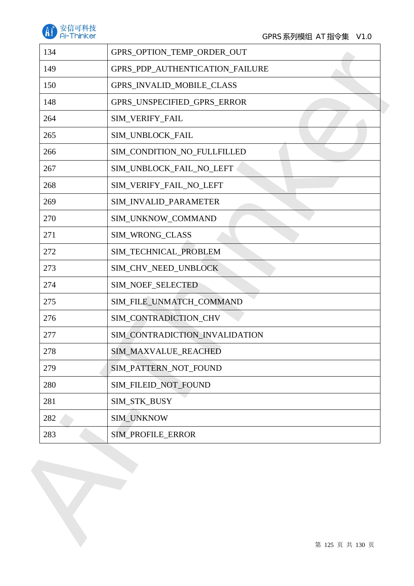

| 134 | GPRS_OPTION_TEMP_ORDER_OUT       |  |
|-----|----------------------------------|--|
| 149 | GPRS_PDP_AUTHENTICATION_FAILURE  |  |
| 150 | <b>GPRS_INVALID_MOBILE_CLASS</b> |  |
| 148 | GPRS_UNSPECIFIED_GPRS_ERROR      |  |
| 264 | SIM_VERIFY_FAIL                  |  |
| 265 | SIM_UNBLOCK_FAIL                 |  |
| 266 | SIM_CONDITION_NO_FULLFILLED      |  |
| 267 | SIM_UNBLOCK_FAIL_NO_LEFT         |  |
| 268 | SIM_VERIFY_FAIL_NO_LEFT          |  |
| 269 | SIM_INVALID_PARAMETER            |  |
| 270 | SIM_UNKNOW_COMMAND               |  |
| 271 | SIM_WRONG_CLASS                  |  |
| 272 | SIM_TECHNICAL_PROBLEM            |  |
| 273 | SIM_CHV_NEED_UNBLOCK             |  |
| 274 | SIM_NOEF_SELECTED                |  |
| 275 | SIM_FILE_UNMATCH_COMMAND         |  |
| 276 | SIM_CONTRADICTION_CHV            |  |
| 277 | SIM_CONTRADICTION_INVALIDATION   |  |
| 278 | SIM_MAXVALUE_REACHED             |  |
| 279 | SIM_PATTERN_NOT_FOUND            |  |
| 280 | SIM_FILEID_NOT_FOUND             |  |
| 281 | SIM_STK_BUSY                     |  |
| 282 | <b>SIM_UNKNOW</b>                |  |
|     | SIM_PROFILE_ERROR                |  |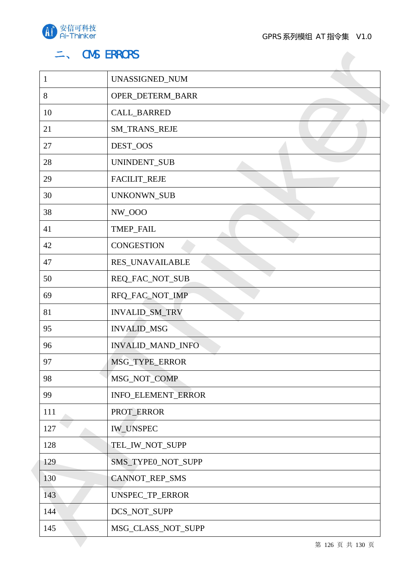

# ニ、 CMS ERRORS

| $\mathbf{1}$ | UNASSIGNED_NUM     |
|--------------|--------------------|
| 8            | OPER_DETERM_BARR   |
| 10           | CALL_BARRED        |
| 21           | SM_TRANS_REJE      |
| 27           | DEST_OOS           |
| 28           | UNINDENT_SUB       |
| 29           | FACILIT_REJE       |
| 30           | UNKONWN_SUB        |
| 38           | NW_000             |
| 41           | TMEP_FAIL          |
| 42           | <b>CONGESTION</b>  |
| 47           | RES_UNAVAILABLE    |
| 50           | REQ_FAC_NOT_SUB    |
| 69           | RFQ_FAC_NOT_IMP    |
| 81           | INVALID_SM_TRV     |
| 95           | <b>INVALID_MSG</b> |
| 96           | INVALID_MAND_INFO  |
| 97           | MSG_TYPE_ERROR     |
| 98           | MSG_NOT_COMP       |
| 99           | INFO_ELEMENT_ERROR |
| 111          | PROT_ERROR         |
| 127          | <b>IW_UNSPEC</b>   |
| 128          | TEL_IW_NOT_SUPP    |
| 129          | SMS_TYPE0_NOT_SUPP |
| 130          | CANNOT_REP_SMS     |
| 143          | UNSPEC_TP_ERROR    |
| 144          | DCS_NOT_SUPP       |
| 145          | MSG_CLASS_NOT_SUPP |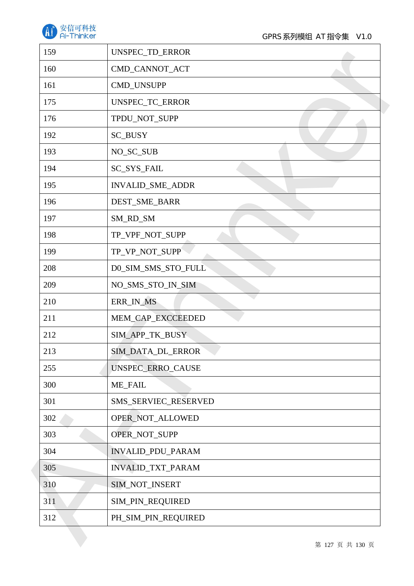

| 159 | UNSPEC_TD_ERROR      |
|-----|----------------------|
| 160 | CMD_CANNOT_ACT       |
| 161 | CMD_UNSUPP           |
| 175 | UNSPEC_TC_ERROR      |
| 176 | TPDU_NOT_SUPP        |
| 192 | SC_BUSY              |
| 193 | NO_SC_SUB            |
| 194 | SC_SYS_FAIL          |
| 195 | INVALID_SME_ADDR     |
| 196 | DEST_SME_BARR        |
| 197 | SM_RD_SM             |
| 198 | TP_VPF_NOT_SUPP      |
| 199 | TP_VP_NOT_SUPP       |
| 208 | D0_SIM_SMS_STO_FULL  |
| 209 | NO_SMS_STO_IN_SIM    |
| 210 | ERR_IN_MS            |
| 211 | MEM_CAP_EXCCEEDED    |
| 212 | SIM_APP_TK_BUSY      |
| 213 | SIM_DATA_DL_ERROR    |
| 255 | UNSPEC_ERRO_CAUSE    |
| 300 | <b>ME_FAIL</b>       |
| 301 | SMS_SERVIEC_RESERVED |
| 302 | OPER_NOT_ALLOWED     |
| 303 | OPER_NOT_SUPP        |
| 304 | INVALID_PDU_PARAM    |
| 305 | INVALID_TXT_PARAM    |
| 310 | SIM_NOT_INSERT       |
| 311 | SIM_PIN_REQUIRED     |
| 312 | PH_SIM_PIN_REQUIRED  |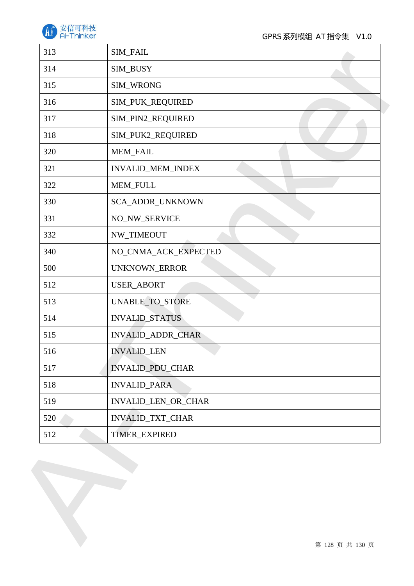

| 313 | SIM_FAIL                |
|-----|-------------------------|
| 314 | SIM_BUSY                |
| 315 | SIM_WRONG               |
| 316 | SIM_PUK_REQUIRED        |
| 317 | SIM_PIN2_REQUIRED       |
| 318 | SIM_PUK2_REQUIRED       |
| 320 | MEM_FAIL                |
| 321 | INVALID_MEM_INDEX       |
| 322 | MEM_FULL                |
| 330 | SCA_ADDR_UNKNOWN        |
| 331 | NO_NW_SERVICE           |
| 332 | NW_TIMEOUT              |
| 340 | NO_CNMA_ACK_EXPECTED    |
| 500 | UNKNOWN_ERROR           |
| 512 | USER_ABORT              |
| 513 | UNABLE_TO_STORE         |
| 514 | <b>INVALID_STATUS</b>   |
| 515 | INVALID_ADDR_CHAR       |
| 516 | <b>INVALID_LEN</b>      |
| 517 | <b>INVALID_PDU_CHAR</b> |
| 518 | <b>INVALID_PARA</b>     |
| 519 | INVALID_LEN_OR_CHAR     |
| 520 | INVALID_TXT_CHAR        |
| 512 | TIMER_EXPIRED           |